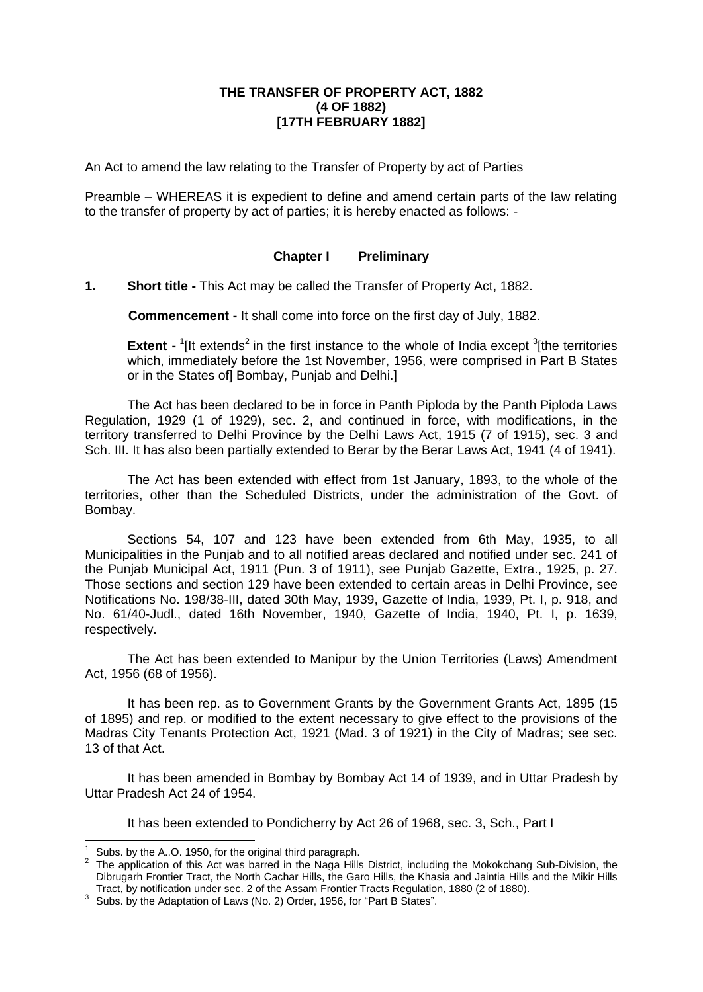#### **THE TRANSFER OF PROPERTY ACT, 1882 (4 OF 1882) [17TH FEBRUARY 1882]**

An Act to amend the law relating to the Transfer of Property by act of Parties

Preamble – WHEREAS it is expedient to define and amend certain parts of the law relating to the transfer of property by act of parties; it is hereby enacted as follows: -

## **Chapter I Preliminary**

**1. Short title -** This Act may be called the Transfer of Property Act, 1882.

**Commencement -** It shall come into force on the first day of July, 1882.

**Extent -** <sup>1</sup>[It extends<sup>2</sup> in the first instance to the whole of India except <sup>3</sup>[the territories which, immediately before the 1st November, 1956, were comprised in Part B States or in the States of] Bombay, Punjab and Delhi.]

The Act has been declared to be in force in Panth Piploda by the Panth Piploda Laws Regulation, 1929 (1 of 1929), sec. 2, and continued in force, with modifications, in the territory transferred to Delhi Province by the Delhi Laws Act, 1915 (7 of 1915), sec. 3 and Sch. III. It has also been partially extended to Berar by the Berar Laws Act, 1941 (4 of 1941).

The Act has been extended with effect from 1st January, 1893, to the whole of the territories, other than the Scheduled Districts, under the administration of the Govt. of Bombay.

Sections 54, 107 and 123 have been extended from 6th May, 1935, to all Municipalities in the Punjab and to all notified areas declared and notified under sec. 241 of the Punjab Municipal Act, 1911 (Pun. 3 of 1911), see Punjab Gazette, Extra., 1925, p. 27. Those sections and section 129 have been extended to certain areas in Delhi Province, see Notifications No. 198/38-III, dated 30th May, 1939, Gazette of India, 1939, Pt. I, p. 918, and No. 61/40-Judl., dated 16th November, 1940, Gazette of India, 1940, Pt. I, p. 1639, respectively.

The Act has been extended to Manipur by the Union Territories (Laws) Amendment Act, 1956 (68 of 1956).

It has been rep. as to Government Grants by the Government Grants Act, 1895 (15 of 1895) and rep. or modified to the extent necessary to give effect to the provisions of the Madras City Tenants Protection Act, 1921 (Mad. 3 of 1921) in the City of Madras; see sec. 13 of that Act.

It has been amended in Bombay by Bombay Act 14 of 1939, and in Uttar Pradesh by Uttar Pradesh Act 24 of 1954.

It has been extended to Pondicherry by Act 26 of 1968, sec. 3, Sch., Part I

-

Subs. by the A..O. 1950, for the original third paragraph.

 $2$  The application of this Act was barred in the Naga Hills District, including the Mokokchang Sub-Division, the Dibrugarh Frontier Tract, the North Cachar Hills, the Garo Hills, the Khasia and Jaintia Hills and the Mikir Hills Tract, by notification under sec. 2 of the Assam Frontier Tracts Regulation, 1880 (2 of 1880).

<sup>&</sup>lt;sup>3</sup> Subs. by Hollisandri and the Secret of Laws (No. 2) Order, 1956, for "Part B States".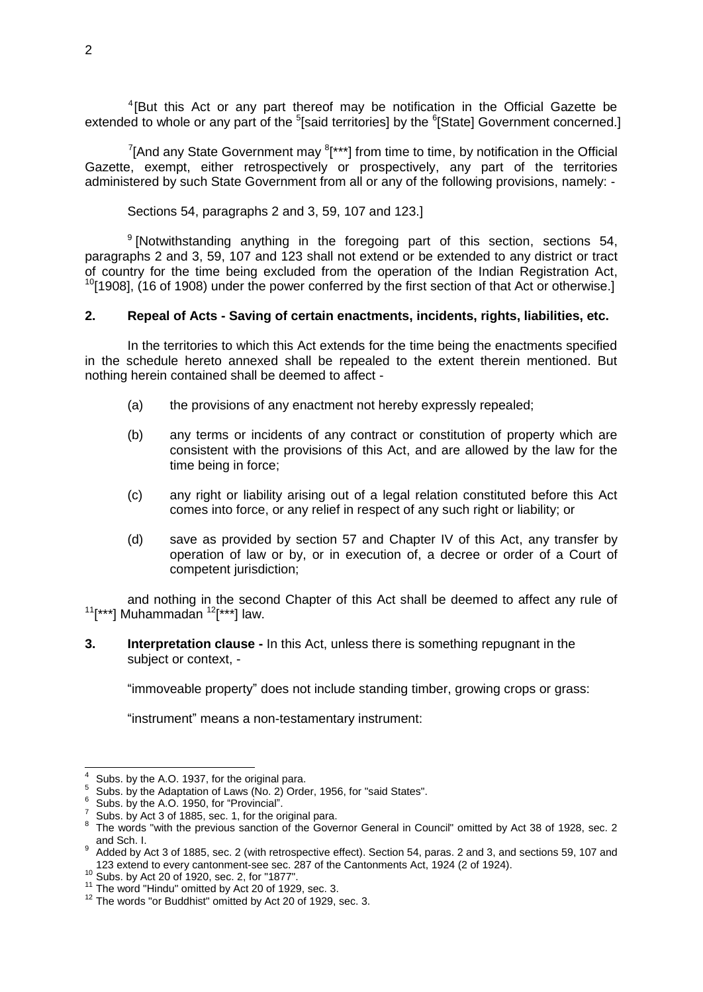<sup>4</sup>[But this Act or any part thereof may be notification in the Official Gazette be extended to whole or any part of the <sup>5</sup>[said territories] by the <sup>6</sup>[State] Government concerned.]

<sup>7</sup>[And any State Government may  ${}^{8}$ [\*\*\*] from time to time, by notification in the Official Gazette, exempt, either retrospectively or prospectively, any part of the territories administered by such State Government from all or any of the following provisions, namely: -

Sections 54, paragraphs 2 and 3, 59, 107 and 123.]

 $9$  [Notwithstanding anything in the foregoing part of this section, sections 54, paragraphs 2 and 3, 59, 107 and 123 shall not extend or be extended to any district or tract of country for the time being excluded from the operation of the Indian Registration Act,  $10$ [1908], (16 of 1908) under the power conferred by the first section of that Act or otherwise.]

## **2. Repeal of Acts - Saving of certain enactments, incidents, rights, liabilities, etc.**

In the territories to which this Act extends for the time being the enactments specified in the schedule hereto annexed shall be repealed to the extent therein mentioned. But nothing herein contained shall be deemed to affect -

- (a) the provisions of any enactment not hereby expressly repealed;
- (b) any terms or incidents of any contract or constitution of property which are consistent with the provisions of this Act, and are allowed by the law for the time being in force;
- (c) any right or liability arising out of a legal relation constituted before this Act comes into force, or any relief in respect of any such right or liability; or
- (d) save as provided by section 57 and Chapter IV of this Act, any transfer by operation of law or by, or in execution of, a decree or order of a Court of competent jurisdiction;

and nothing in the second Chapter of this Act shall be deemed to affect any rule of  $11$ [\*\*\*] Muhammadan  $12$ [\*\*\*] law.

**3. Interpretation clause -** In this Act, unless there is something repugnant in the subject or context, -

"immoveable property" does not include standing timber, growing crops or grass:

"instrument" means a non-testamentary instrument:

 $\overline{4}$ Subs. by the A.O. 1937, for the original para.

<sup>5</sup> Subs. by the Adaptation of Laws (No. 2) Order, 1956, for "said States".

<sup>6</sup> Subs. by the A.O. 1950, for "Provincial".

 $7$  Subs. by Act 3 of 1885, sec. 1, for the original para.

<sup>&</sup>lt;sup>8</sup> The words "with the previous sanction of the Governor General in Council" omitted by Act 38 of 1928, sec. 2 and Sch. I.

<sup>&</sup>lt;sup>9</sup> Added by Act 3 of 1885, sec. 2 (with retrospective effect). Section 54, paras. 2 and 3, and sections 59, 107 and 123 extend to every cantonment-see sec. 287 of the Cantonments Act, 1924 (2 of 1924).

 $10^{10}$  Subs. by Act 20 of 1920, sec. 2, for "1877".

<sup>&</sup>lt;sup>11</sup> The word "Hindu" omitted by Act 20 of 1929, sec. 3.

 $12$  The words "or Buddhist" omitted by Act 20 of 1929, sec. 3.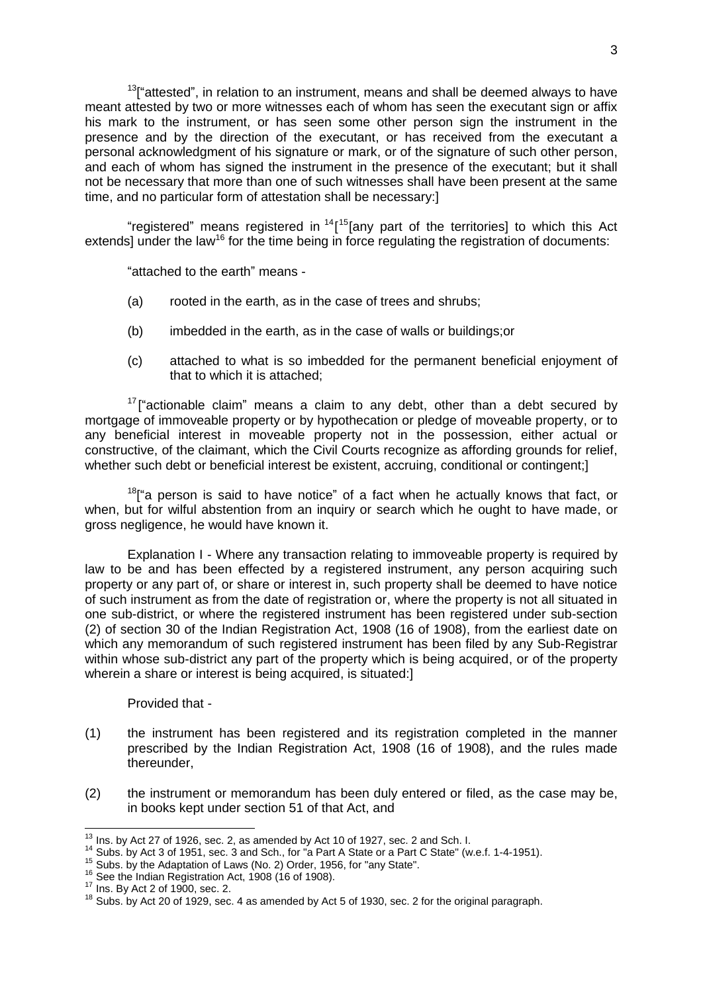$13$ <sup>rs</sup>attested", in relation to an instrument, means and shall be deemed always to have meant attested by two or more witnesses each of whom has seen the executant sign or affix his mark to the instrument, or has seen some other person sign the instrument in the presence and by the direction of the executant, or has received from the executant a personal acknowledgment of his signature or mark, or of the signature of such other person, and each of whom has signed the instrument in the presence of the executant; but it shall not be necessary that more than one of such witnesses shall have been present at the same time, and no particular form of attestation shall be necessary:]

"registered" means registered in  $14$ <sup>15</sup>[any part of the territories] to which this Act extends] under the law<sup>16</sup> for the time being in force regulating the registration of documents:

"attached to the earth" means -

- (a) rooted in the earth, as in the case of trees and shrubs;
- (b) imbedded in the earth, as in the case of walls or buildings;or
- (c) attached to what is so imbedded for the permanent beneficial enjoyment of that to which it is attached;

 $17$  ["actionable claim" means a claim to any debt, other than a debt secured by mortgage of immoveable property or by hypothecation or pledge of moveable property, or to any beneficial interest in moveable property not in the possession, either actual or constructive, of the claimant, which the Civil Courts recognize as affording grounds for relief, whether such debt or beneficial interest be existent, accruing, conditional or contingent;]

 $18$ ["a person is said to have notice" of a fact when he actually knows that fact, or when, but for wilful abstention from an inquiry or search which he ought to have made, or gross negligence, he would have known it.

Explanation I - Where any transaction relating to immoveable property is required by law to be and has been effected by a registered instrument, any person acquiring such property or any part of, or share or interest in, such property shall be deemed to have notice of such instrument as from the date of registration or, where the property is not all situated in one sub-district, or where the registered instrument has been registered under sub-section (2) of section 30 of the Indian Registration Act, 1908 (16 of 1908), from the earliest date on which any memorandum of such registered instrument has been filed by any Sub-Registrar within whose sub-district any part of the property which is being acquired, or of the property wherein a share or interest is being acquired, is situated:]

Provided that -

- (1) the instrument has been registered and its registration completed in the manner prescribed by the Indian Registration Act, 1908 (16 of 1908), and the rules made thereunder,
- (2) the instrument or memorandum has been duly entered or filed, as the case may be, in books kept under section 51 of that Act, and

 $^{13}$  Ins. by Act 27 of 1926, sec. 2, as amended by Act 10 of 1927, sec. 2 and Sch. I.

<sup>14</sup> Subs. by Act 3 of 1951, sec. 3 and Sch., for "a Part A State or a Part C State" (w.e.f. 1-4-1951).

<sup>15</sup> Subs. by the Adaptation of Laws (No. 2) Order, 1956, for "any State".

<sup>16</sup> See the Indian Registration Act, 1908 (16 of 1908).

 $17$  Ins. By Act 2 of 1900, sec. 2.

<sup>&</sup>lt;sup>18</sup> Subs. by Act 20 of 1929, sec. 4 as amended by Act 5 of 1930, sec. 2 for the original paragraph.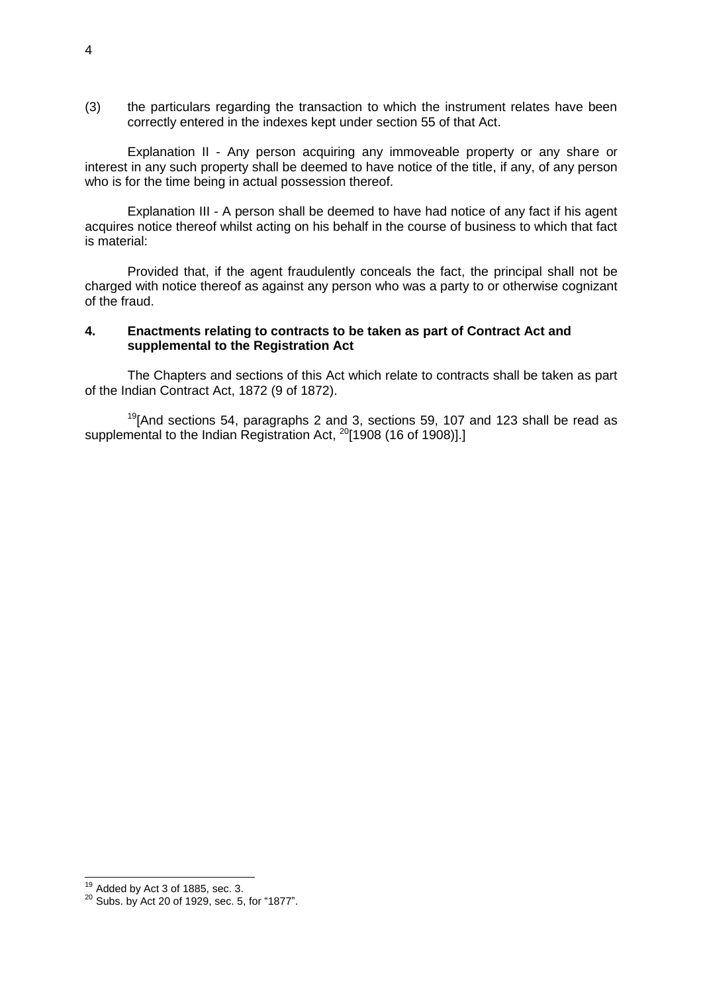(3) the particulars regarding the transaction to which the instrument relates have been correctly entered in the indexes kept under section 55 of that Act.

Explanation II - Any person acquiring any immoveable property or any share or interest in any such property shall be deemed to have notice of the title, if any, of any person who is for the time being in actual possession thereof.

Explanation III - A person shall be deemed to have had notice of any fact if his agent acquires notice thereof whilst acting on his behalf in the course of business to which that fact is material:

Provided that, if the agent fraudulently conceals the fact, the principal shall not be charged with notice thereof as against any person who was a party to or otherwise cognizant of the fraud.

## **4. Enactments relating to contracts to be taken as part of Contract Act and supplemental to the Registration Act**

The Chapters and sections of this Act which relate to contracts shall be taken as part of the Indian Contract Act, 1872 (9 of 1872).

 $19$ [And sections 54, paragraphs 2 and 3, sections 59, 107 and 123 shall be read as supplemental to the Indian Registration Act, <sup>20</sup>[1908 (16 of 1908)].]

 $\overline{a}$ 

 $19$  Added by Act 3 of 1885, sec. 3.

 $^{20}$  Subs. by Act 20 of 1929, sec. 5, for "1877".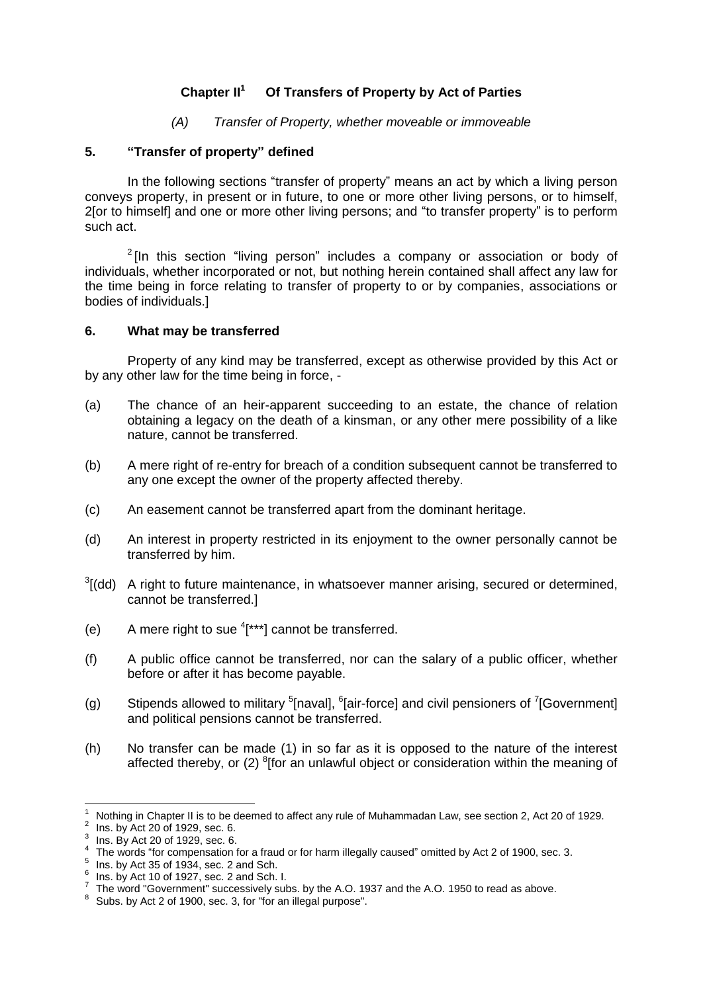## **Chapter II<sup>1</sup> Of Transfers of Property by Act of Parties**

## *(A) Transfer of Property, whether moveable or immoveable*

## **5. "Transfer of property" defined**

In the following sections "transfer of property" means an act by which a living person conveys property, in present or in future, to one or more other living persons, or to himself, 2[or to himself] and one or more other living persons; and "to transfer property" is to perform such act.

 $2$ [In this section "living person" includes a company or association or body of individuals, whether incorporated or not, but nothing herein contained shall affect any law for the time being in force relating to transfer of property to or by companies, associations or bodies of individuals.]

## **6. What may be transferred**

Property of any kind may be transferred, except as otherwise provided by this Act or by any other law for the time being in force, -

- (a) The chance of an heir-apparent succeeding to an estate, the chance of relation obtaining a legacy on the death of a kinsman, or any other mere possibility of a like nature, cannot be transferred.
- (b) A mere right of re-entry for breach of a condition subsequent cannot be transferred to any one except the owner of the property affected thereby.
- (c) An easement cannot be transferred apart from the dominant heritage.
- (d) An interest in property restricted in its enjoyment to the owner personally cannot be transferred by him.
- $3$ [(dd) A right to future maintenance, in whatsoever manner arising, secured or determined, cannot be transferred.]
- (e) A mere right to sue  $4$ [\*\*\*] cannot be transferred.
- (f) A public office cannot be transferred, nor can the salary of a public officer, whether before or after it has become payable.
- (g) Stipends allowed to military  ${}^{5}$ [naval],  ${}^{6}$ [air-force] and civil pensioners of  ${}^{7}$ [Government] and political pensions cannot be transferred.
- (h) No transfer can be made (1) in so far as it is opposed to the nature of the interest affected thereby, or (2)  $^{8}$ [for an unlawful object or consideration within the meaning of

Nothing in Chapter II is to be deemed to affect any rule of Muhammadan Law, see section 2, Act 20 of 1929. 2

Ins. by Act 20 of 1929, sec. 6. 3

Ins. By Act 20 of 1929, sec. 6.

<sup>&</sup>lt;sup>4</sup> The words "for compensation for a fraud or for harm illegally caused" omitted by Act 2 of 1900, sec. 3.

 $<sup>5</sup>$  Ins. by Act 35 of 1934, sec. 2 and Sch.</sup>

 $6$  Ins. by Act 10 of 1927, sec. 2 and Sch. I.

 $7$  The word "Government" successively subs. by the A.O. 1937 and the A.O. 1950 to read as above.

<sup>8</sup> Subs. by Act 2 of 1900, sec. 3, for "for an illegal purpose".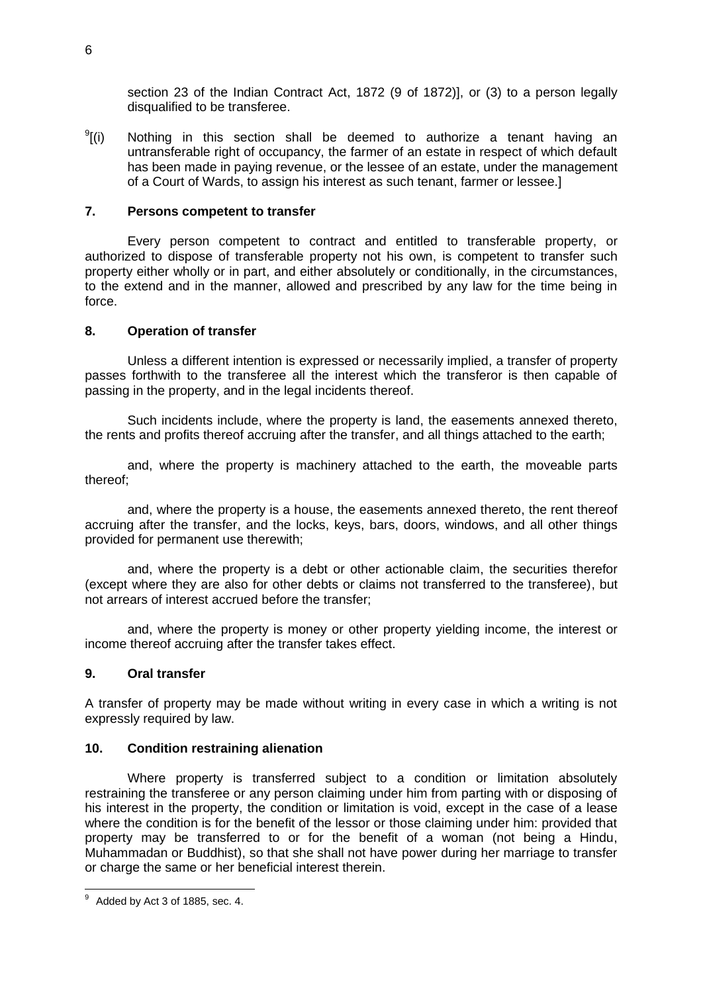section 23 of the Indian Contract Act, 1872 (9 of 1872)], or (3) to a person legally disqualified to be transferee.

 $\rm ^{9}I(i)$ Nothing in this section shall be deemed to authorize a tenant having an untransferable right of occupancy, the farmer of an estate in respect of which default has been made in paying revenue, or the lessee of an estate, under the management of a Court of Wards, to assign his interest as such tenant, farmer or lessee.]

## **7. Persons competent to transfer**

Every person competent to contract and entitled to transferable property, or authorized to dispose of transferable property not his own, is competent to transfer such property either wholly or in part, and either absolutely or conditionally, in the circumstances, to the extend and in the manner, allowed and prescribed by any law for the time being in force.

## **8. Operation of transfer**

Unless a different intention is expressed or necessarily implied, a transfer of property passes forthwith to the transferee all the interest which the transferor is then capable of passing in the property, and in the legal incidents thereof.

Such incidents include, where the property is land, the easements annexed thereto, the rents and profits thereof accruing after the transfer, and all things attached to the earth;

and, where the property is machinery attached to the earth, the moveable parts thereof;

and, where the property is a house, the easements annexed thereto, the rent thereof accruing after the transfer, and the locks, keys, bars, doors, windows, and all other things provided for permanent use therewith;

and, where the property is a debt or other actionable claim, the securities therefor (except where they are also for other debts or claims not transferred to the transferee), but not arrears of interest accrued before the transfer;

and, where the property is money or other property yielding income, the interest or income thereof accruing after the transfer takes effect.

#### **9. Oral transfer**

A transfer of property may be made without writing in every case in which a writing is not expressly required by law.

## **10. Condition restraining alienation**

Where property is transferred subject to a condition or limitation absolutely restraining the transferee or any person claiming under him from parting with or disposing of his interest in the property, the condition or limitation is void, except in the case of a lease where the condition is for the benefit of the lessor or those claiming under him: provided that property may be transferred to or for the benefit of a woman (not being a Hindu, Muhammadan or Buddhist), so that she shall not have power during her marriage to transfer or charge the same or her beneficial interest therein.

<sup>6</sup>

 $9$  Added by Act 3 of 1885, sec. 4.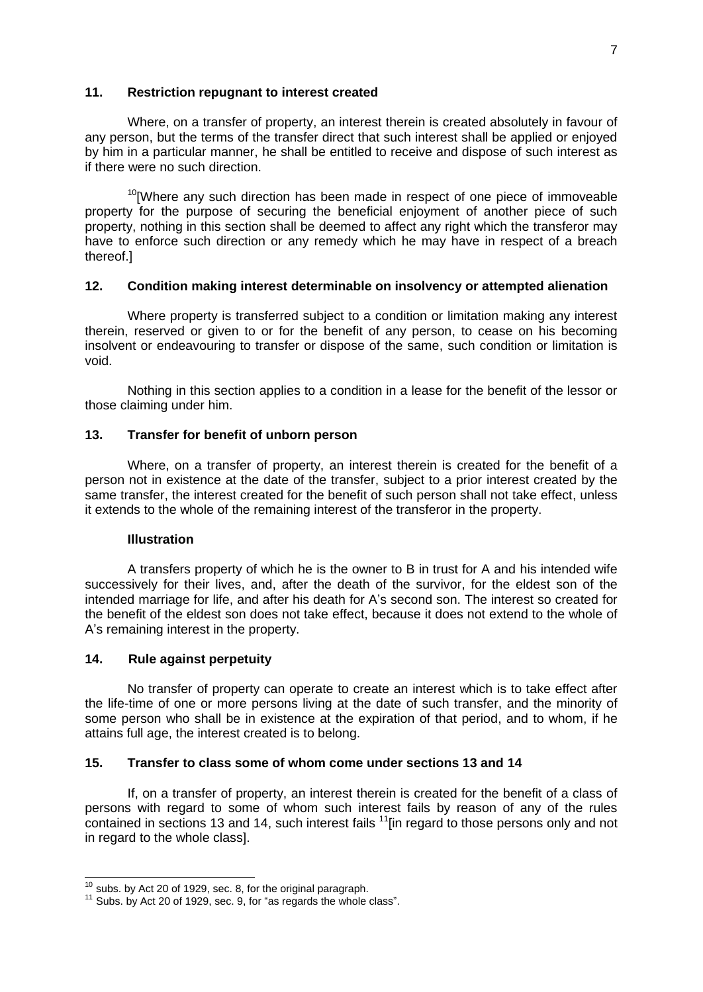#### **11. Restriction repugnant to interest created**

Where, on a transfer of property, an interest therein is created absolutely in favour of any person, but the terms of the transfer direct that such interest shall be applied or enjoyed by him in a particular manner, he shall be entitled to receive and dispose of such interest as if there were no such direction.

<sup>10</sup>[Where any such direction has been made in respect of one piece of immoveable property for the purpose of securing the beneficial enjoyment of another piece of such property, nothing in this section shall be deemed to affect any right which the transferor may have to enforce such direction or any remedy which he may have in respect of a breach thereof.]

#### **12. Condition making interest determinable on insolvency or attempted alienation**

Where property is transferred subject to a condition or limitation making any interest therein, reserved or given to or for the benefit of any person, to cease on his becoming insolvent or endeavouring to transfer or dispose of the same, such condition or limitation is void.

Nothing in this section applies to a condition in a lease for the benefit of the lessor or those claiming under him.

#### **13. Transfer for benefit of unborn person**

Where, on a transfer of property, an interest therein is created for the benefit of a person not in existence at the date of the transfer, subject to a prior interest created by the same transfer, the interest created for the benefit of such person shall not take effect, unless it extends to the whole of the remaining interest of the transferor in the property.

#### **Illustration**

A transfers property of which he is the owner to B in trust for A and his intended wife successively for their lives, and, after the death of the survivor, for the eldest son of the intended marriage for life, and after his death for A's second son. The interest so created for the benefit of the eldest son does not take effect, because it does not extend to the whole of A's remaining interest in the property.

#### **14. Rule against perpetuity**

 $\overline{a}$ 

No transfer of property can operate to create an interest which is to take effect after the life-time of one or more persons living at the date of such transfer, and the minority of some person who shall be in existence at the expiration of that period, and to whom, if he attains full age, the interest created is to belong.

#### **15. Transfer to class some of whom come under sections 13 and 14**

If, on a transfer of property, an interest therein is created for the benefit of a class of persons with regard to some of whom such interest fails by reason of any of the rules contained in sections 13 and 14, such interest fails <sup>11</sup>[in regard to those persons only and not in regard to the whole class].

 $10$  subs. by Act 20 of 1929, sec. 8, for the original paragraph.

 $11$  Subs. by Act 20 of 1929, sec. 9, for "as regards the whole class".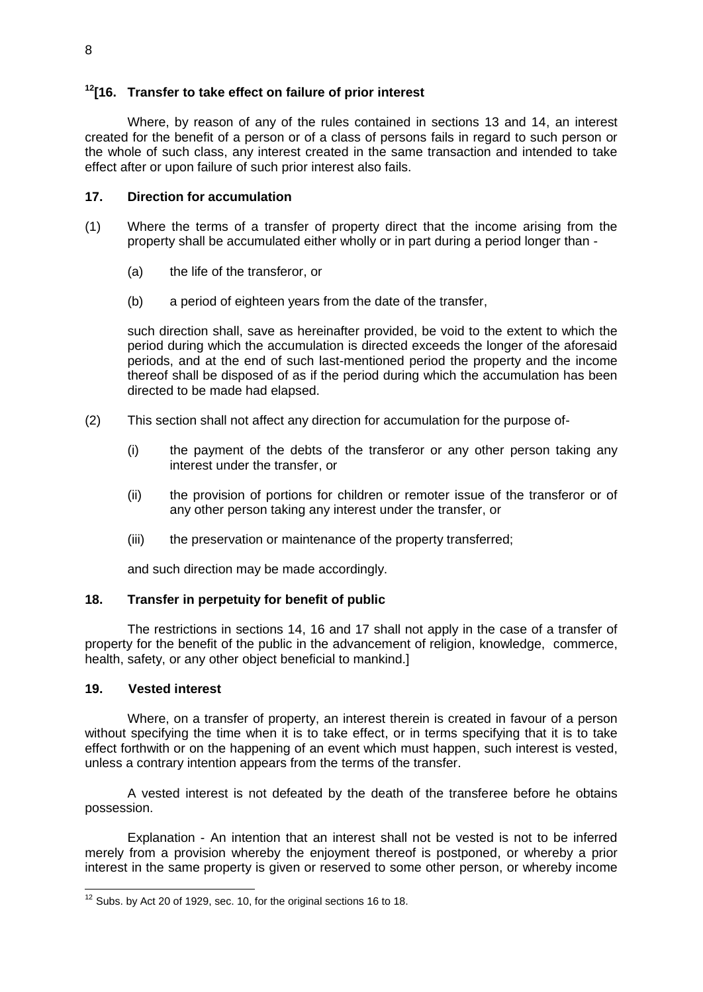## **<sup>12</sup>[16. Transfer to take effect on failure of prior interest**

Where, by reason of any of the rules contained in sections 13 and 14, an interest created for the benefit of a person or of a class of persons fails in regard to such person or the whole of such class, any interest created in the same transaction and intended to take effect after or upon failure of such prior interest also fails.

#### **17. Direction for accumulation**

- (1) Where the terms of a transfer of property direct that the income arising from the property shall be accumulated either wholly or in part during a period longer than -
	- (a) the life of the transferor, or
	- (b) a period of eighteen years from the date of the transfer,

such direction shall, save as hereinafter provided, be void to the extent to which the period during which the accumulation is directed exceeds the longer of the aforesaid periods, and at the end of such last-mentioned period the property and the income thereof shall be disposed of as if the period during which the accumulation has been directed to be made had elapsed.

- (2) This section shall not affect any direction for accumulation for the purpose of-
	- (i) the payment of the debts of the transferor or any other person taking any interest under the transfer, or
	- (ii) the provision of portions for children or remoter issue of the transferor or of any other person taking any interest under the transfer, or
	- (iii) the preservation or maintenance of the property transferred;

and such direction may be made accordingly.

## **18. Transfer in perpetuity for benefit of public**

The restrictions in sections 14, 16 and 17 shall not apply in the case of a transfer of property for the benefit of the public in the advancement of religion, knowledge, commerce, health, safety, or any other object beneficial to mankind.]

## **19. Vested interest**

1

Where, on a transfer of property, an interest therein is created in favour of a person without specifying the time when it is to take effect, or in terms specifying that it is to take effect forthwith or on the happening of an event which must happen, such interest is vested, unless a contrary intention appears from the terms of the transfer.

A vested interest is not defeated by the death of the transferee before he obtains possession.

Explanation - An intention that an interest shall not be vested is not to be inferred merely from a provision whereby the enjoyment thereof is postponed, or whereby a prior interest in the same property is given or reserved to some other person, or whereby income

 $12$  Subs. by Act 20 of 1929, sec. 10, for the original sections 16 to 18.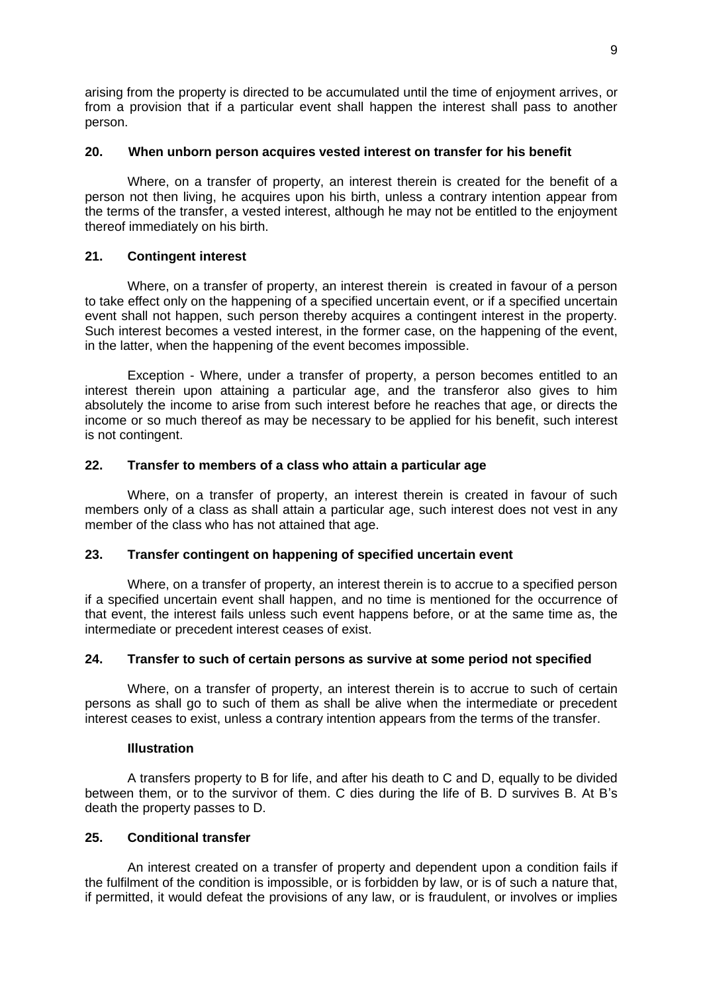arising from the property is directed to be accumulated until the time of enjoyment arrives, or from a provision that if a particular event shall happen the interest shall pass to another person.

#### **20. When unborn person acquires vested interest on transfer for his benefit**

Where, on a transfer of property, an interest therein is created for the benefit of a person not then living, he acquires upon his birth, unless a contrary intention appear from the terms of the transfer, a vested interest, although he may not be entitled to the enjoyment thereof immediately on his birth.

## **21. Contingent interest**

Where, on a transfer of property, an interest therein is created in favour of a person to take effect only on the happening of a specified uncertain event, or if a specified uncertain event shall not happen, such person thereby acquires a contingent interest in the property. Such interest becomes a vested interest, in the former case, on the happening of the event, in the latter, when the happening of the event becomes impossible.

Exception - Where, under a transfer of property, a person becomes entitled to an interest therein upon attaining a particular age, and the transferor also gives to him absolutely the income to arise from such interest before he reaches that age, or directs the income or so much thereof as may be necessary to be applied for his benefit, such interest is not contingent.

## **22. Transfer to members of a class who attain a particular age**

Where, on a transfer of property, an interest therein is created in favour of such members only of a class as shall attain a particular age, such interest does not vest in any member of the class who has not attained that age.

#### **23. Transfer contingent on happening of specified uncertain event**

Where, on a transfer of property, an interest therein is to accrue to a specified person if a specified uncertain event shall happen, and no time is mentioned for the occurrence of that event, the interest fails unless such event happens before, or at the same time as, the intermediate or precedent interest ceases of exist.

## **24. Transfer to such of certain persons as survive at some period not specified**

Where, on a transfer of property, an interest therein is to accrue to such of certain persons as shall go to such of them as shall be alive when the intermediate or precedent interest ceases to exist, unless a contrary intention appears from the terms of the transfer.

#### **Illustration**

A transfers property to B for life, and after his death to C and D, equally to be divided between them, or to the survivor of them. C dies during the life of B. D survives B. At B's death the property passes to D.

#### **25. Conditional transfer**

An interest created on a transfer of property and dependent upon a condition fails if the fulfilment of the condition is impossible, or is forbidden by law, or is of such a nature that, if permitted, it would defeat the provisions of any law, or is fraudulent, or involves or implies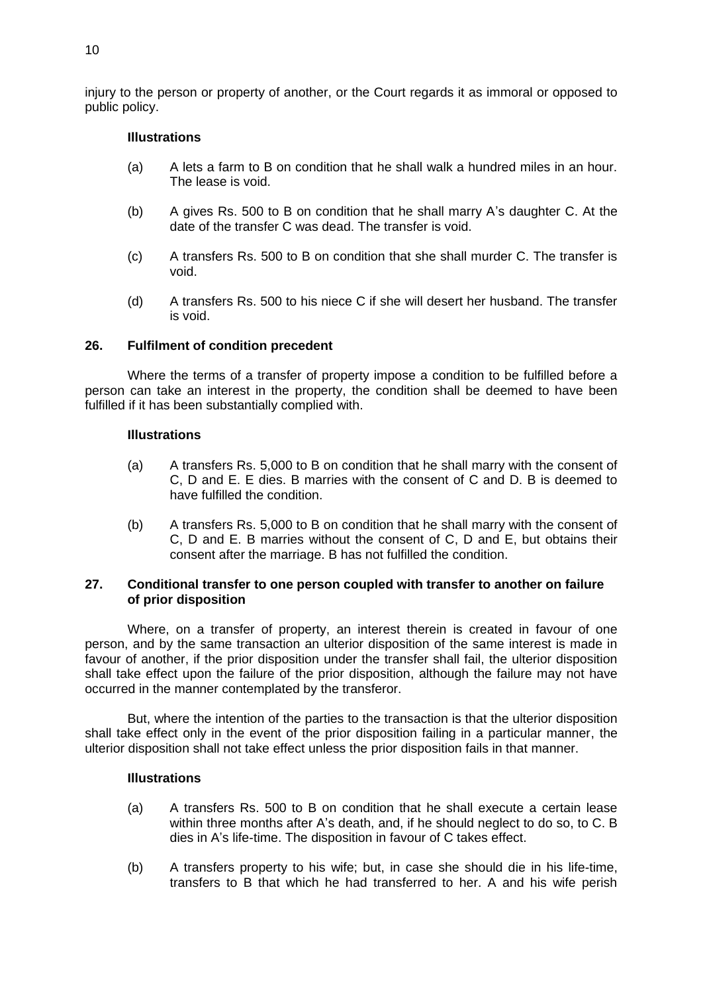injury to the person or property of another, or the Court regards it as immoral or opposed to public policy.

## **Illustrations**

- (a) A lets a farm to B on condition that he shall walk a hundred miles in an hour. The lease is void.
- (b) A gives Rs. 500 to B on condition that he shall marry A's daughter C. At the date of the transfer C was dead. The transfer is void.
- (c) A transfers Rs. 500 to B on condition that she shall murder C. The transfer is void.
- (d) A transfers Rs. 500 to his niece C if she will desert her husband. The transfer is void.

## **26. Fulfilment of condition precedent**

Where the terms of a transfer of property impose a condition to be fulfilled before a person can take an interest in the property, the condition shall be deemed to have been fulfilled if it has been substantially complied with.

#### **Illustrations**

- (a) A transfers Rs. 5,000 to B on condition that he shall marry with the consent of C, D and E. E dies. B marries with the consent of C and D. B is deemed to have fulfilled the condition.
- (b) A transfers Rs. 5,000 to B on condition that he shall marry with the consent of C, D and E. B marries without the consent of C, D and E, but obtains their consent after the marriage. B has not fulfilled the condition.

## **27. Conditional transfer to one person coupled with transfer to another on failure of prior disposition**

Where, on a transfer of property, an interest therein is created in favour of one person, and by the same transaction an ulterior disposition of the same interest is made in favour of another, if the prior disposition under the transfer shall fail, the ulterior disposition shall take effect upon the failure of the prior disposition, although the failure may not have occurred in the manner contemplated by the transferor.

But, where the intention of the parties to the transaction is that the ulterior disposition shall take effect only in the event of the prior disposition failing in a particular manner, the ulterior disposition shall not take effect unless the prior disposition fails in that manner.

#### **Illustrations**

- (a) A transfers Rs. 500 to B on condition that he shall execute a certain lease within three months after A's death, and, if he should neglect to do so, to C. B dies in A's life-time. The disposition in favour of C takes effect.
- (b) A transfers property to his wife; but, in case she should die in his life-time, transfers to B that which he had transferred to her. A and his wife perish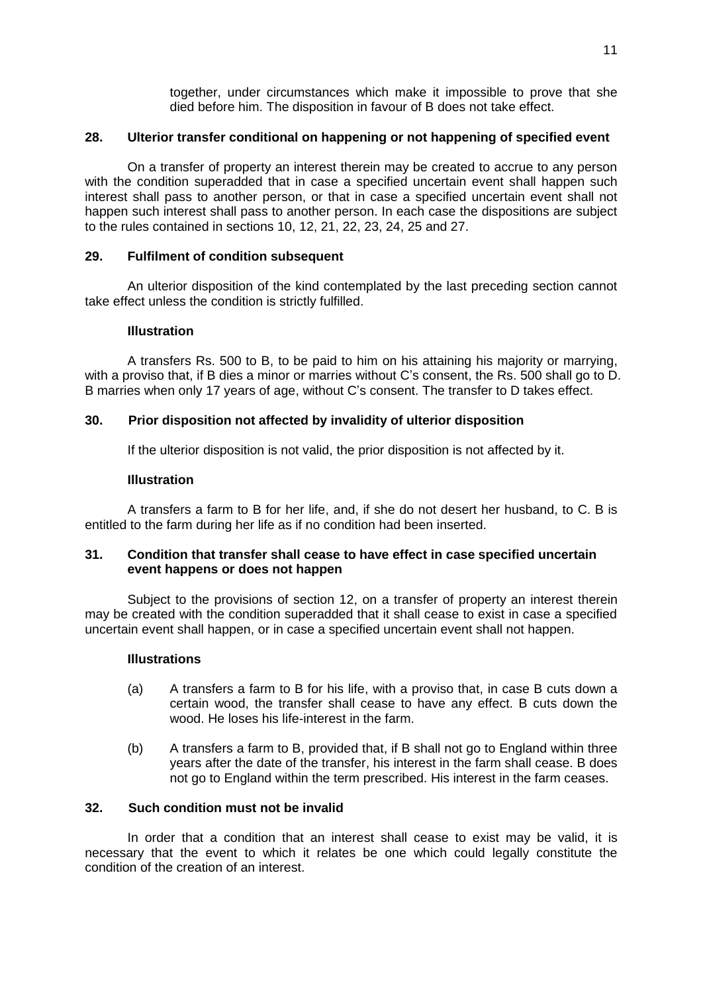together, under circumstances which make it impossible to prove that she died before him. The disposition in favour of B does not take effect.

## **28. Ulterior transfer conditional on happening or not happening of specified event**

On a transfer of property an interest therein may be created to accrue to any person with the condition superadded that in case a specified uncertain event shall happen such interest shall pass to another person, or that in case a specified uncertain event shall not happen such interest shall pass to another person. In each case the dispositions are subject to the rules contained in sections 10, 12, 21, 22, 23, 24, 25 and 27.

## **29. Fulfilment of condition subsequent**

An ulterior disposition of the kind contemplated by the last preceding section cannot take effect unless the condition is strictly fulfilled.

## **Illustration**

A transfers Rs. 500 to B, to be paid to him on his attaining his majority or marrying, with a proviso that, if B dies a minor or marries without C's consent, the Rs. 500 shall go to D. B marries when only 17 years of age, without C's consent. The transfer to D takes effect.

## **30. Prior disposition not affected by invalidity of ulterior disposition**

If the ulterior disposition is not valid, the prior disposition is not affected by it.

## **Illustration**

A transfers a farm to B for her life, and, if she do not desert her husband, to C. B is entitled to the farm during her life as if no condition had been inserted.

## **31. Condition that transfer shall cease to have effect in case specified uncertain event happens or does not happen**

Subject to the provisions of section 12, on a transfer of property an interest therein may be created with the condition superadded that it shall cease to exist in case a specified uncertain event shall happen, or in case a specified uncertain event shall not happen.

#### **Illustrations**

- (a) A transfers a farm to B for his life, with a proviso that, in case B cuts down a certain wood, the transfer shall cease to have any effect. B cuts down the wood. He loses his life-interest in the farm.
- (b) A transfers a farm to B, provided that, if B shall not go to England within three years after the date of the transfer, his interest in the farm shall cease. B does not go to England within the term prescribed. His interest in the farm ceases.

## **32. Such condition must not be invalid**

In order that a condition that an interest shall cease to exist may be valid, it is necessary that the event to which it relates be one which could legally constitute the condition of the creation of an interest.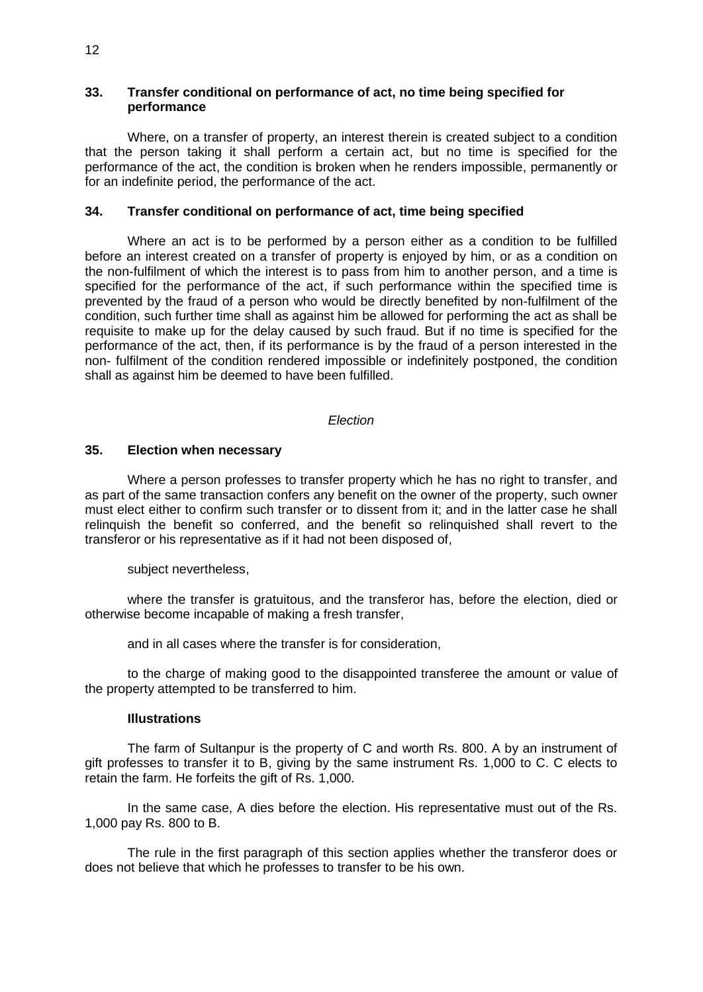#### **33. Transfer conditional on performance of act, no time being specified for performance**

Where, on a transfer of property, an interest therein is created subject to a condition that the person taking it shall perform a certain act, but no time is specified for the performance of the act, the condition is broken when he renders impossible, permanently or for an indefinite period, the performance of the act.

#### **34. Transfer conditional on performance of act, time being specified**

Where an act is to be performed by a person either as a condition to be fulfilled before an interest created on a transfer of property is enjoyed by him, or as a condition on the non-fulfilment of which the interest is to pass from him to another person, and a time is specified for the performance of the act, if such performance within the specified time is prevented by the fraud of a person who would be directly benefited by non-fulfilment of the condition, such further time shall as against him be allowed for performing the act as shall be requisite to make up for the delay caused by such fraud. But if no time is specified for the performance of the act, then, if its performance is by the fraud of a person interested in the non- fulfilment of the condition rendered impossible or indefinitely postponed, the condition shall as against him be deemed to have been fulfilled.

#### *Election*

#### **35. Election when necessary**

Where a person professes to transfer property which he has no right to transfer, and as part of the same transaction confers any benefit on the owner of the property, such owner must elect either to confirm such transfer or to dissent from it; and in the latter case he shall relinquish the benefit so conferred, and the benefit so relinquished shall revert to the transferor or his representative as if it had not been disposed of,

subject nevertheless,

where the transfer is gratuitous, and the transferor has, before the election, died or otherwise become incapable of making a fresh transfer,

and in all cases where the transfer is for consideration,

to the charge of making good to the disappointed transferee the amount or value of the property attempted to be transferred to him.

#### **Illustrations**

The farm of Sultanpur is the property of C and worth Rs. 800. A by an instrument of gift professes to transfer it to B, giving by the same instrument Rs. 1,000 to C. C elects to retain the farm. He forfeits the gift of Rs. 1,000.

In the same case, A dies before the election. His representative must out of the Rs. 1,000 pay Rs. 800 to B.

The rule in the first paragraph of this section applies whether the transferor does or does not believe that which he professes to transfer to be his own.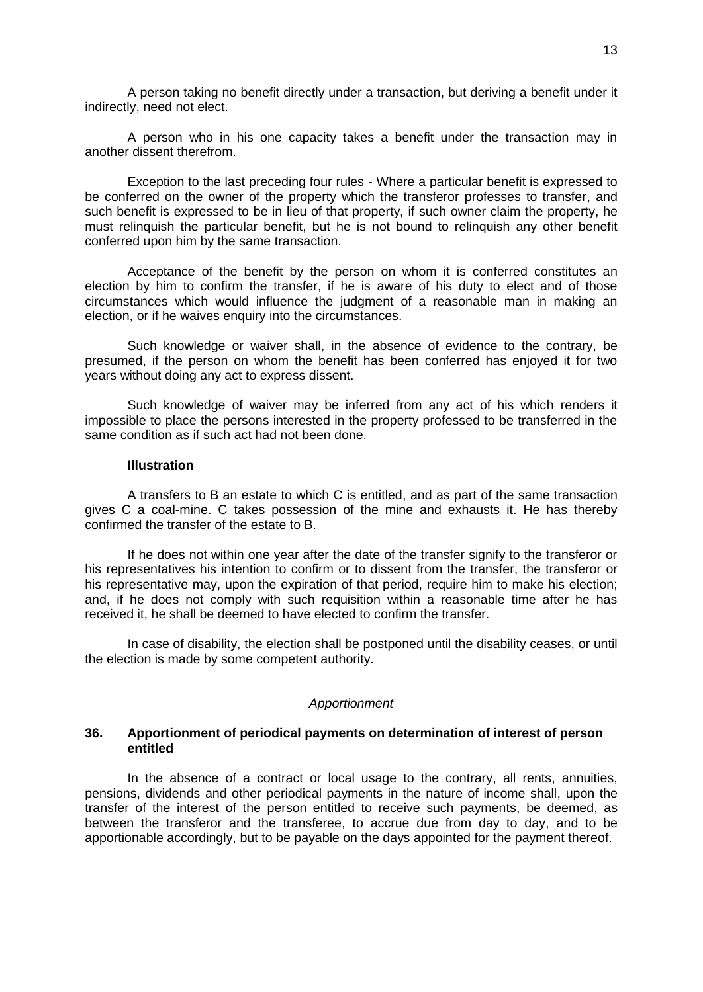A person taking no benefit directly under a transaction, but deriving a benefit under it indirectly, need not elect.

A person who in his one capacity takes a benefit under the transaction may in another dissent therefrom.

Exception to the last preceding four rules - Where a particular benefit is expressed to be conferred on the owner of the property which the transferor professes to transfer, and such benefit is expressed to be in lieu of that property, if such owner claim the property, he must relinquish the particular benefit, but he is not bound to relinquish any other benefit conferred upon him by the same transaction.

Acceptance of the benefit by the person on whom it is conferred constitutes an election by him to confirm the transfer, if he is aware of his duty to elect and of those circumstances which would influence the judgment of a reasonable man in making an election, or if he waives enquiry into the circumstances.

Such knowledge or waiver shall, in the absence of evidence to the contrary, be presumed, if the person on whom the benefit has been conferred has enjoyed it for two years without doing any act to express dissent.

Such knowledge of waiver may be inferred from any act of his which renders it impossible to place the persons interested in the property professed to be transferred in the same condition as if such act had not been done.

#### **Illustration**

A transfers to B an estate to which C is entitled, and as part of the same transaction gives C a coal-mine. C takes possession of the mine and exhausts it. He has thereby confirmed the transfer of the estate to B.

If he does not within one year after the date of the transfer signify to the transferor or his representatives his intention to confirm or to dissent from the transfer, the transferor or his representative may, upon the expiration of that period, require him to make his election; and, if he does not comply with such requisition within a reasonable time after he has received it, he shall be deemed to have elected to confirm the transfer.

In case of disability, the election shall be postponed until the disability ceases, or until the election is made by some competent authority.

#### *Apportionment*

#### **36. Apportionment of periodical payments on determination of interest of person entitled**

In the absence of a contract or local usage to the contrary, all rents, annuities, pensions, dividends and other periodical payments in the nature of income shall, upon the transfer of the interest of the person entitled to receive such payments, be deemed, as between the transferor and the transferee, to accrue due from day to day, and to be apportionable accordingly, but to be payable on the days appointed for the payment thereof.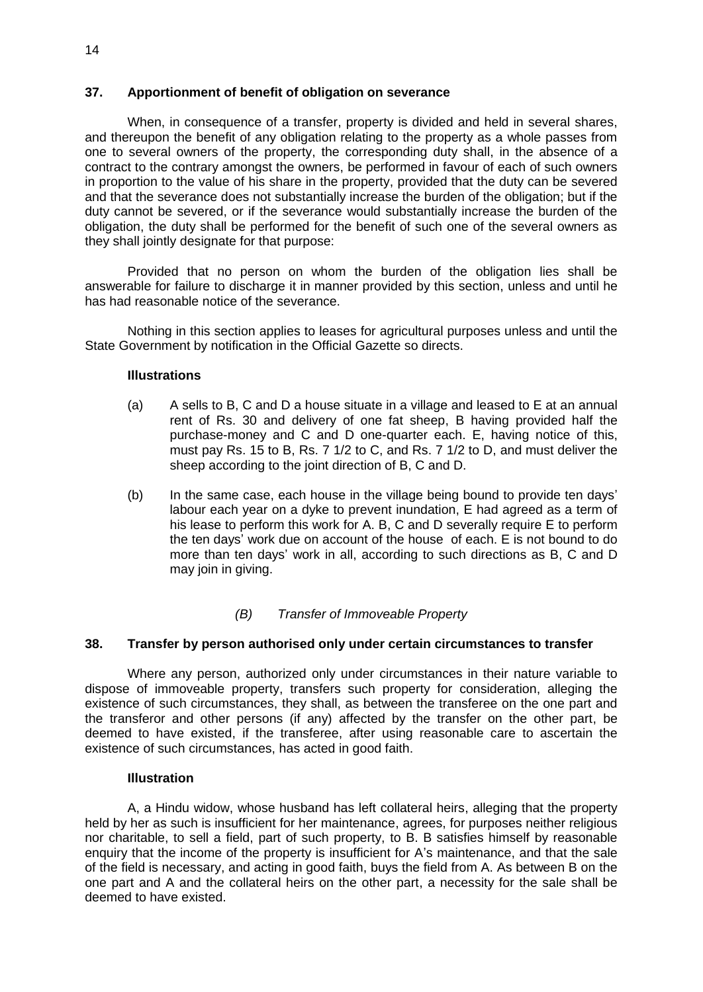#### **37. Apportionment of benefit of obligation on severance**

When, in consequence of a transfer, property is divided and held in several shares, and thereupon the benefit of any obligation relating to the property as a whole passes from one to several owners of the property, the corresponding duty shall, in the absence of a contract to the contrary amongst the owners, be performed in favour of each of such owners in proportion to the value of his share in the property, provided that the duty can be severed and that the severance does not substantially increase the burden of the obligation; but if the duty cannot be severed, or if the severance would substantially increase the burden of the obligation, the duty shall be performed for the benefit of such one of the several owners as they shall jointly designate for that purpose:

Provided that no person on whom the burden of the obligation lies shall be answerable for failure to discharge it in manner provided by this section, unless and until he has had reasonable notice of the severance.

Nothing in this section applies to leases for agricultural purposes unless and until the State Government by notification in the Official Gazette so directs.

#### **Illustrations**

- (a) A sells to B, C and D a house situate in a village and leased to E at an annual rent of Rs. 30 and delivery of one fat sheep, B having provided half the purchase-money and C and D one-quarter each. E, having notice of this, must pay Rs. 15 to B, Rs. 7 1/2 to C, and Rs. 7 1/2 to D, and must deliver the sheep according to the joint direction of B, C and D.
- (b) In the same case, each house in the village being bound to provide ten days' labour each year on a dyke to prevent inundation, E had agreed as a term of his lease to perform this work for A. B, C and D severally require E to perform the ten days' work due on account of the house of each. E is not bound to do more than ten days' work in all, according to such directions as B, C and D may join in giving.

## *(B) Transfer of Immoveable Property*

## **38. Transfer by person authorised only under certain circumstances to transfer**

Where any person, authorized only under circumstances in their nature variable to dispose of immoveable property, transfers such property for consideration, alleging the existence of such circumstances, they shall, as between the transferee on the one part and the transferor and other persons (if any) affected by the transfer on the other part, be deemed to have existed, if the transferee, after using reasonable care to ascertain the existence of such circumstances, has acted in good faith.

#### **Illustration**

A, a Hindu widow, whose husband has left collateral heirs, alleging that the property held by her as such is insufficient for her maintenance, agrees, for purposes neither religious nor charitable, to sell a field, part of such property, to B. B satisfies himself by reasonable enquiry that the income of the property is insufficient for A's maintenance, and that the sale of the field is necessary, and acting in good faith, buys the field from A. As between B on the one part and A and the collateral heirs on the other part, a necessity for the sale shall be deemed to have existed.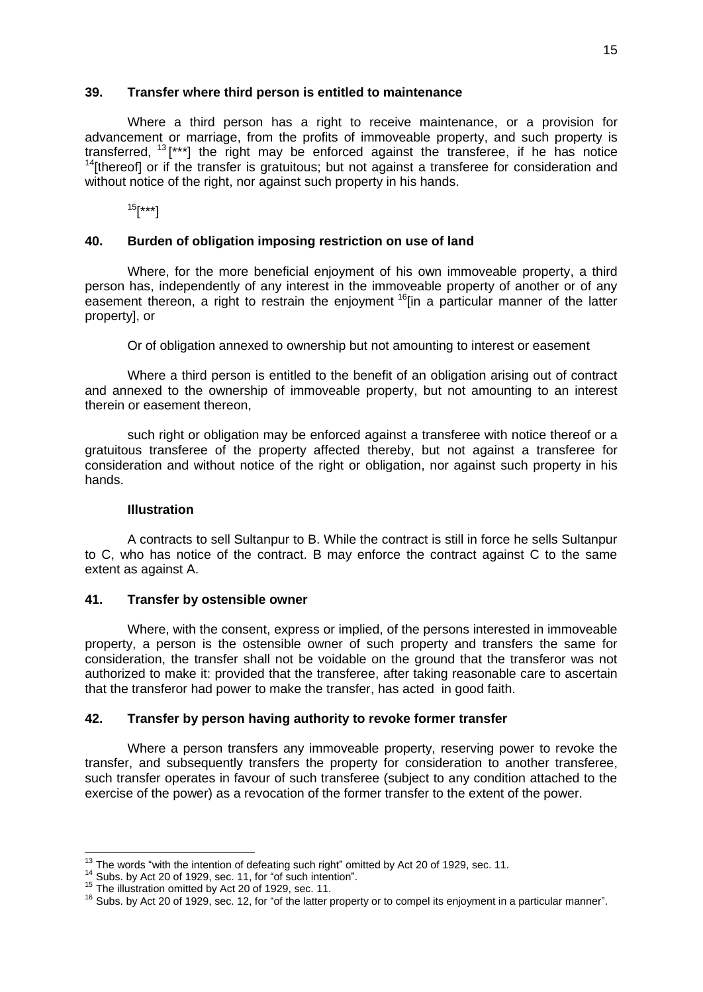#### **39. Transfer where third person is entitled to maintenance**

Where a third person has a right to receive maintenance, or a provision for advancement or marriage, from the profits of immoveable property, and such property is transferred,  $^{13}$ [\*\*\*] the right may be enforced against the transferee, if he has notice  $14$ [thereof] or if the transfer is gratuitous; but not against a transferee for consideration and without notice of the right, nor against such property in his hands.

 $15$ [\*\*\*]

## **40. Burden of obligation imposing restriction on use of land**

Where, for the more beneficial enjoyment of his own immoveable property, a third person has, independently of any interest in the immoveable property of another or of any easement thereon, a right to restrain the enjoyment <sup>16</sup>[in a particular manner of the latter property], or

Or of obligation annexed to ownership but not amounting to interest or easement

Where a third person is entitled to the benefit of an obligation arising out of contract and annexed to the ownership of immoveable property, but not amounting to an interest therein or easement thereon,

such right or obligation may be enforced against a transferee with notice thereof or a gratuitous transferee of the property affected thereby, but not against a transferee for consideration and without notice of the right or obligation, nor against such property in his hands.

## **Illustration**

A contracts to sell Sultanpur to B. While the contract is still in force he sells Sultanpur to C, who has notice of the contract. B may enforce the contract against C to the same extent as against A.

## **41. Transfer by ostensible owner**

Where, with the consent, express or implied, of the persons interested in immoveable property, a person is the ostensible owner of such property and transfers the same for consideration, the transfer shall not be voidable on the ground that the transferor was not authorized to make it: provided that the transferee, after taking reasonable care to ascertain that the transferor had power to make the transfer, has acted in good faith.

## **42. Transfer by person having authority to revoke former transfer**

Where a person transfers any immoveable property, reserving power to revoke the transfer, and subsequently transfers the property for consideration to another transferee, such transfer operates in favour of such transferee (subject to any condition attached to the exercise of the power) as a revocation of the former transfer to the extent of the power.

 $\overline{a}$  $13$  The words "with the intention of defeating such right" omitted by Act 20 of 1929, sec. 11.

<sup>&</sup>lt;sup>14</sup> Subs. by Act 20 of 1929, sec. 11, for "of such intention".

<sup>&</sup>lt;sup>15</sup> The illustration omitted by Act 20 of 1929, sec. 11.

 $16$  Subs. by Act 20 of 1929, sec. 12, for "of the latter property or to compel its enjoyment in a particular manner".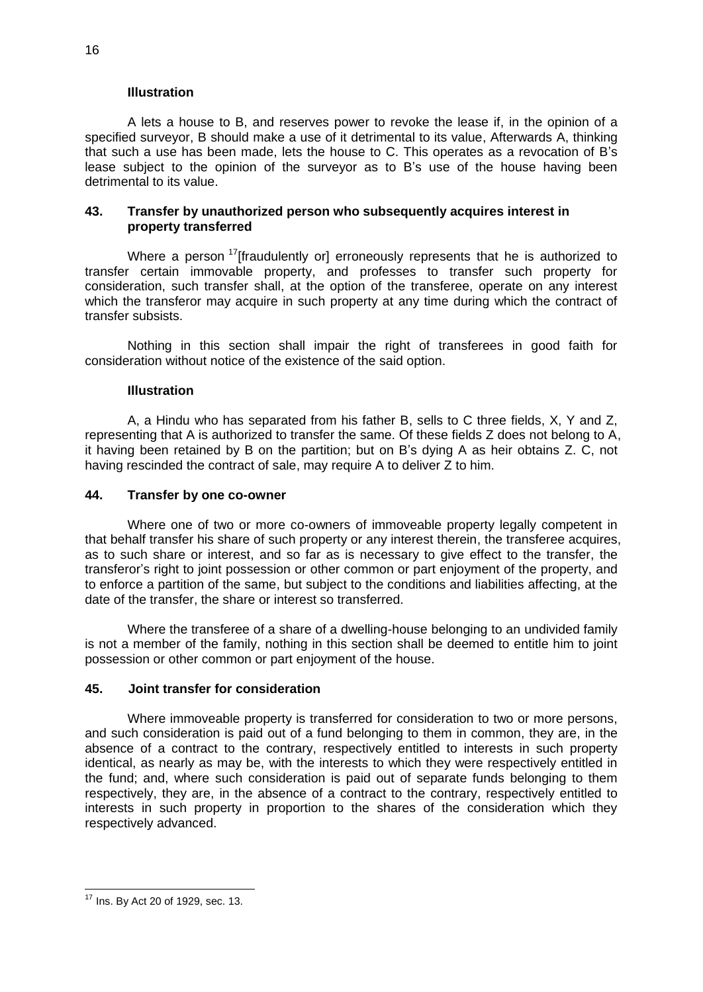#### **Illustration**

A lets a house to B, and reserves power to revoke the lease if, in the opinion of a specified surveyor, B should make a use of it detrimental to its value, Afterwards A, thinking that such a use has been made, lets the house to C. This operates as a revocation of B's lease subject to the opinion of the surveyor as to B's use of the house having been detrimental to its value.

#### **43. Transfer by unauthorized person who subsequently acquires interest in property transferred**

Where a person <sup>17</sup>[fraudulently or] erroneously represents that he is authorized to transfer certain immovable property, and professes to transfer such property for consideration, such transfer shall, at the option of the transferee, operate on any interest which the transferor may acquire in such property at any time during which the contract of transfer subsists.

Nothing in this section shall impair the right of transferees in good faith for consideration without notice of the existence of the said option.

## **Illustration**

A, a Hindu who has separated from his father B, sells to C three fields, X, Y and Z, representing that A is authorized to transfer the same. Of these fields Z does not belong to A, it having been retained by B on the partition; but on B's dying A as heir obtains Z. C, not having rescinded the contract of sale, may require A to deliver Z to him.

#### **44. Transfer by one co-owner**

Where one of two or more co-owners of immoveable property legally competent in that behalf transfer his share of such property or any interest therein, the transferee acquires, as to such share or interest, and so far as is necessary to give effect to the transfer, the transferor's right to joint possession or other common or part enjoyment of the property, and to enforce a partition of the same, but subject to the conditions and liabilities affecting, at the date of the transfer, the share or interest so transferred.

Where the transferee of a share of a dwelling-house belonging to an undivided family is not a member of the family, nothing in this section shall be deemed to entitle him to joint possession or other common or part enjoyment of the house.

## **45. Joint transfer for consideration**

Where immoveable property is transferred for consideration to two or more persons, and such consideration is paid out of a fund belonging to them in common, they are, in the absence of a contract to the contrary, respectively entitled to interests in such property identical, as nearly as may be, with the interests to which they were respectively entitled in the fund; and, where such consideration is paid out of separate funds belonging to them respectively, they are, in the absence of a contract to the contrary, respectively entitled to interests in such property in proportion to the shares of the consideration which they respectively advanced.

<sup>1</sup>  $17$  Ins. By Act 20 of 1929, sec. 13.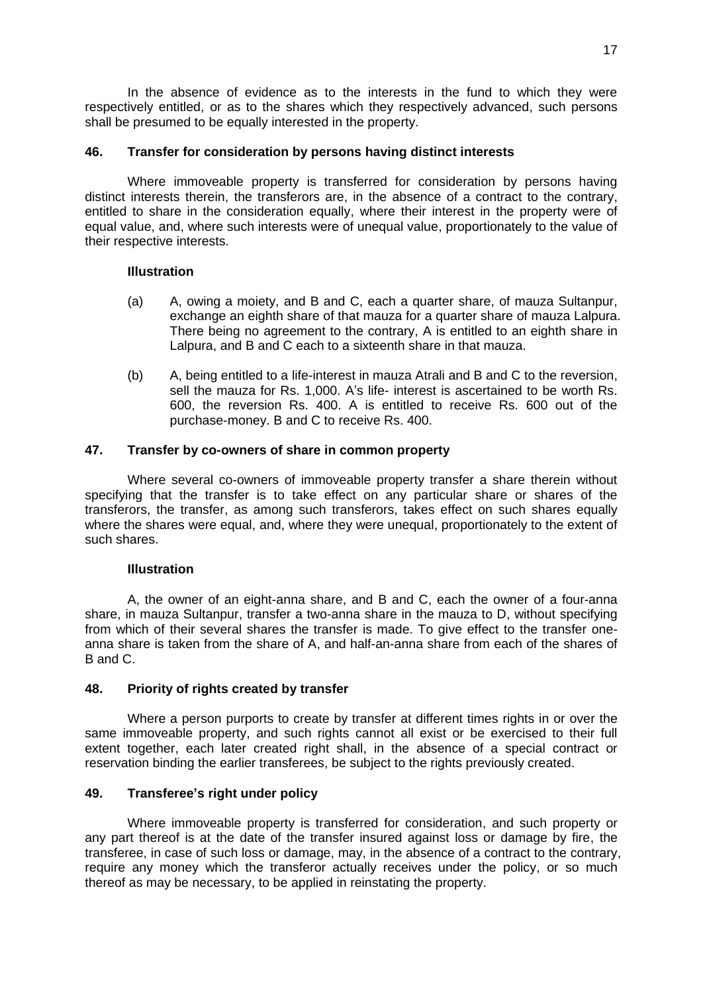In the absence of evidence as to the interests in the fund to which they were respectively entitled, or as to the shares which they respectively advanced, such persons shall be presumed to be equally interested in the property.

## **46. Transfer for consideration by persons having distinct interests**

Where immoveable property is transferred for consideration by persons having distinct interests therein, the transferors are, in the absence of a contract to the contrary, entitled to share in the consideration equally, where their interest in the property were of equal value, and, where such interests were of unequal value, proportionately to the value of their respective interests.

## **Illustration**

- (a) A, owing a moiety, and B and C, each a quarter share, of mauza Sultanpur, exchange an eighth share of that mauza for a quarter share of mauza Lalpura. There being no agreement to the contrary, A is entitled to an eighth share in Lalpura, and B and C each to a sixteenth share in that mauza.
- (b) A, being entitled to a life-interest in mauza Atrali and B and C to the reversion, sell the mauza for Rs. 1,000. A's life- interest is ascertained to be worth Rs. 600, the reversion Rs. 400. A is entitled to receive Rs. 600 out of the purchase-money. B and C to receive Rs. 400.

## **47. Transfer by co-owners of share in common property**

Where several co-owners of immoveable property transfer a share therein without specifying that the transfer is to take effect on any particular share or shares of the transferors, the transfer, as among such transferors, takes effect on such shares equally where the shares were equal, and, where they were unequal, proportionately to the extent of such shares.

#### **Illustration**

A, the owner of an eight-anna share, and B and C, each the owner of a four-anna share, in mauza Sultanpur, transfer a two-anna share in the mauza to D, without specifying from which of their several shares the transfer is made. To give effect to the transfer oneanna share is taken from the share of A, and half-an-anna share from each of the shares of B and C.

## **48. Priority of rights created by transfer**

Where a person purports to create by transfer at different times rights in or over the same immoveable property, and such rights cannot all exist or be exercised to their full extent together, each later created right shall, in the absence of a special contract or reservation binding the earlier transferees, be subject to the rights previously created.

## **49. Transferee's right under policy**

Where immoveable property is transferred for consideration, and such property or any part thereof is at the date of the transfer insured against loss or damage by fire, the transferee, in case of such loss or damage, may, in the absence of a contract to the contrary, require any money which the transferor actually receives under the policy, or so much thereof as may be necessary, to be applied in reinstating the property.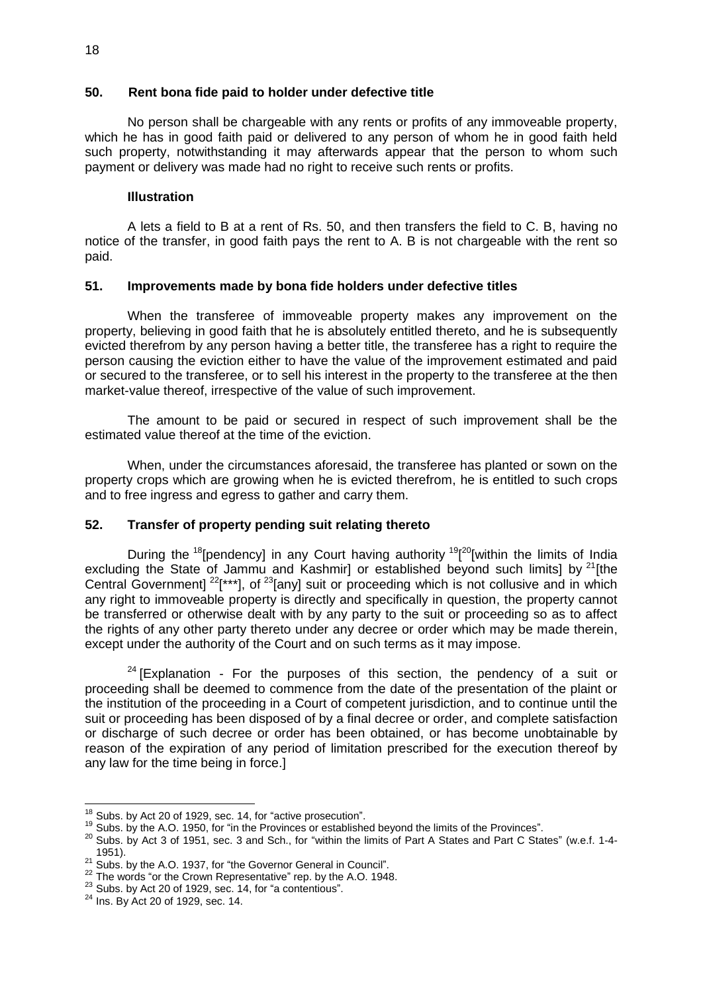#### **50. Rent bona fide paid to holder under defective title**

No person shall be chargeable with any rents or profits of any immoveable property, which he has in good faith paid or delivered to any person of whom he in good faith held such property, notwithstanding it may afterwards appear that the person to whom such payment or delivery was made had no right to receive such rents or profits.

#### **Illustration**

A lets a field to B at a rent of Rs. 50, and then transfers the field to C. B, having no notice of the transfer, in good faith pays the rent to A. B is not chargeable with the rent so paid.

#### **51. Improvements made by bona fide holders under defective titles**

When the transferee of immoveable property makes any improvement on the property, believing in good faith that he is absolutely entitled thereto, and he is subsequently evicted therefrom by any person having a better title, the transferee has a right to require the person causing the eviction either to have the value of the improvement estimated and paid or secured to the transferee, or to sell his interest in the property to the transferee at the then market-value thereof, irrespective of the value of such improvement.

The amount to be paid or secured in respect of such improvement shall be the estimated value thereof at the time of the eviction.

When, under the circumstances aforesaid, the transferee has planted or sown on the property crops which are growing when he is evicted therefrom, he is entitled to such crops and to free ingress and egress to gather and carry them.

#### **52. Transfer of property pending suit relating thereto**

During the <sup>18</sup>[pendency] in any Court having authority  $191^{20}$ [within the limits of India excluding the State of Jammu and Kashmir] or established beyond such limits] by <sup>21</sup>[the Central Government]  $^{22}[***]$ , of  $^{23}[any]$  suit or proceeding which is not collusive and in which any right to immoveable property is directly and specifically in question, the property cannot be transferred or otherwise dealt with by any party to the suit or proceeding so as to affect the rights of any other party thereto under any decree or order which may be made therein, except under the authority of the Court and on such terms as it may impose.

 $24$  [Explanation - For the purposes of this section, the pendency of a suit or proceeding shall be deemed to commence from the date of the presentation of the plaint or the institution of the proceeding in a Court of competent jurisdiction, and to continue until the suit or proceeding has been disposed of by a final decree or order, and complete satisfaction or discharge of such decree or order has been obtained, or has become unobtainable by reason of the expiration of any period of limitation prescribed for the execution thereof by any law for the time being in force.]

 $18$  Subs. by Act 20 of 1929, sec. 14, for "active prosecution".

<sup>&</sup>lt;sup>19</sup> Subs. by the A.O. 1950, for "in the Provinces or established beyond the limits of the Provinces".

<sup>20</sup> Subs. by Act 3 of 1951, sec. 3 and Sch., for "within the limits of Part A States and Part C States" (w.e.f. 1-4- 1951).

<sup>&</sup>lt;sup>21</sup> Subs. by the A.O. 1937, for "the Governor General in Council".

<sup>22</sup> The words "or the Crown Representative" rep. by the A.O. 1948.

<sup>23</sup> Subs. by Act 20 of 1929, sec. 14, for "a contentious".

<sup>24</sup> Ins. By Act 20 of 1929, sec. 14.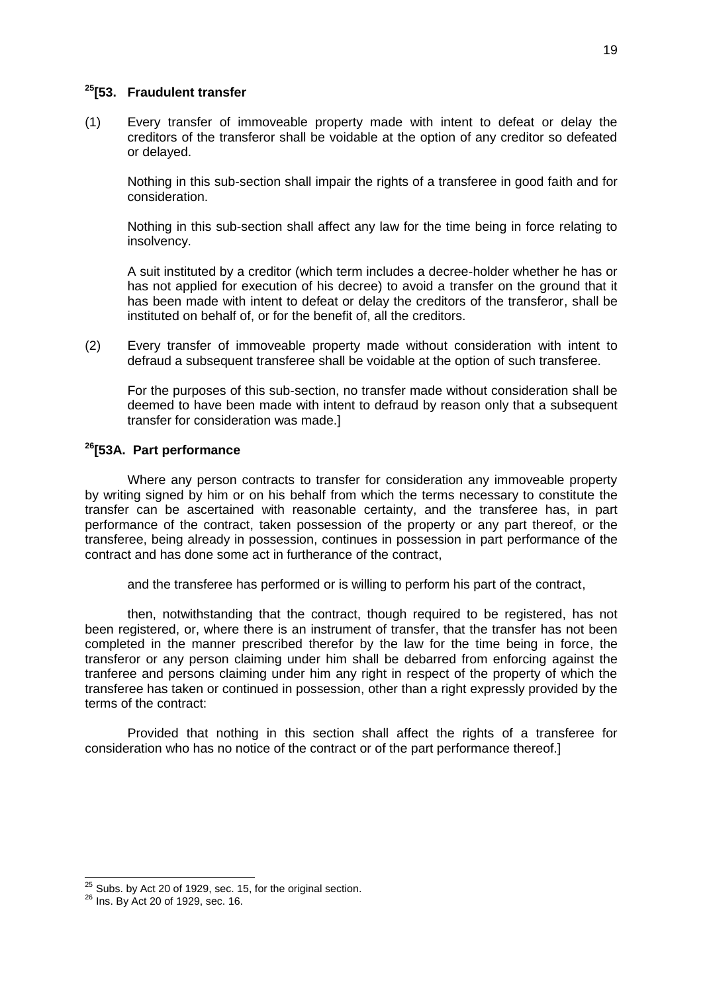#### **<sup>25</sup>[53. Fraudulent transfer**

(1) Every transfer of immoveable property made with intent to defeat or delay the creditors of the transferor shall be voidable at the option of any creditor so defeated or delayed.

Nothing in this sub-section shall impair the rights of a transferee in good faith and for consideration.

Nothing in this sub-section shall affect any law for the time being in force relating to insolvency.

A suit instituted by a creditor (which term includes a decree-holder whether he has or has not applied for execution of his decree) to avoid a transfer on the ground that it has been made with intent to defeat or delay the creditors of the transferor, shall be instituted on behalf of, or for the benefit of, all the creditors.

(2) Every transfer of immoveable property made without consideration with intent to defraud a subsequent transferee shall be voidable at the option of such transferee.

For the purposes of this sub-section, no transfer made without consideration shall be deemed to have been made with intent to defraud by reason only that a subsequent transfer for consideration was made.]

## **<sup>26</sup>[53A. Part performance**

Where any person contracts to transfer for consideration any immoveable property by writing signed by him or on his behalf from which the terms necessary to constitute the transfer can be ascertained with reasonable certainty, and the transferee has, in part performance of the contract, taken possession of the property or any part thereof, or the transferee, being already in possession, continues in possession in part performance of the contract and has done some act in furtherance of the contract,

and the transferee has performed or is willing to perform his part of the contract,

then, notwithstanding that the contract, though required to be registered, has not been registered, or, where there is an instrument of transfer, that the transfer has not been completed in the manner prescribed therefor by the law for the time being in force, the transferor or any person claiming under him shall be debarred from enforcing against the tranferee and persons claiming under him any right in respect of the property of which the transferee has taken or continued in possession, other than a right expressly provided by the terms of the contract:

Provided that nothing in this section shall affect the rights of a transferee for consideration who has no notice of the contract or of the part performance thereof.]

 $\overline{a}$ 

 $25$  Subs. by Act 20 of 1929, sec. 15, for the original section.

<sup>26</sup> Ins. By Act 20 of 1929, sec. 16.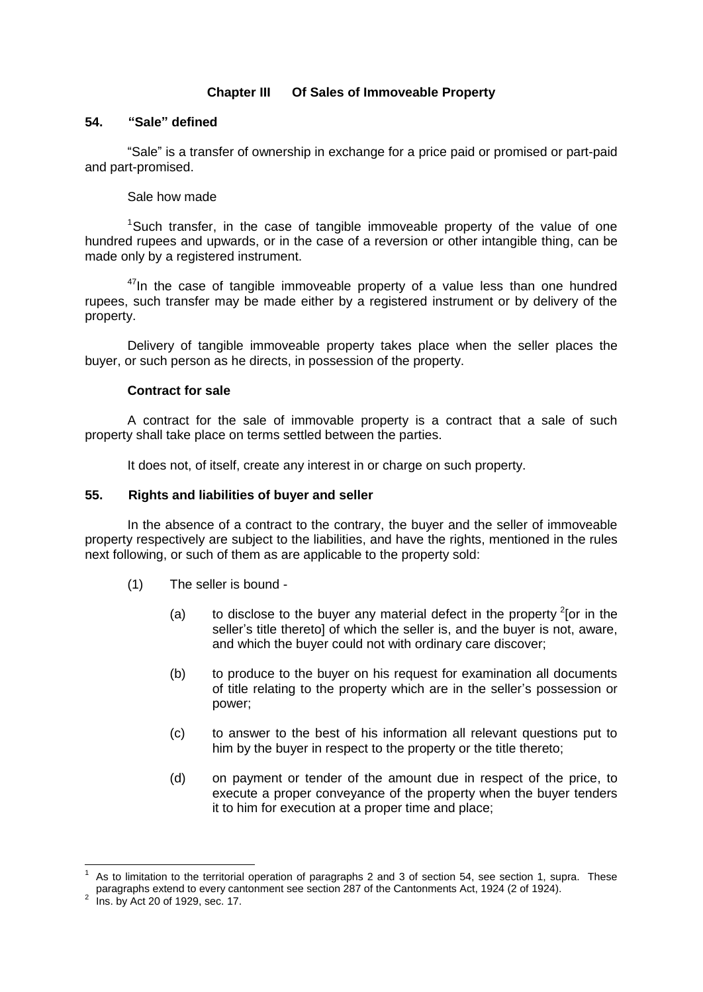## **Chapter III Of Sales of Immoveable Property**

## **54. "Sale" defined**

"Sale" is a transfer of ownership in exchange for a price paid or promised or part-paid and part-promised.

## Sale how made

<sup>1</sup>Such transfer, in the case of tangible immoveable property of the value of one hundred rupees and upwards, or in the case of a reversion or other intangible thing, can be made only by a registered instrument.

 $47$ In the case of tangible immoveable property of a value less than one hundred rupees, such transfer may be made either by a registered instrument or by delivery of the property.

Delivery of tangible immoveable property takes place when the seller places the buyer, or such person as he directs, in possession of the property.

## **Contract for sale**

A contract for the sale of immovable property is a contract that a sale of such property shall take place on terms settled between the parties.

It does not, of itself, create any interest in or charge on such property.

## **55. Rights and liabilities of buyer and seller**

In the absence of a contract to the contrary, the buyer and the seller of immoveable property respectively are subject to the liabilities, and have the rights, mentioned in the rules next following, or such of them as are applicable to the property sold:

- (1) The seller is bound
	- (a) to disclose to the buyer any material defect in the property  $2$  [or in the seller's title thereto] of which the seller is, and the buyer is not, aware, and which the buyer could not with ordinary care discover;
	- (b) to produce to the buyer on his request for examination all documents of title relating to the property which are in the seller's possession or power;
	- (c) to answer to the best of his information all relevant questions put to him by the buyer in respect to the property or the title thereto;
	- (d) on payment or tender of the amount due in respect of the price, to execute a proper conveyance of the property when the buyer tenders it to him for execution at a proper time and place;

As to limitation to the territorial operation of paragraphs 2 and 3 of section 54, see section 1, supra. These paragraphs extend to every cantonment see section 287 of the Cantonments Act, 1924 (2 of 1924).

<sup>2</sup> Ins. by Act 20 of 1929, sec. 17.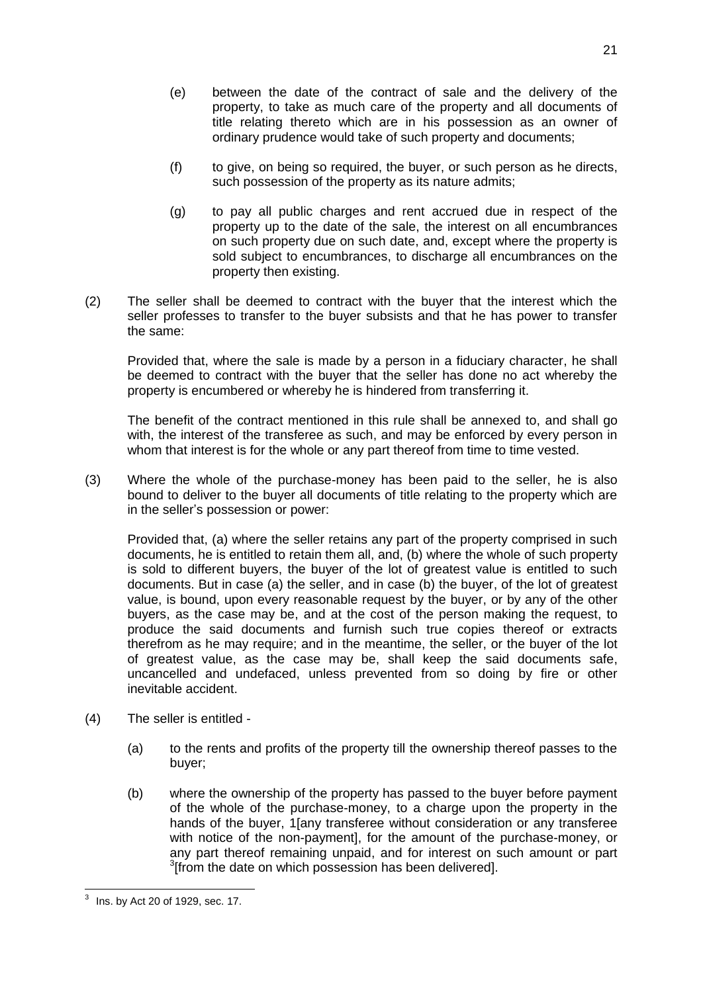- (e) between the date of the contract of sale and the delivery of the property, to take as much care of the property and all documents of title relating thereto which are in his possession as an owner of ordinary prudence would take of such property and documents;
- (f) to give, on being so required, the buyer, or such person as he directs, such possession of the property as its nature admits;
- (g) to pay all public charges and rent accrued due in respect of the property up to the date of the sale, the interest on all encumbrances on such property due on such date, and, except where the property is sold subject to encumbrances, to discharge all encumbrances on the property then existing.
- (2) The seller shall be deemed to contract with the buyer that the interest which the seller professes to transfer to the buyer subsists and that he has power to transfer the same:

Provided that, where the sale is made by a person in a fiduciary character, he shall be deemed to contract with the buyer that the seller has done no act whereby the property is encumbered or whereby he is hindered from transferring it.

The benefit of the contract mentioned in this rule shall be annexed to, and shall go with, the interest of the transferee as such, and may be enforced by every person in whom that interest is for the whole or any part thereof from time to time vested.

(3) Where the whole of the purchase-money has been paid to the seller, he is also bound to deliver to the buyer all documents of title relating to the property which are in the seller's possession or power:

Provided that, (a) where the seller retains any part of the property comprised in such documents, he is entitled to retain them all, and, (b) where the whole of such property is sold to different buyers, the buyer of the lot of greatest value is entitled to such documents. But in case (a) the seller, and in case (b) the buyer, of the lot of greatest value, is bound, upon every reasonable request by the buyer, or by any of the other buyers, as the case may be, and at the cost of the person making the request, to produce the said documents and furnish such true copies thereof or extracts therefrom as he may require; and in the meantime, the seller, or the buyer of the lot of greatest value, as the case may be, shall keep the said documents safe, uncancelled and undefaced, unless prevented from so doing by fire or other inevitable accident.

- (4) The seller is entitled
	- (a) to the rents and profits of the property till the ownership thereof passes to the buyer;
	- (b) where the ownership of the property has passed to the buyer before payment of the whole of the purchase-money, to a charge upon the property in the hands of the buyer, 1[any transferee without consideration or any transferee with notice of the non-payment], for the amount of the purchase-money, or any part thereof remaining unpaid, and for interest on such amount or part  $3$ [from the date on which possession has been delivered].

 3 Ins. by Act 20 of 1929, sec. 17.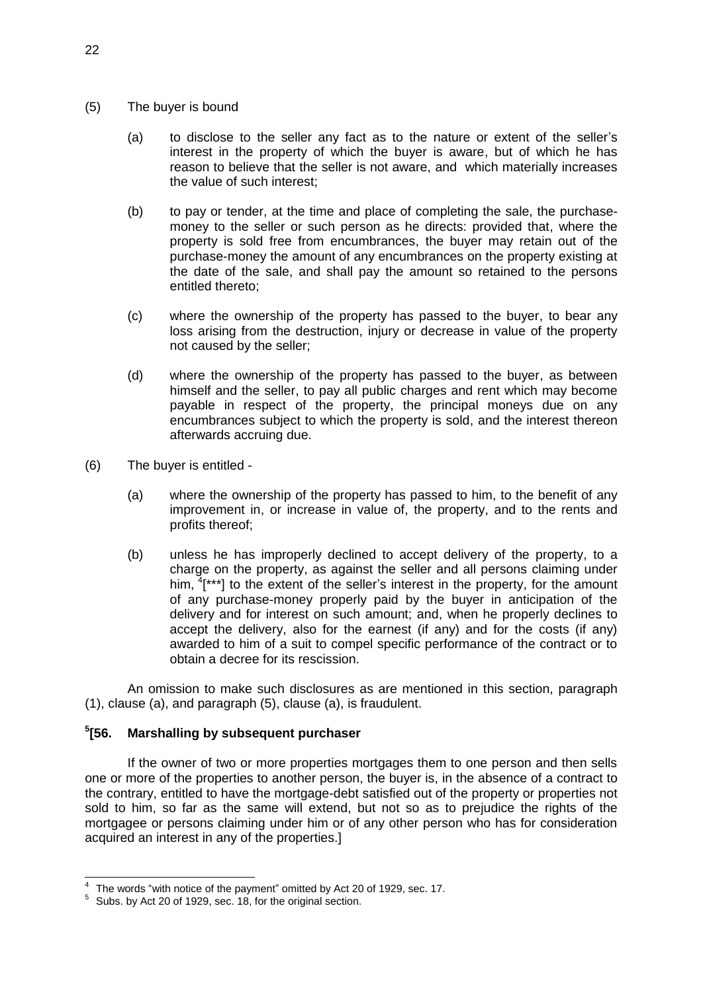#### (5) The buyer is bound

- (a) to disclose to the seller any fact as to the nature or extent of the seller's interest in the property of which the buyer is aware, but of which he has reason to believe that the seller is not aware, and which materially increases the value of such interest;
- (b) to pay or tender, at the time and place of completing the sale, the purchasemoney to the seller or such person as he directs: provided that, where the property is sold free from encumbrances, the buyer may retain out of the purchase-money the amount of any encumbrances on the property existing at the date of the sale, and shall pay the amount so retained to the persons entitled thereto;
- (c) where the ownership of the property has passed to the buyer, to bear any loss arising from the destruction, injury or decrease in value of the property not caused by the seller;
- (d) where the ownership of the property has passed to the buyer, as between himself and the seller, to pay all public charges and rent which may become payable in respect of the property, the principal moneys due on any encumbrances subject to which the property is sold, and the interest thereon afterwards accruing due.
- (6) The buyer is entitled
	- (a) where the ownership of the property has passed to him, to the benefit of any improvement in, or increase in value of, the property, and to the rents and profits thereof;
	- (b) unless he has improperly declined to accept delivery of the property, to a charge on the property, as against the seller and all persons claiming under him,  $4$ [\*\*\*] to the extent of the seller's interest in the property, for the amount of any purchase-money properly paid by the buyer in anticipation of the delivery and for interest on such amount; and, when he properly declines to accept the delivery, also for the earnest (if any) and for the costs (if any) awarded to him of a suit to compel specific performance of the contract or to obtain a decree for its rescission.

An omission to make such disclosures as are mentioned in this section, paragraph (1), clause (a), and paragraph (5), clause (a), is fraudulent.

#### $^{5}$ [56. **[56. Marshalling by subsequent purchaser**

If the owner of two or more properties mortgages them to one person and then sells one or more of the properties to another person, the buyer is, in the absence of a contract to the contrary, entitled to have the mortgage-debt satisfied out of the property or properties not sold to him, so far as the same will extend, but not so as to prejudice the rights of the mortgagee or persons claiming under him or of any other person who has for consideration acquired an interest in any of the properties.]

 4 The words "with notice of the payment" omitted by Act 20 of 1929, sec. 17.

<sup>5</sup> Subs. by Act 20 of 1929, sec. 18, for the original section.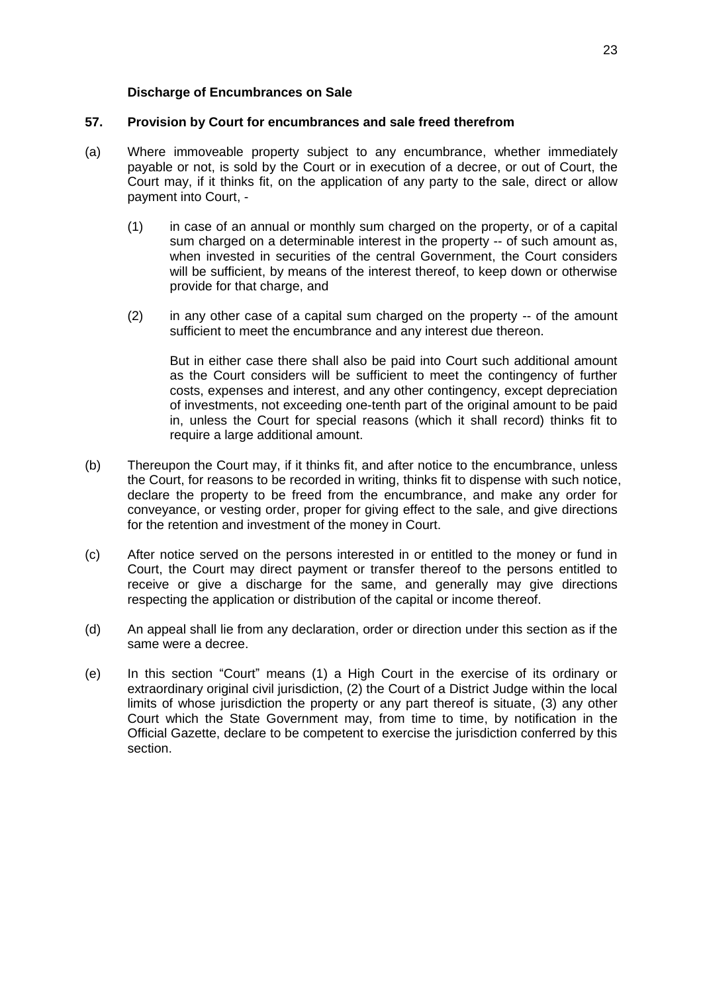#### **Discharge of Encumbrances on Sale**

#### **57. Provision by Court for encumbrances and sale freed therefrom**

- (a) Where immoveable property subject to any encumbrance, whether immediately payable or not, is sold by the Court or in execution of a decree, or out of Court, the Court may, if it thinks fit, on the application of any party to the sale, direct or allow payment into Court, -
	- (1) in case of an annual or monthly sum charged on the property, or of a capital sum charged on a determinable interest in the property -- of such amount as, when invested in securities of the central Government, the Court considers will be sufficient, by means of the interest thereof, to keep down or otherwise provide for that charge, and
	- (2) in any other case of a capital sum charged on the property -- of the amount sufficient to meet the encumbrance and any interest due thereon.

But in either case there shall also be paid into Court such additional amount as the Court considers will be sufficient to meet the contingency of further costs, expenses and interest, and any other contingency, except depreciation of investments, not exceeding one-tenth part of the original amount to be paid in, unless the Court for special reasons (which it shall record) thinks fit to require a large additional amount.

- (b) Thereupon the Court may, if it thinks fit, and after notice to the encumbrance, unless the Court, for reasons to be recorded in writing, thinks fit to dispense with such notice, declare the property to be freed from the encumbrance, and make any order for conveyance, or vesting order, proper for giving effect to the sale, and give directions for the retention and investment of the money in Court.
- (c) After notice served on the persons interested in or entitled to the money or fund in Court, the Court may direct payment or transfer thereof to the persons entitled to receive or give a discharge for the same, and generally may give directions respecting the application or distribution of the capital or income thereof.
- (d) An appeal shall lie from any declaration, order or direction under this section as if the same were a decree.
- (e) In this section "Court" means (1) a High Court in the exercise of its ordinary or extraordinary original civil jurisdiction, (2) the Court of a District Judge within the local limits of whose jurisdiction the property or any part thereof is situate, (3) any other Court which the State Government may, from time to time, by notification in the Official Gazette, declare to be competent to exercise the jurisdiction conferred by this section.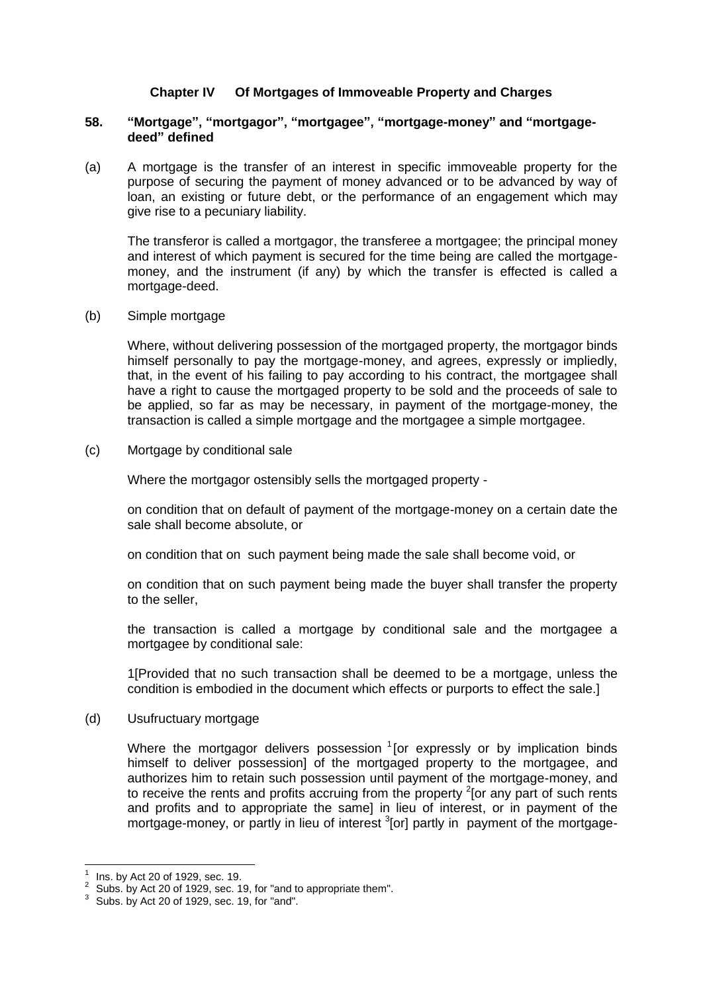## **Chapter IV Of Mortgages of Immoveable Property and Charges**

#### **58. "Mortgage", "mortgagor", "mortgagee", "mortgage-money" and "mortgagedeed" defined**

(a) A mortgage is the transfer of an interest in specific immoveable property for the purpose of securing the payment of money advanced or to be advanced by way of loan, an existing or future debt, or the performance of an engagement which may give rise to a pecuniary liability.

The transferor is called a mortgagor, the transferee a mortgagee; the principal money and interest of which payment is secured for the time being are called the mortgagemoney, and the instrument (if any) by which the transfer is effected is called a mortgage-deed.

(b) Simple mortgage

Where, without delivering possession of the mortgaged property, the mortgagor binds himself personally to pay the mortgage-money, and agrees, expressly or impliedly, that, in the event of his failing to pay according to his contract, the mortgagee shall have a right to cause the mortgaged property to be sold and the proceeds of sale to be applied, so far as may be necessary, in payment of the mortgage-money, the transaction is called a simple mortgage and the mortgagee a simple mortgagee.

(c) Mortgage by conditional sale

Where the mortgagor ostensibly sells the mortgaged property -

on condition that on default of payment of the mortgage-money on a certain date the sale shall become absolute, or

on condition that on such payment being made the sale shall become void, or

on condition that on such payment being made the buyer shall transfer the property to the seller,

the transaction is called a mortgage by conditional sale and the mortgagee a mortgagee by conditional sale:

1[Provided that no such transaction shall be deemed to be a mortgage, unless the condition is embodied in the document which effects or purports to effect the sale.]

(d) Usufructuary mortgage

Where the mortgagor delivers possession  $1$  [or expressly or by implication binds himself to deliver possession] of the mortgaged property to the mortgagee, and authorizes him to retain such possession until payment of the mortgage-money, and to receive the rents and profits accruing from the property  $2$  [or any part of such rents and profits and to appropriate the same] in lieu of interest, or in payment of the mortgage-money, or partly in lieu of interest <sup>3</sup>[or] partly in payment of the mortgage-

 $1$  Ins. by Act 20 of 1929, sec. 19.

<sup>&</sup>lt;sup>2</sup> Subs. by Act 20 of 1929, sec. 19, for "and to appropriate them".

Subs. by Act 20 of 1929, sec. 19, for "and".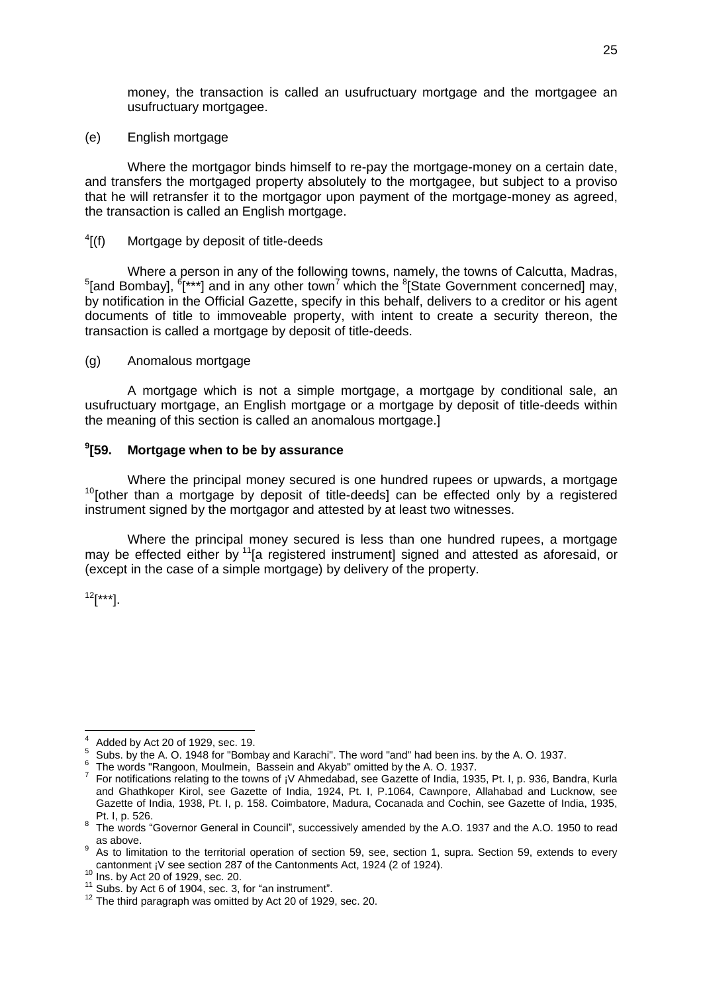money, the transaction is called an usufructuary mortgage and the mortgagee an usufructuary mortgagee.

(e) English mortgage

Where the mortgagor binds himself to re-pay the mortgage-money on a certain date, and transfers the mortgaged property absolutely to the mortgagee, but subject to a proviso that he will retransfer it to the mortgagor upon payment of the mortgage-money as agreed, the transaction is called an English mortgage.

#### $4$ <sup>(f)</sup> Mortgage by deposit of title-deeds

Where a person in any of the following towns, namely, the towns of Calcutta, Madras,  $\mathcal{F}$ [and Bombay],  $\mathcal{F}$ <sup>[\*\*\*</sup>] and in any other town<sup>7</sup> which the  $\mathcal{F}$ [State Government concerned] may, by notification in the Official Gazette, specify in this behalf, delivers to a creditor or his agent documents of title to immoveable property, with intent to create a security thereon, the transaction is called a mortgage by deposit of title-deeds.

(g) Anomalous mortgage

A mortgage which is not a simple mortgage, a mortgage by conditional sale, an usufructuary mortgage, an English mortgage or a mortgage by deposit of title-deeds within the meaning of this section is called an anomalous mortgage.]

#### **9 [59. Mortgage when to be by assurance**

Where the principal money secured is one hundred rupees or upwards, a mortgage  $10$ [other than a mortgage by deposit of title-deeds] can be effected only by a registered instrument signed by the mortgagor and attested by at least two witnesses.

Where the principal money secured is less than one hundred rupees, a mortgage may be effected either by <sup>11</sup>[a registered instrument] signed and attested as aforesaid, or (except in the case of a simple mortgage) by delivery of the property.

 $12$ [\*\*\*].

 $4$  Added by Act 20 of 1929, sec. 19.

 $5<sup>5</sup>$  Subs. by the A. O. 1948 for "Bombay and Karachi". The word "and" had been ins. by the A. O. 1937.

<sup>6</sup> The words "Rangoon, Moulmein, Bassein and Akyab" omitted by the A. O. 1937.

 $^7$  For notifications relating to the towns of ¡V Ahmedabad, see Gazette of India, 1935, Pt. I, p. 936, Bandra, Kurla and Ghathkoper Kirol, see Gazette of India, 1924, Pt. I, P.1064, Cawnpore, Allahabad and Lucknow, see Gazette of India, 1938, Pt. I, p. 158. Coimbatore, Madura, Cocanada and Cochin, see Gazette of India, 1935, Pt. I, p. 526.

<sup>&</sup>lt;sup>8</sup> The words "Governor General in Council", successively amended by the A.O. 1937 and the A.O. 1950 to read as above.

<sup>9</sup> As to limitation to the territorial operation of section 59, see, section 1, supra. Section 59, extends to every cantonment ¡V see section 287 of the Cantonments Act, 1924 (2 of 1924).

<sup>10</sup> Ins. by Act 20 of 1929, sec. 20.

 $11$  Subs. by Act 6 of 1904, sec. 3, for "an instrument".

<sup>&</sup>lt;sup>12</sup> The third paragraph was omitted by Act 20 of 1929, sec. 20.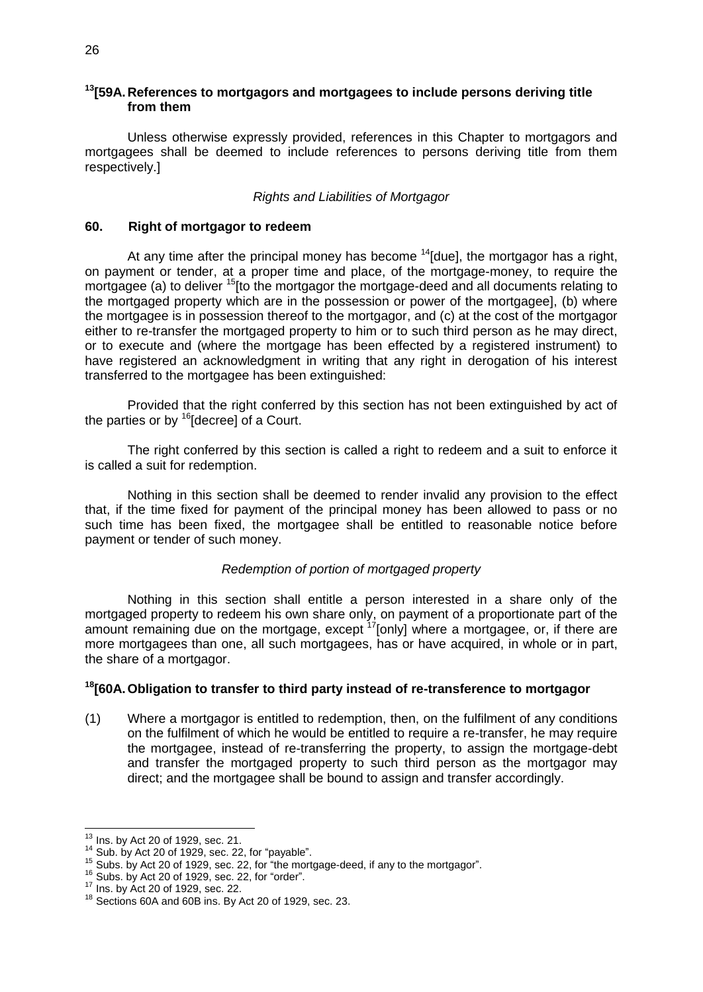#### **<sup>13</sup>[59A.References to mortgagors and mortgagees to include persons deriving title from them**

Unless otherwise expressly provided, references in this Chapter to mortgagors and mortgagees shall be deemed to include references to persons deriving title from them respectively.]

## *Rights and Liabilities of Mortgagor*

## **60. Right of mortgagor to redeem**

At any time after the principal money has become  $14$ [due], the mortgagor has a right, on payment or tender, at a proper time and place, of the mortgage-money, to require the mortgagee (a) to deliver <sup>15</sup>[to the mortgagor the mortgage-deed and all documents relating to the mortgaged property which are in the possession or power of the mortgagee], (b) where the mortgagee is in possession thereof to the mortgagor, and (c) at the cost of the mortgagor either to re-transfer the mortgaged property to him or to such third person as he may direct, or to execute and (where the mortgage has been effected by a registered instrument) to have registered an acknowledgment in writing that any right in derogation of his interest transferred to the mortgagee has been extinguished:

Provided that the right conferred by this section has not been extinguished by act of the parties or by  $16$ [decree] of a Court.

The right conferred by this section is called a right to redeem and a suit to enforce it is called a suit for redemption.

Nothing in this section shall be deemed to render invalid any provision to the effect that, if the time fixed for payment of the principal money has been allowed to pass or no such time has been fixed, the mortgagee shall be entitled to reasonable notice before payment or tender of such money.

#### *Redemption of portion of mortgaged property*

Nothing in this section shall entitle a person interested in a share only of the mortgaged property to redeem his own share only, on payment of a proportionate part of the amount remaining due on the mortgage, except  $17$ [only] where a mortgagee, or, if there are more mortgagees than one, all such mortgagees, has or have acquired, in whole or in part, the share of a mortgagor.

## **<sup>18</sup>[60A.Obligation to transfer to third party instead of re-transference to mortgagor**

(1) Where a mortgagor is entitled to redemption, then, on the fulfilment of any conditions on the fulfilment of which he would be entitled to require a re-transfer, he may require the mortgagee, instead of re-transferring the property, to assign the mortgage-debt and transfer the mortgaged property to such third person as the mortgagor may direct; and the mortgagee shall be bound to assign and transfer accordingly.

<sup>1</sup>  $13$  Ins. by Act 20 of 1929, sec. 21.

 $14$  Sub. by Act 20 of 1929, sec. 22, for "payable".

 $15$  Subs. by Act 20 of 1929, sec. 22, for "the mortgage-deed, if any to the mortgagor".

<sup>16</sup> Subs. by Act 20 of 1929, sec. 22, for "order".

 $17$  Ins. by Act 20 of 1929, sec. 22.

 $18$  Sections 60A and 60B ins. By Act 20 of 1929, sec. 23.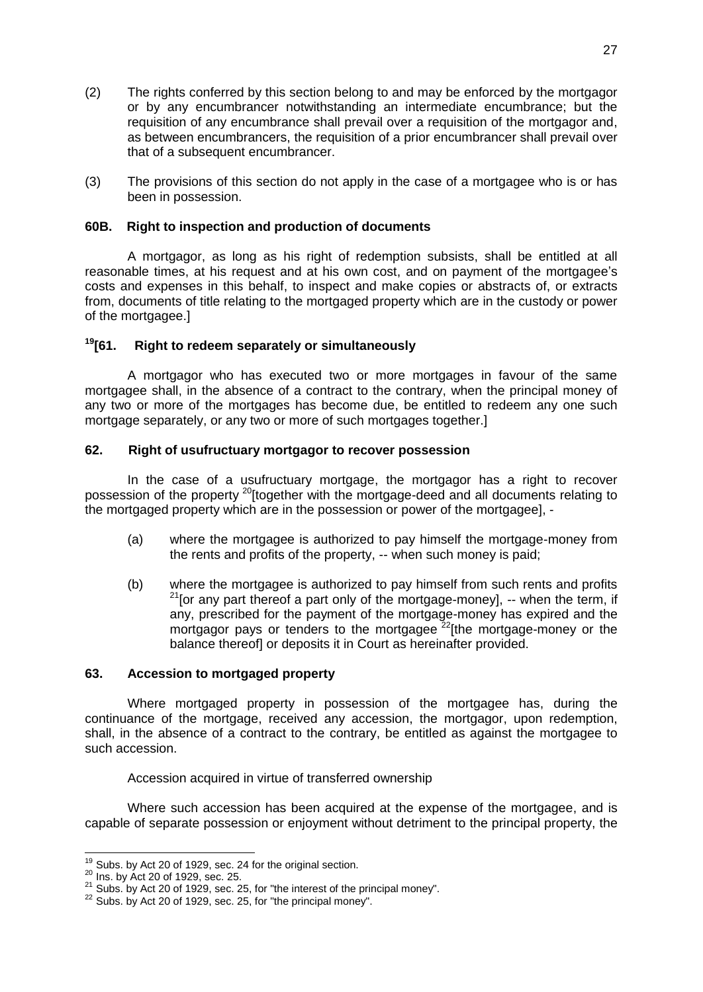- (2) The rights conferred by this section belong to and may be enforced by the mortgagor or by any encumbrancer notwithstanding an intermediate encumbrance; but the requisition of any encumbrance shall prevail over a requisition of the mortgagor and, as between encumbrancers, the requisition of a prior encumbrancer shall prevail over that of a subsequent encumbrancer.
- (3) The provisions of this section do not apply in the case of a mortgagee who is or has been in possession.

## **60B. Right to inspection and production of documents**

A mortgagor, as long as his right of redemption subsists, shall be entitled at all reasonable times, at his request and at his own cost, and on payment of the mortgagee's costs and expenses in this behalf, to inspect and make copies or abstracts of, or extracts from, documents of title relating to the mortgaged property which are in the custody or power of the mortgagee.]

# **<sup>19</sup>[61. Right to redeem separately or simultaneously**

A mortgagor who has executed two or more mortgages in favour of the same mortgagee shall, in the absence of a contract to the contrary, when the principal money of any two or more of the mortgages has become due, be entitled to redeem any one such mortgage separately, or any two or more of such mortgages together.]

## **62. Right of usufructuary mortgagor to recover possession**

In the case of a usufructuary mortgage, the mortgagor has a right to recover possession of the property <sup>20</sup>[together with the mortgage-deed and all documents relating to the mortgaged property which are in the possession or power of the mortgagee], -

- (a) where the mortgagee is authorized to pay himself the mortgage-money from the rents and profits of the property, -- when such money is paid;
- (b) where the mortgagee is authorized to pay himself from such rents and profits  $21$ [or any part thereof a part only of the mortgage-money],  $-$  when the term, if any, prescribed for the payment of the mortgage-money has expired and the mortgagor pays or tenders to the mortgagee  $22$ [the mortgage-money or the balance thereof] or deposits it in Court as hereinafter provided.

#### **63. Accession to mortgaged property**

Where mortgaged property in possession of the mortgagee has, during the continuance of the mortgage, received any accession, the mortgagor, upon redemption, shall, in the absence of a contract to the contrary, be entitled as against the mortgagee to such accession.

Accession acquired in virtue of transferred ownership

Where such accession has been acquired at the expense of the mortgagee, and is capable of separate possession or enjoyment without detriment to the principal property, the

 $\overline{a}$ 

<sup>&</sup>lt;sup>19</sup> Subs. by Act 20 of 1929, sec. 24 for the original section.

<sup>20</sup> Ins. by Act 20 of 1929, sec. 25.

 $21$  Subs. by Act 20 of 1929, sec. 25, for "the interest of the principal money".

 $22$  Subs. by Act 20 of 1929, sec. 25, for "the principal money".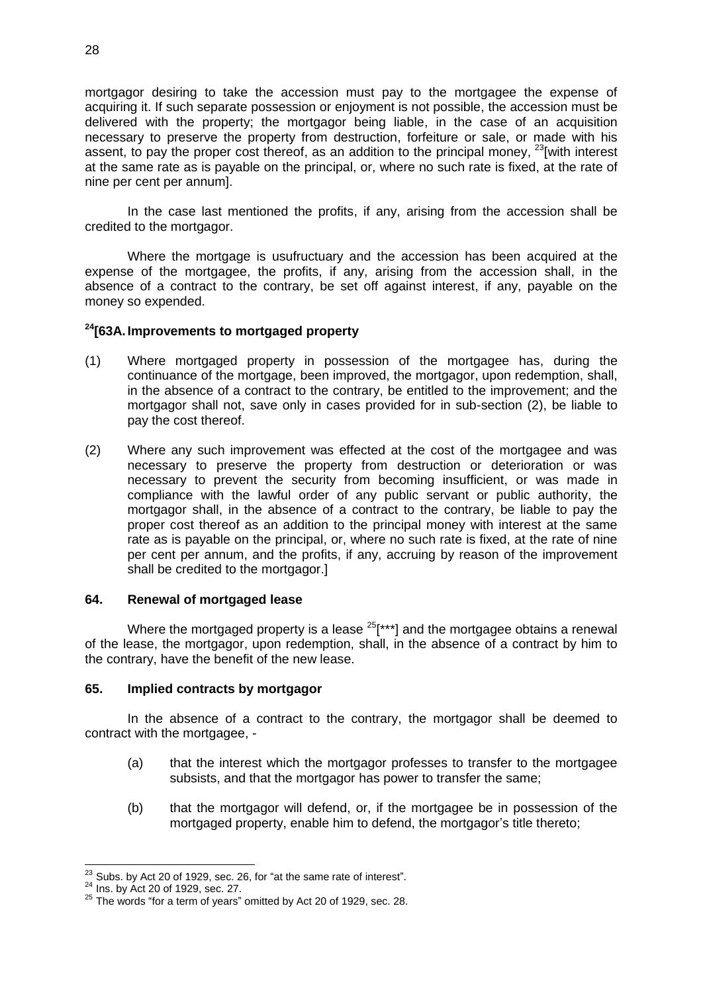mortgagor desiring to take the accession must pay to the mortgagee the expense of acquiring it. If such separate possession or enjoyment is not possible, the accession must be delivered with the property; the mortgagor being liable, in the case of an acquisition necessary to preserve the property from destruction, forfeiture or sale, or made with his assent, to pay the proper cost thereof, as an addition to the principal money, <sup>23</sup>[with interest at the same rate as is payable on the principal, or, where no such rate is fixed, at the rate of nine per cent per annum].

In the case last mentioned the profits, if any, arising from the accession shall be credited to the mortgagor.

Where the mortgage is usufructuary and the accession has been acquired at the expense of the mortgagee, the profits, if any, arising from the accession shall, in the absence of a contract to the contrary, be set off against interest, if any, payable on the money so expended.

## **<sup>24</sup>[63A.Improvements to mortgaged property**

- (1) Where mortgaged property in possession of the mortgagee has, during the continuance of the mortgage, been improved, the mortgagor, upon redemption, shall, in the absence of a contract to the contrary, be entitled to the improvement; and the mortgagor shall not, save only in cases provided for in sub-section (2), be liable to pay the cost thereof.
- (2) Where any such improvement was effected at the cost of the mortgagee and was necessary to preserve the property from destruction or deterioration or was necessary to prevent the security from becoming insufficient, or was made in compliance with the lawful order of any public servant or public authority, the mortgagor shall, in the absence of a contract to the contrary, be liable to pay the proper cost thereof as an addition to the principal money with interest at the same rate as is payable on the principal, or, where no such rate is fixed, at the rate of nine per cent per annum, and the profits, if any, accruing by reason of the improvement shall be credited to the mortgagor.]

## **64. Renewal of mortgaged lease**

Where the mortgaged property is a lease  $25$ [\*\*\*] and the mortgagee obtains a renewal of the lease, the mortgagor, upon redemption, shall, in the absence of a contract by him to the contrary, have the benefit of the new lease.

## **65. Implied contracts by mortgagor**

In the absence of a contract to the contrary, the mortgagor shall be deemed to contract with the mortgagee, -

- (a) that the interest which the mortgagor professes to transfer to the mortgagee subsists, and that the mortgagor has power to transfer the same;
- (b) that the mortgagor will defend, or, if the mortgagee be in possession of the mortgaged property, enable him to defend, the mortgagor's title thereto;

<sup>1</sup>  $^{23}$  Subs. by Act 20 of 1929, sec. 26, for "at the same rate of interest".

<sup>24</sup> Ins. by Act 20 of 1929, sec. 27.

<sup>25</sup> The words "for a term of years" omitted by Act 20 of 1929, sec. 28.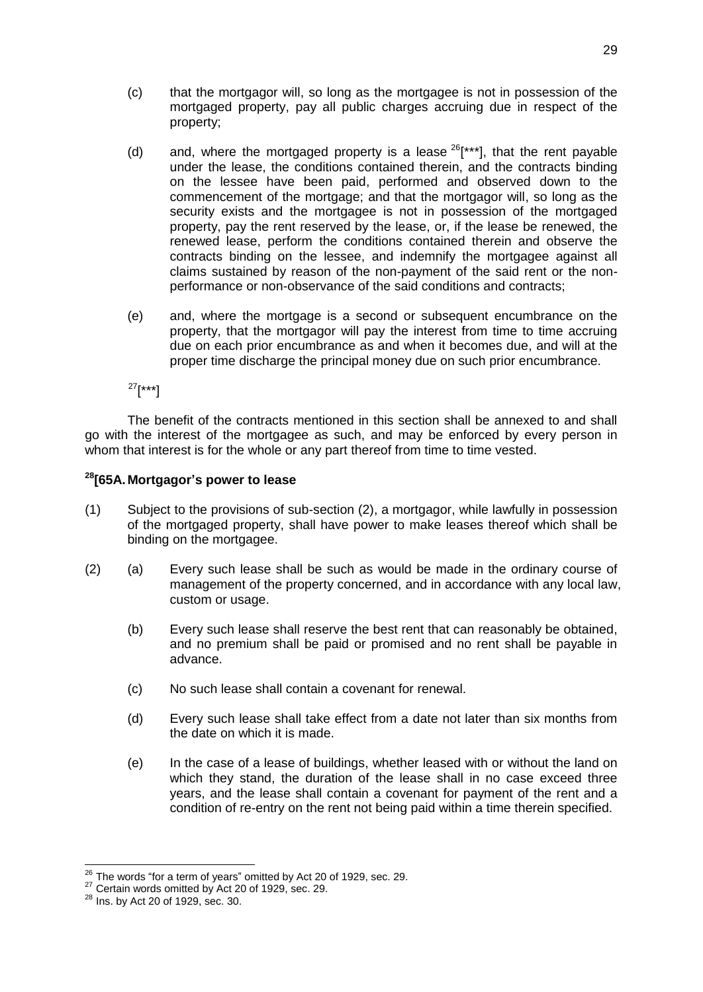- (c) that the mortgagor will, so long as the mortgagee is not in possession of the mortgaged property, pay all public charges accruing due in respect of the property;
- (d) and, where the mortgaged property is a lease  $26$ [\*\*\*], that the rent payable under the lease, the conditions contained therein, and the contracts binding on the lessee have been paid, performed and observed down to the commencement of the mortgage; and that the mortgagor will, so long as the security exists and the mortgagee is not in possession of the mortgaged property, pay the rent reserved by the lease, or, if the lease be renewed, the renewed lease, perform the conditions contained therein and observe the contracts binding on the lessee, and indemnify the mortgagee against all claims sustained by reason of the non-payment of the said rent or the nonperformance or non-observance of the said conditions and contracts;
- (e) and, where the mortgage is a second or subsequent encumbrance on the property, that the mortgagor will pay the interest from time to time accruing due on each prior encumbrance as and when it becomes due, and will at the proper time discharge the principal money due on such prior encumbrance.

 $^{27}$ [\*\*\*]

The benefit of the contracts mentioned in this section shall be annexed to and shall go with the interest of the mortgagee as such, and may be enforced by every person in whom that interest is for the whole or any part thereof from time to time vested.

# **<sup>28</sup>[65A.Mortgagor's power to lease**

- (1) Subject to the provisions of sub-section (2), a mortgagor, while lawfully in possession of the mortgaged property, shall have power to make leases thereof which shall be binding on the mortgagee.
- (2) (a) Every such lease shall be such as would be made in the ordinary course of management of the property concerned, and in accordance with any local law, custom or usage.
	- (b) Every such lease shall reserve the best rent that can reasonably be obtained, and no premium shall be paid or promised and no rent shall be payable in advance.
	- (c) No such lease shall contain a covenant for renewal.
	- (d) Every such lease shall take effect from a date not later than six months from the date on which it is made.
	- (e) In the case of a lease of buildings, whether leased with or without the land on which they stand, the duration of the lease shall in no case exceed three years, and the lease shall contain a covenant for payment of the rent and a condition of re-entry on the rent not being paid within a time therein specified.

 $26$  The words "for a term of years" omitted by Act 20 of 1929, sec. 29.

<sup>&</sup>lt;sup>27</sup> Certain words omitted by Act 20 of 1929, sec. 29.

<sup>&</sup>lt;sup>28</sup> Ins. by Act 20 of 1929, sec. 30.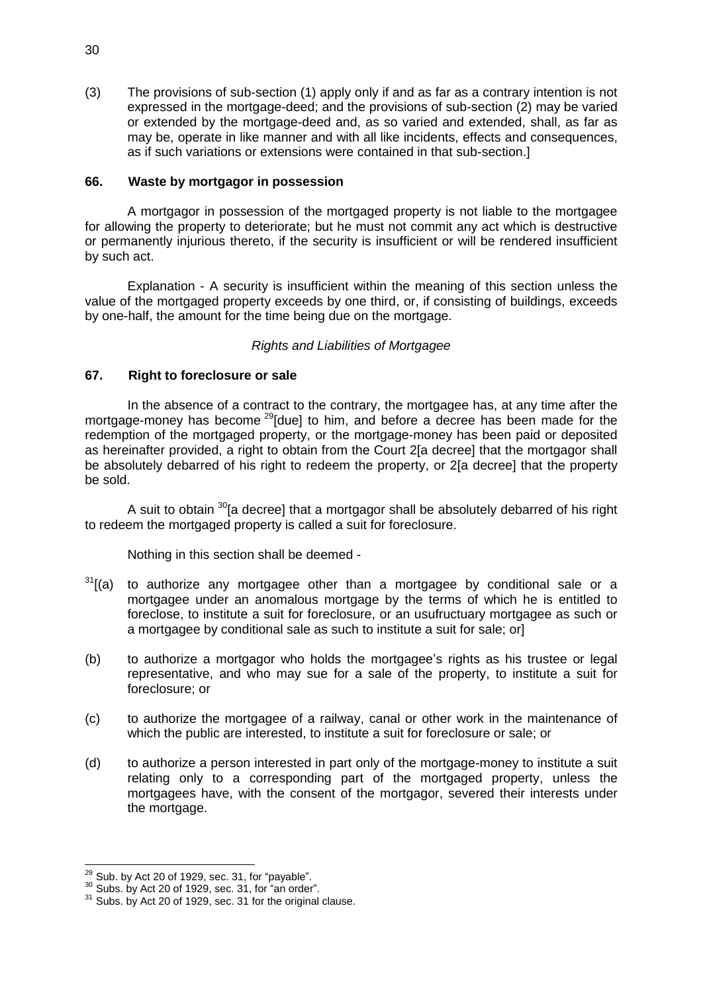(3) The provisions of sub-section (1) apply only if and as far as a contrary intention is not expressed in the mortgage-deed; and the provisions of sub-section (2) may be varied or extended by the mortgage-deed and, as so varied and extended, shall, as far as may be, operate in like manner and with all like incidents, effects and consequences, as if such variations or extensions were contained in that sub-section.]

## **66. Waste by mortgagor in possession**

A mortgagor in possession of the mortgaged property is not liable to the mortgagee for allowing the property to deteriorate; but he must not commit any act which is destructive or permanently injurious thereto, if the security is insufficient or will be rendered insufficient by such act.

Explanation - A security is insufficient within the meaning of this section unless the value of the mortgaged property exceeds by one third, or, if consisting of buildings, exceeds by one-half, the amount for the time being due on the mortgage.

## *Rights and Liabilities of Mortgagee*

## **67. Right to foreclosure or sale**

In the absence of a contract to the contrary, the mortgagee has, at any time after the mortgage-money has become <sup>29</sup>[due] to him, and before a decree has been made for the redemption of the mortgaged property, or the mortgage-money has been paid or deposited as hereinafter provided, a right to obtain from the Court 2[a decree] that the mortgagor shall be absolutely debarred of his right to redeem the property, or 2[a decree] that the property be sold.

A suit to obtain <sup>30</sup>[a decree] that a mortgagor shall be absolutely debarred of his right to redeem the mortgaged property is called a suit for foreclosure.

Nothing in this section shall be deemed -

- $31$ [(a) to authorize any mortgagee other than a mortgagee by conditional sale or a mortgagee under an anomalous mortgage by the terms of which he is entitled to foreclose, to institute a suit for foreclosure, or an usufructuary mortgagee as such or a mortgagee by conditional sale as such to institute a suit for sale; or]
- (b) to authorize a mortgagor who holds the mortgagee's rights as his trustee or legal representative, and who may sue for a sale of the property, to institute a suit for foreclosure; or
- (c) to authorize the mortgagee of a railway, canal or other work in the maintenance of which the public are interested, to institute a suit for foreclosure or sale; or
- (d) to authorize a person interested in part only of the mortgage-money to institute a suit relating only to a corresponding part of the mortgaged property, unless the mortgagees have, with the consent of the mortgagor, severed their interests under the mortgage.

 $^{29}$  Sub. by Act 20 of 1929, sec. 31, for "payable".

<sup>30</sup> Subs. by Act 20 of 1929, sec. 31, for "an order".

<sup>&</sup>lt;sup>31</sup> Subs. by Act 20 of 1929, sec. 31 for the original clause.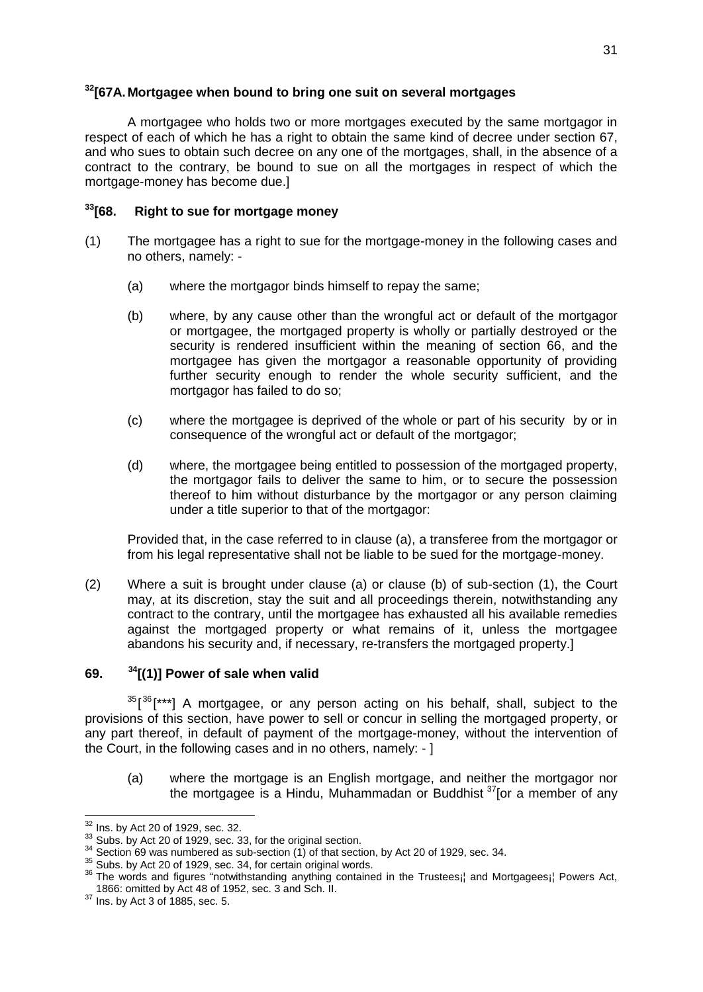## **<sup>32</sup>[67A.Mortgagee when bound to bring one suit on several mortgages**

A mortgagee who holds two or more mortgages executed by the same mortgagor in respect of each of which he has a right to obtain the same kind of decree under section 67, and who sues to obtain such decree on any one of the mortgages, shall, in the absence of a contract to the contrary, be bound to sue on all the mortgages in respect of which the mortgage-money has become due.]

# **<sup>33</sup>[68. Right to sue for mortgage money**

- (1) The mortgagee has a right to sue for the mortgage-money in the following cases and no others, namely: -
	- (a) where the mortgagor binds himself to repay the same;
	- (b) where, by any cause other than the wrongful act or default of the mortgagor or mortgagee, the mortgaged property is wholly or partially destroyed or the security is rendered insufficient within the meaning of section 66, and the mortgagee has given the mortgagor a reasonable opportunity of providing further security enough to render the whole security sufficient, and the mortgagor has failed to do so;
	- (c) where the mortgagee is deprived of the whole or part of his security by or in consequence of the wrongful act or default of the mortgagor;
	- (d) where, the mortgagee being entitled to possession of the mortgaged property, the mortgagor fails to deliver the same to him, or to secure the possession thereof to him without disturbance by the mortgagor or any person claiming under a title superior to that of the mortgagor:

Provided that, in the case referred to in clause (a), a transferee from the mortgagor or from his legal representative shall not be liable to be sued for the mortgage-money.

(2) Where a suit is brought under clause (a) or clause (b) of sub-section (1), the Court may, at its discretion, stay the suit and all proceedings therein, notwithstanding any contract to the contrary, until the mortgagee has exhausted all his available remedies against the mortgaged property or what remains of it, unless the mortgagee abandons his security and, if necessary, re-transfers the mortgaged property.]

# **69. <sup>34</sup>[(1)] Power of sale when valid**

 $35[^36$ <sup>[\*\*\*</sup>] A mortgagee, or any person acting on his behalf, shall, subject to the provisions of this section, have power to sell or concur in selling the mortgaged property, or any part thereof, in default of payment of the mortgage-money, without the intervention of the Court, in the following cases and in no others, namely: - ]

(a) where the mortgage is an English mortgage, and neither the mortgagor nor the mortgagee is a Hindu, Muhammadan or Buddhist  $37$  [or a member of any

 $32$  Ins. by Act 20 of 1929, sec. 32.

 $33$  Subs. by Act 20 of 1929, sec. 33, for the original section.

<sup>34</sup> Section 69 was numbered as sub-section (1) of that section, by Act 20 of 1929, sec. 34.

<sup>&</sup>lt;sup>35</sup> Subs. by Act 20 of 1929, sec. 34, for certain original words.

<sup>36</sup> The words and figures "notwithstanding anything contained in the Trustees<sub>i</sub>l and Mortgagees<sub>i</sub>l Powers Act, 1866: omitted by Act 48 of 1952, sec. 3 and Sch. II.

 $37$  Ins. by Act 3 of 1885, sec. 5.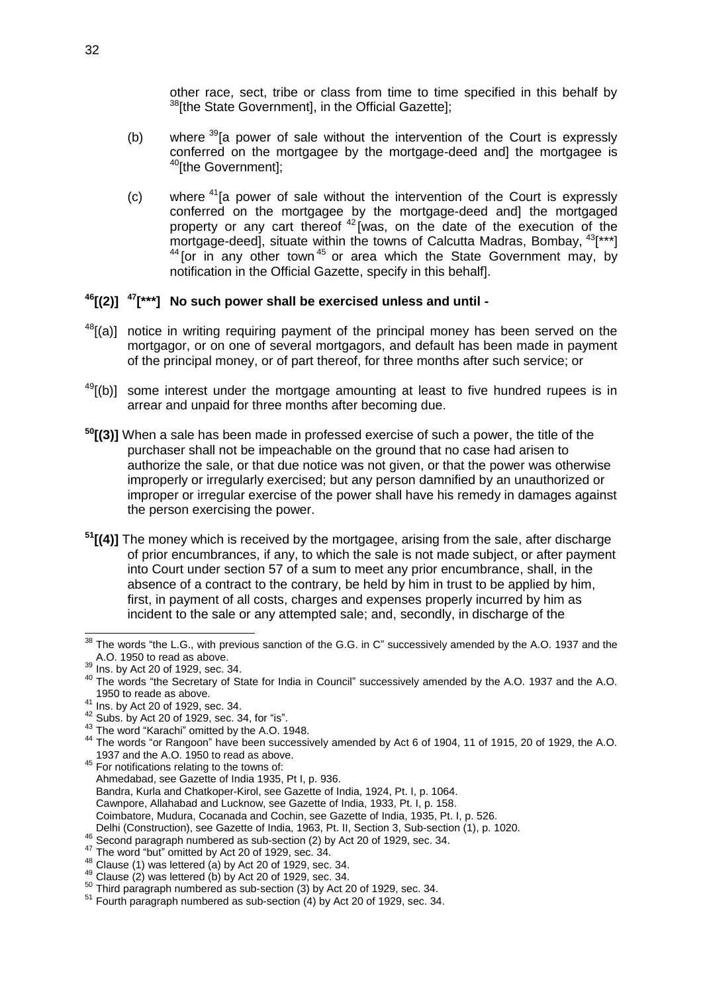other race, sect, tribe or class from time to time specified in this behalf by <sup>38</sup>[the State Government], in the Official Gazette];

- (b) where  $39$ [a power of sale without the intervention of the Court is expressly conferred on the mortgagee by the mortgage-deed and] the mortgagee is <sup>40</sup>[the Government];
- (c) where  $41$ [a power of sale without the intervention of the Court is expressly conferred on the mortgagee by the mortgage-deed and] the mortgaged property or any cart thereof  $42$  [was, on the date of the execution of the mortgage-deed], situate within the towns of Calcutta Madras, Bombay, <sup>43</sup>[\*\*\*]  $44$  [or in any other town<sup>45</sup> or area which the State Government may, by notification in the Official Gazette, specify in this behalf].

## **<sup>46</sup>[(2)] <sup>47</sup>[\*\*\*] No such power shall be exercised unless and until -**

- $48$ [(a)] notice in writing requiring payment of the principal money has been served on the mortgagor, or on one of several mortgagors, and default has been made in payment of the principal money, or of part thereof, for three months after such service; or
- $^{49}$ [(b)] some interest under the mortgage amounting at least to five hundred rupees is in arrear and unpaid for three months after becoming due.
- **<sup>50</sup>[(3)]** When a sale has been made in professed exercise of such a power, the title of the purchaser shall not be impeachable on the ground that no case had arisen to authorize the sale, or that due notice was not given, or that the power was otherwise improperly or irregularly exercised; but any person damnified by an unauthorized or improper or irregular exercise of the power shall have his remedy in damages against the person exercising the power.
- **<sup>51</sup>[(4)]** The money which is received by the mortgagee, arising from the sale, after discharge of prior encumbrances, if any, to which the sale is not made subject, or after payment into Court under section 57 of a sum to meet any prior encumbrance, shall, in the absence of a contract to the contrary, be held by him in trust to be applied by him, first, in payment of all costs, charges and expenses properly incurred by him as incident to the sale or any attempted sale; and, secondly, in discharge of the

<sup>45</sup> For notifications relating to the towns of: Ahmedabad, see Gazette of India 1935, Pt I, p. 936. Bandra, Kurla and Chatkoper-Kirol, see Gazette of India, 1924, Pt. I, p. 1064. Cawnpore, Allahabad and Lucknow, see Gazette of India, 1933, Pt. I, p. 158. Coimbatore, Mudura, Cocanada and Cochin, see Gazette of India, 1935, Pt. I, p. 526. Delhi (Construction), see Gazette of India, 1963, Pt. II, Section 3, Sub-section (1), p. 1020. <sup>46</sup> Second paragraph numbered as sub-section (2) by Act 20 of 1929, sec. 34.

  $38$  The words "the L.G., with previous sanction of the G.G. in C" successively amended by the A.O. 1937 and the A.O. 1950 to read as above.

<sup>39</sup> Ins. by Act 20 of 1929, sec. 34.

<sup>40</sup> The words "the Secretary of State for India in Council" successively amended by the A.O. 1937 and the A.O. 1950 to reade as above.

<sup>41</sup> Ins. by Act 20 of 1929, sec. 34.

 $42$  Subs. by Act 20 of 1929, sec. 34, for "is".

<sup>43</sup> The word "Karachi" omitted by the A.O. 1948.

<sup>44</sup> The words "or Rangoon" have been successively amended by Act 6 of 1904, 11 of 1915, 20 of 1929, the A.O. 1937 and the A.O. 1950 to read as above.

<sup>47</sup> The word "but" omitted by Act 20 of 1929, sec. 34.

<sup>48</sup> Clause (1) was lettered (a) by Act 20 of 1929, sec. 34.

 $49$  Clause (2) was lettered (b) by Act 20 of 1929, sec. 34.

<sup>&</sup>lt;sup>50</sup> Third paragraph numbered as sub-section (3) by Act 20 of 1929, sec. 34.

 $51$  Fourth paragraph numbered as sub-section (4) by Act 20 of 1929, sec. 34.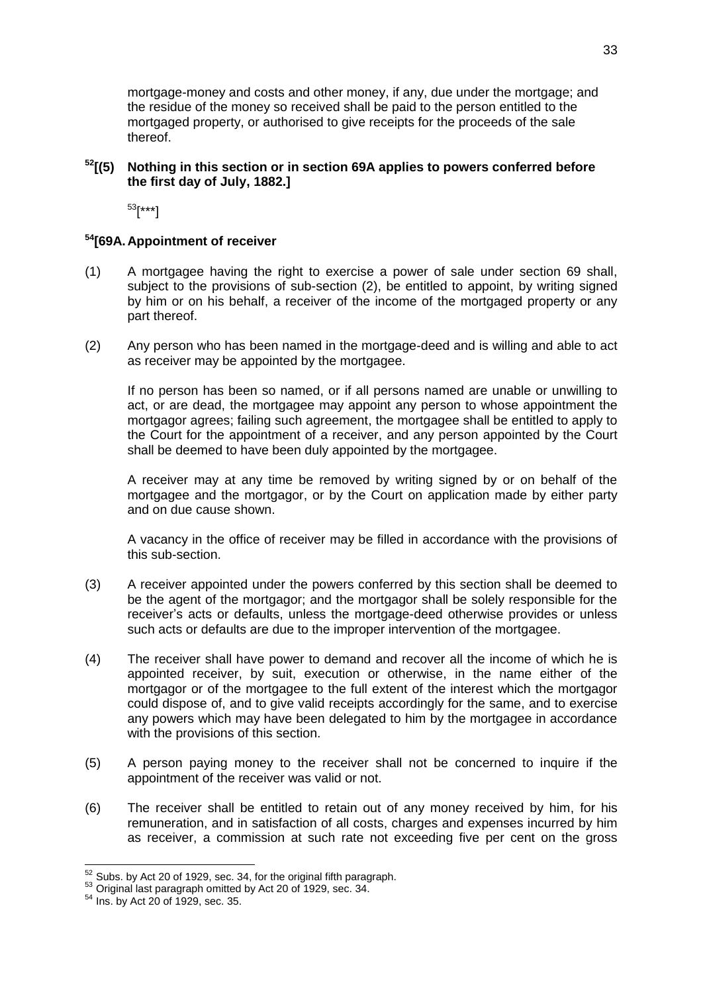mortgage-money and costs and other money, if any, due under the mortgage; and the residue of the money so received shall be paid to the person entitled to the mortgaged property, or authorised to give receipts for the proceeds of the sale thereof.

## **<sup>52</sup>[(5) Nothing in this section or in section 69A applies to powers conferred before the first day of July, 1882.]**

 $53$ [\*\*\*]

## **<sup>54</sup>[69A.Appointment of receiver**

- (1) A mortgagee having the right to exercise a power of sale under section 69 shall, subject to the provisions of sub-section (2), be entitled to appoint, by writing signed by him or on his behalf, a receiver of the income of the mortgaged property or any part thereof.
- (2) Any person who has been named in the mortgage-deed and is willing and able to act as receiver may be appointed by the mortgagee.

If no person has been so named, or if all persons named are unable or unwilling to act, or are dead, the mortgagee may appoint any person to whose appointment the mortgagor agrees; failing such agreement, the mortgagee shall be entitled to apply to the Court for the appointment of a receiver, and any person appointed by the Court shall be deemed to have been duly appointed by the mortgagee.

A receiver may at any time be removed by writing signed by or on behalf of the mortgagee and the mortgagor, or by the Court on application made by either party and on due cause shown.

A vacancy in the office of receiver may be filled in accordance with the provisions of this sub-section.

- (3) A receiver appointed under the powers conferred by this section shall be deemed to be the agent of the mortgagor; and the mortgagor shall be solely responsible for the receiver's acts or defaults, unless the mortgage-deed otherwise provides or unless such acts or defaults are due to the improper intervention of the mortgagee.
- (4) The receiver shall have power to demand and recover all the income of which he is appointed receiver, by suit, execution or otherwise, in the name either of the mortgagor or of the mortgagee to the full extent of the interest which the mortgagor could dispose of, and to give valid receipts accordingly for the same, and to exercise any powers which may have been delegated to him by the mortgagee in accordance with the provisions of this section.
- (5) A person paying money to the receiver shall not be concerned to inquire if the appointment of the receiver was valid or not.
- (6) The receiver shall be entitled to retain out of any money received by him, for his remuneration, and in satisfaction of all costs, charges and expenses incurred by him as receiver, a commission at such rate not exceeding five per cent on the gross

 $52$  Subs. by Act 20 of 1929, sec. 34, for the original fifth paragraph.

<sup>53</sup> Original last paragraph omitted by Act 20 of 1929, sec. 34.

<sup>54</sup> Ins. by Act 20 of 1929, sec. 35.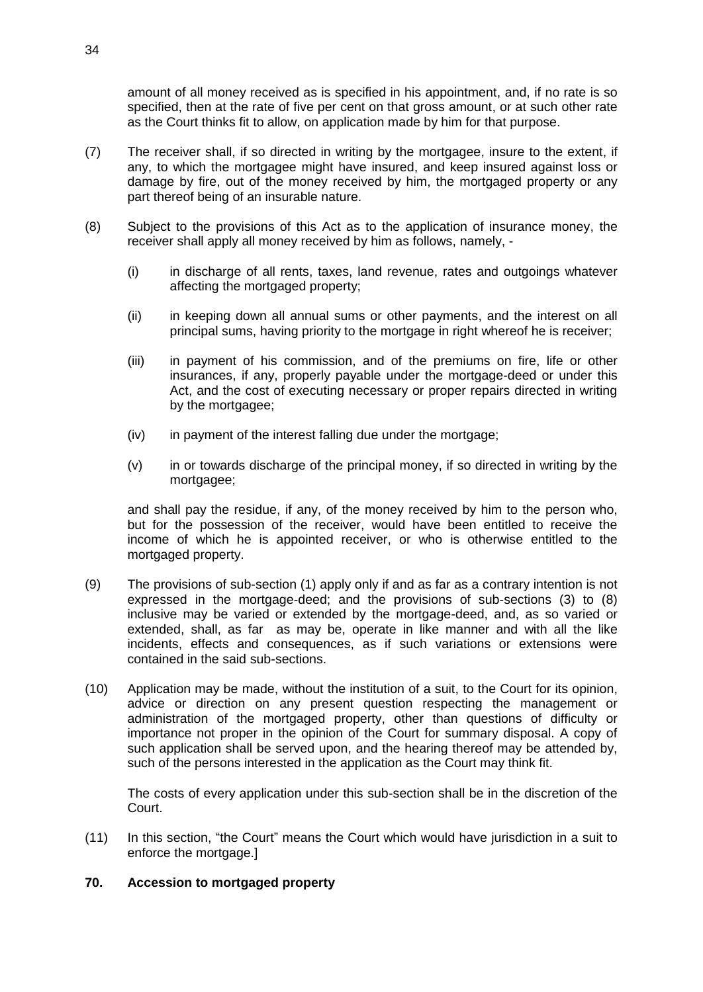amount of all money received as is specified in his appointment, and, if no rate is so specified, then at the rate of five per cent on that gross amount, or at such other rate as the Court thinks fit to allow, on application made by him for that purpose.

- (7) The receiver shall, if so directed in writing by the mortgagee, insure to the extent, if any, to which the mortgagee might have insured, and keep insured against loss or damage by fire, out of the money received by him, the mortgaged property or any part thereof being of an insurable nature.
- (8) Subject to the provisions of this Act as to the application of insurance money, the receiver shall apply all money received by him as follows, namely, -
	- (i) in discharge of all rents, taxes, land revenue, rates and outgoings whatever affecting the mortgaged property;
	- (ii) in keeping down all annual sums or other payments, and the interest on all principal sums, having priority to the mortgage in right whereof he is receiver;
	- (iii) in payment of his commission, and of the premiums on fire, life or other insurances, if any, properly payable under the mortgage-deed or under this Act, and the cost of executing necessary or proper repairs directed in writing by the mortgagee;
	- (iv) in payment of the interest falling due under the mortgage;
	- (v) in or towards discharge of the principal money, if so directed in writing by the mortgagee;

and shall pay the residue, if any, of the money received by him to the person who, but for the possession of the receiver, would have been entitled to receive the income of which he is appointed receiver, or who is otherwise entitled to the mortgaged property.

- (9) The provisions of sub-section (1) apply only if and as far as a contrary intention is not expressed in the mortgage-deed; and the provisions of sub-sections (3) to (8) inclusive may be varied or extended by the mortgage-deed, and, as so varied or extended, shall, as far as may be, operate in like manner and with all the like incidents, effects and consequences, as if such variations or extensions were contained in the said sub-sections.
- (10) Application may be made, without the institution of a suit, to the Court for its opinion, advice or direction on any present question respecting the management or administration of the mortgaged property, other than questions of difficulty or importance not proper in the opinion of the Court for summary disposal. A copy of such application shall be served upon, and the hearing thereof may be attended by, such of the persons interested in the application as the Court may think fit.

The costs of every application under this sub-section shall be in the discretion of the Court.

(11) In this section, "the Court" means the Court which would have jurisdiction in a suit to enforce the mortgage.]

## **70. Accession to mortgaged property**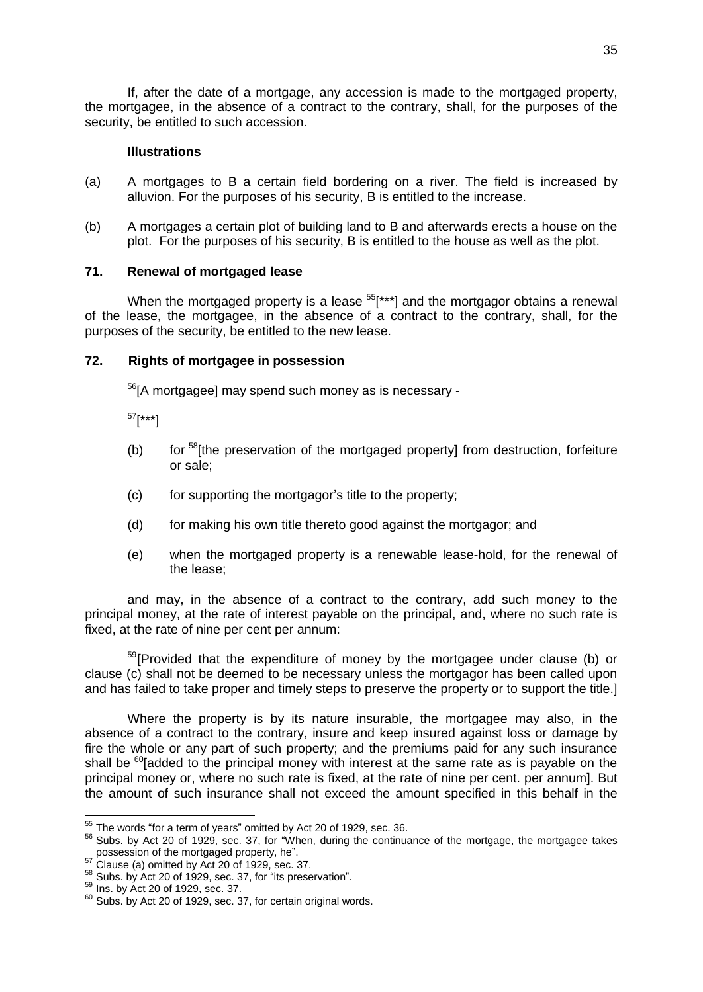If, after the date of a mortgage, any accession is made to the mortgaged property, the mortgagee, in the absence of a contract to the contrary, shall, for the purposes of the security, be entitled to such accession.

#### **Illustrations**

- (a) A mortgages to B a certain field bordering on a river. The field is increased by alluvion. For the purposes of his security, B is entitled to the increase.
- (b) A mortgages a certain plot of building land to B and afterwards erects a house on the plot. For the purposes of his security, B is entitled to the house as well as the plot.

## **71. Renewal of mortgaged lease**

When the mortgaged property is a lease  $55$ [\*\*\*] and the mortgagor obtains a renewal of the lease, the mortgagee, in the absence of a contract to the contrary, shall, for the purposes of the security, be entitled to the new lease.

## **72. Rights of mortgagee in possession**

<sup>56</sup>[A mortgagee] may spend such money as is necessary -

 $57$ [\*\*\*]

- (b) for  $58$ [the preservation of the mortgaged property] from destruction, forfeiture or sale;
- (c) for supporting the mortgagor's title to the property;
- (d) for making his own title thereto good against the mortgagor; and
- (e) when the mortgaged property is a renewable lease-hold, for the renewal of the lease;

and may, in the absence of a contract to the contrary, add such money to the principal money, at the rate of interest payable on the principal, and, where no such rate is fixed, at the rate of nine per cent per annum:

<sup>59</sup>[Provided that the expenditure of money by the mortgagee under clause (b) or clause (c) shall not be deemed to be necessary unless the mortgagor has been called upon and has failed to take proper and timely steps to preserve the property or to support the title.]

Where the property is by its nature insurable, the mortgagee may also, in the absence of a contract to the contrary, insure and keep insured against loss or damage by fire the whole or any part of such property; and the premiums paid for any such insurance shall be <sup>60</sup>[added to the principal money with interest at the same rate as is payable on the principal money or, where no such rate is fixed, at the rate of nine per cent. per annum]. But the amount of such insurance shall not exceed the amount specified in this behalf in the

 $\overline{\phantom{a}}$ 

 $55$  The words "for a term of years" omitted by Act 20 of 1929, sec. 36.

<sup>56</sup> Subs. by Act 20 of 1929, sec. 37, for "When, during the continuance of the mortgage, the mortgagee takes possession of the mortgaged property, he".

 $57$  Clause (a) omitted by Act 20 of 1929, sec. 37.

<sup>58</sup> Subs. by Act 20 of 1929, sec. 37, for "its preservation".

<sup>59</sup> Ins. by Act 20 of 1929, sec. 37.

 $60$  Subs. by Act 20 of 1929, sec. 37, for certain original words.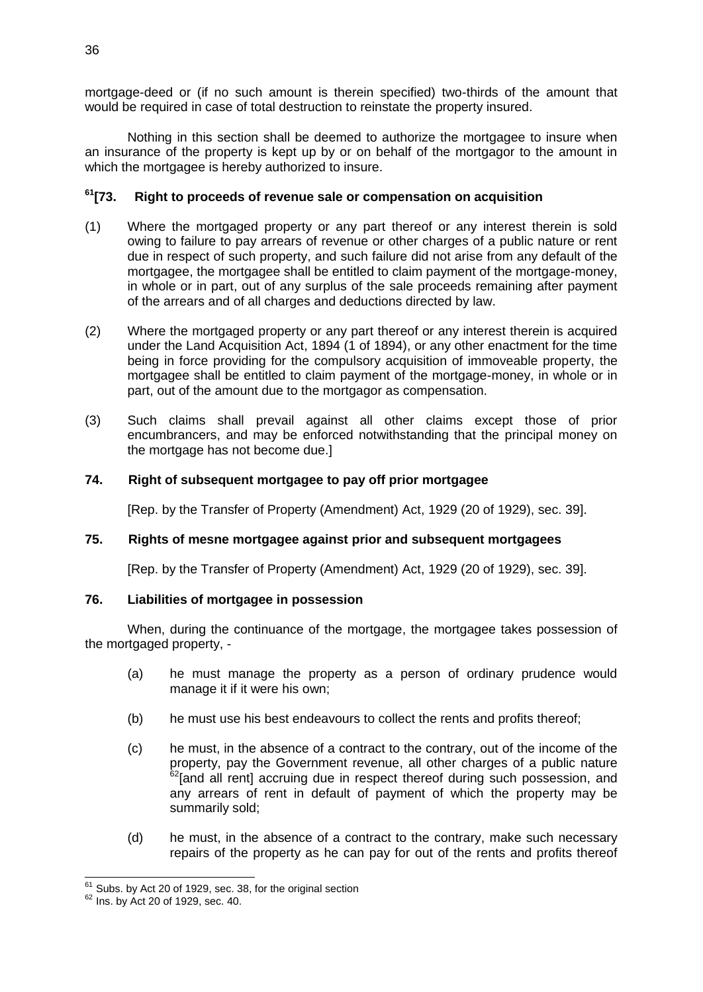mortgage-deed or (if no such amount is therein specified) two-thirds of the amount that would be required in case of total destruction to reinstate the property insured.

Nothing in this section shall be deemed to authorize the mortgagee to insure when an insurance of the property is kept up by or on behalf of the mortgagor to the amount in which the mortgagee is hereby authorized to insure.

# **<sup>61</sup>[73. Right to proceeds of revenue sale or compensation on acquisition**

- (1) Where the mortgaged property or any part thereof or any interest therein is sold owing to failure to pay arrears of revenue or other charges of a public nature or rent due in respect of such property, and such failure did not arise from any default of the mortgagee, the mortgagee shall be entitled to claim payment of the mortgage-money, in whole or in part, out of any surplus of the sale proceeds remaining after payment of the arrears and of all charges and deductions directed by law.
- (2) Where the mortgaged property or any part thereof or any interest therein is acquired under the Land Acquisition Act, 1894 (1 of 1894), or any other enactment for the time being in force providing for the compulsory acquisition of immoveable property, the mortgagee shall be entitled to claim payment of the mortgage-money, in whole or in part, out of the amount due to the mortgagor as compensation.
- (3) Such claims shall prevail against all other claims except those of prior encumbrancers, and may be enforced notwithstanding that the principal money on the mortgage has not become due.]

## **74. Right of subsequent mortgagee to pay off prior mortgagee**

[Rep. by the Transfer of Property (Amendment) Act, 1929 (20 of 1929), sec. 39].

#### **75. Rights of mesne mortgagee against prior and subsequent mortgagees**

[Rep. by the Transfer of Property (Amendment) Act, 1929 (20 of 1929), sec. 39].

## **76. Liabilities of mortgagee in possession**

When, during the continuance of the mortgage, the mortgagee takes possession of the mortgaged property, -

- (a) he must manage the property as a person of ordinary prudence would manage it if it were his own;
- (b) he must use his best endeavours to collect the rents and profits thereof;
- (c) he must, in the absence of a contract to the contrary, out of the income of the property, pay the Government revenue, all other charges of a public nature <sup>62</sup>[and all rent] accruing due in respect thereof during such possession, and any arrears of rent in default of payment of which the property may be summarily sold;
- (d) he must, in the absence of a contract to the contrary, make such necessary repairs of the property as he can pay for out of the rents and profits thereof

 $61$  Subs. by Act 20 of 1929, sec. 38, for the original section

<sup>62</sup> Ins. by Act 20 of 1929, sec. 40.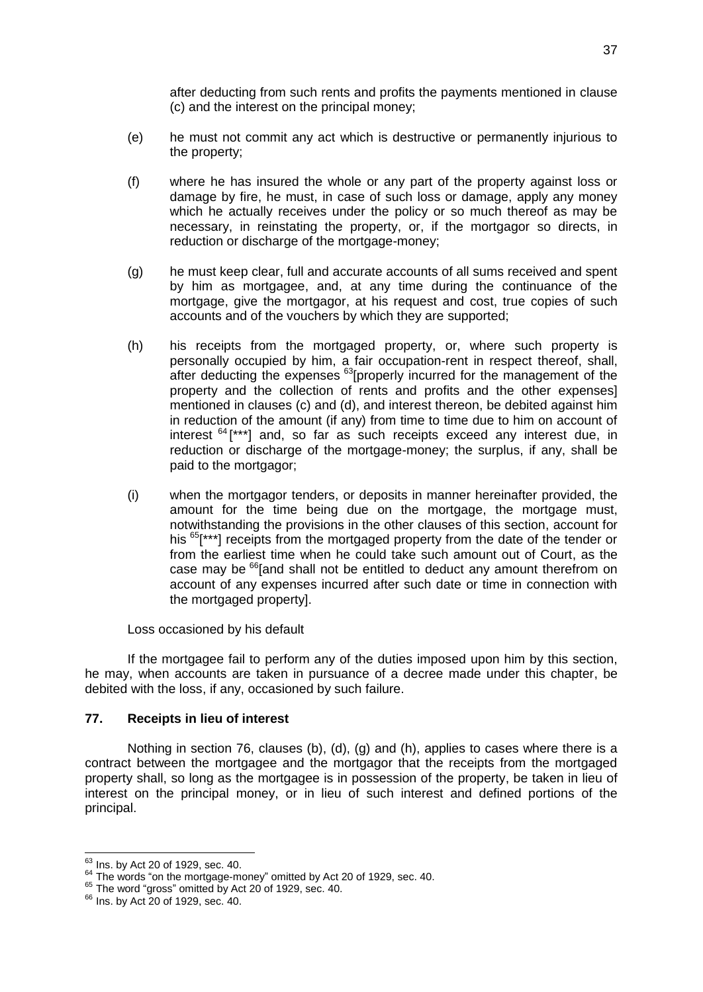after deducting from such rents and profits the payments mentioned in clause (c) and the interest on the principal money;

- (e) he must not commit any act which is destructive or permanently injurious to the property;
- (f) where he has insured the whole or any part of the property against loss or damage by fire, he must, in case of such loss or damage, apply any money which he actually receives under the policy or so much thereof as may be necessary, in reinstating the property, or, if the mortgagor so directs, in reduction or discharge of the mortgage-money:
- (g) he must keep clear, full and accurate accounts of all sums received and spent by him as mortgagee, and, at any time during the continuance of the mortgage, give the mortgagor, at his request and cost, true copies of such accounts and of the vouchers by which they are supported;
- (h) his receipts from the mortgaged property, or, where such property is personally occupied by him, a fair occupation-rent in respect thereof, shall, after deducting the expenses <sup>63</sup>[properly incurred for the management of the property and the collection of rents and profits and the other expenses] mentioned in clauses (c) and (d), and interest thereon, be debited against him in reduction of the amount (if any) from time to time due to him on account of interest  $64$ <sup>[\*\*\*</sup>] and, so far as such receipts exceed any interest due, in reduction or discharge of the mortgage-money; the surplus, if any, shall be paid to the mortgagor;
- (i) when the mortgagor tenders, or deposits in manner hereinafter provided, the amount for the time being due on the mortgage, the mortgage must, notwithstanding the provisions in the other clauses of this section, account for his <sup>65</sup>[<sup>\*\*\*</sup>] receipts from the mortgaged property from the date of the tender or from the earliest time when he could take such amount out of Court, as the case may be <sup>66</sup>[and shall not be entitled to deduct any amount therefrom on account of any expenses incurred after such date or time in connection with the mortgaged property].

Loss occasioned by his default

If the mortgagee fail to perform any of the duties imposed upon him by this section, he may, when accounts are taken in pursuance of a decree made under this chapter, be debited with the loss, if any, occasioned by such failure.

#### **77. Receipts in lieu of interest**

Nothing in section 76, clauses (b), (d), (g) and (h), applies to cases where there is a contract between the mortgagee and the mortgagor that the receipts from the mortgaged property shall, so long as the mortgagee is in possession of the property, be taken in lieu of interest on the principal money, or in lieu of such interest and defined portions of the principal.

 $\overline{a}$ 

<sup>&</sup>lt;sup>63</sup> Ins. by Act 20 of 1929, sec. 40.

 $64$  The words "on the mortgage-money" omitted by Act 20 of 1929, sec. 40.

<sup>&</sup>lt;sup>65</sup> The word "gross" omitted by Act 20 of 1929, sec. 40.

<sup>66</sup> Ins. by Act 20 of 1929, sec. 40.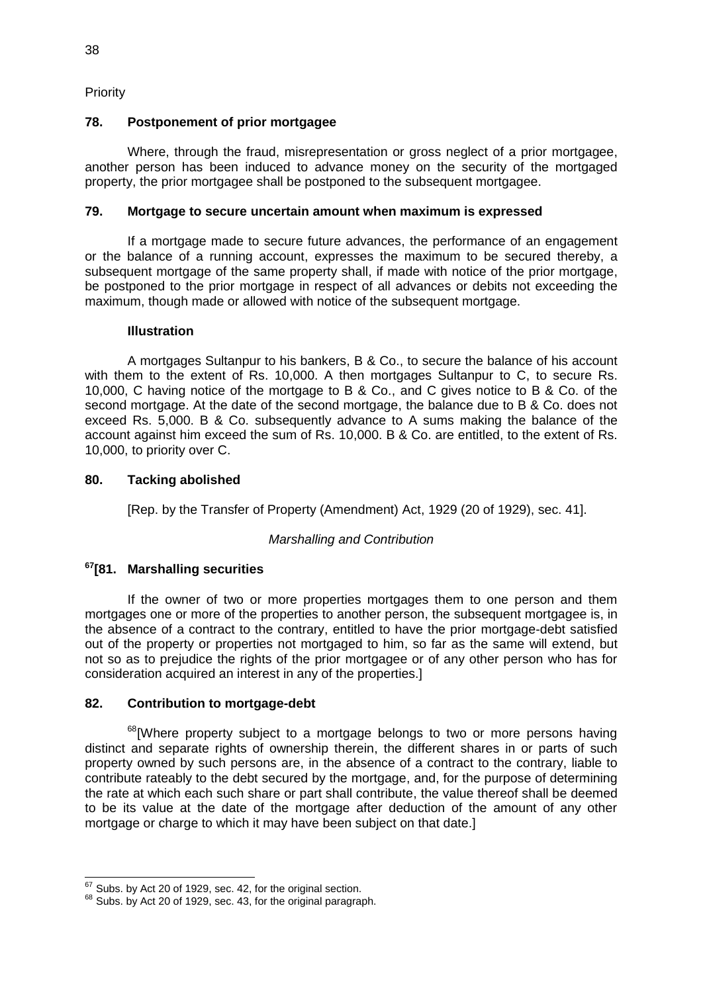**Priority** 

## **78. Postponement of prior mortgagee**

Where, through the fraud, misrepresentation or gross neglect of a prior mortgagee, another person has been induced to advance money on the security of the mortgaged property, the prior mortgagee shall be postponed to the subsequent mortgagee.

## **79. Mortgage to secure uncertain amount when maximum is expressed**

If a mortgage made to secure future advances, the performance of an engagement or the balance of a running account, expresses the maximum to be secured thereby, a subsequent mortgage of the same property shall, if made with notice of the prior mortgage, be postponed to the prior mortgage in respect of all advances or debits not exceeding the maximum, though made or allowed with notice of the subsequent mortgage.

#### **Illustration**

A mortgages Sultanpur to his bankers, B & Co., to secure the balance of his account with them to the extent of Rs. 10,000. A then mortgages Sultanpur to C, to secure Rs. 10,000, C having notice of the mortgage to B & Co., and C gives notice to B & Co. of the second mortgage. At the date of the second mortgage, the balance due to B & Co. does not exceed Rs. 5,000. B & Co. subsequently advance to A sums making the balance of the account against him exceed the sum of Rs. 10,000. B & Co. are entitled, to the extent of Rs. 10,000, to priority over C.

## **80. Tacking abolished**

[Rep. by the Transfer of Property (Amendment) Act, 1929 (20 of 1929), sec. 41].

## *Marshalling and Contribution*

## **<sup>67</sup>[81. Marshalling securities**

If the owner of two or more properties mortgages them to one person and them mortgages one or more of the properties to another person, the subsequent mortgagee is, in the absence of a contract to the contrary, entitled to have the prior mortgage-debt satisfied out of the property or properties not mortgaged to him, so far as the same will extend, but not so as to prejudice the rights of the prior mortgagee or of any other person who has for consideration acquired an interest in any of the properties.]

## **82. Contribution to mortgage-debt**

<sup>68</sup> [Where property subject to a mortgage belongs to two or more persons having distinct and separate rights of ownership therein, the different shares in or parts of such property owned by such persons are, in the absence of a contract to the contrary, liable to contribute rateably to the debt secured by the mortgage, and, for the purpose of determining the rate at which each such share or part shall contribute, the value thereof shall be deemed to be its value at the date of the mortgage after deduction of the amount of any other mortgage or charge to which it may have been subject on that date.]

 $67$  Subs. by Act 20 of 1929, sec. 42, for the original section.

 $68$  Subs. by Act 20 of 1929, sec. 43, for the original paragraph.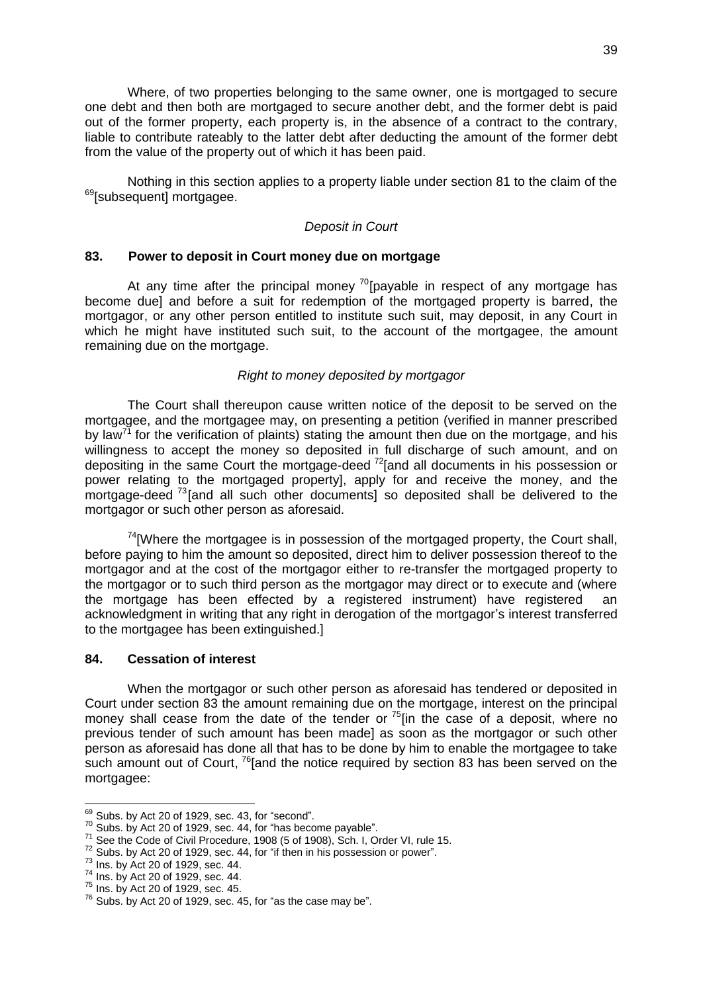Where, of two properties belonging to the same owner, one is mortgaged to secure one debt and then both are mortgaged to secure another debt, and the former debt is paid out of the former property, each property is, in the absence of a contract to the contrary, liable to contribute rateably to the latter debt after deducting the amount of the former debt from the value of the property out of which it has been paid.

Nothing in this section applies to a property liable under section 81 to the claim of the <sup>69</sup>[subsequent] mortgagee.

#### *Deposit in Court*

## **83. Power to deposit in Court money due on mortgage**

At any time after the principal money  $70$ [payable in respect of any mortgage has become due] and before a suit for redemption of the mortgaged property is barred, the mortgagor, or any other person entitled to institute such suit, may deposit, in any Court in which he might have instituted such suit, to the account of the mortgagee, the amount remaining due on the mortgage.

#### *Right to money deposited by mortgagor*

The Court shall thereupon cause written notice of the deposit to be served on the mortgagee, and the mortgagee may, on presenting a petition (verified in manner prescribed by law<sup>71</sup> for the verification of plaints) stating the amount then due on the mortgage, and his willingness to accept the money so deposited in full discharge of such amount, and on depositing in the same Court the mortgage-deed  $^{72}$  [and all documents in his possession or power relating to the mortgaged property], apply for and receive the money, and the mortgage-deed  $73$ [and all such other documents] so deposited shall be delivered to the mortgagor or such other person as aforesaid.

 $74$ [Where the mortgagee is in possession of the mortgaged property, the Court shall, before paying to him the amount so deposited, direct him to deliver possession thereof to the mortgagor and at the cost of the mortgagor either to re-transfer the mortgaged property to the mortgagor or to such third person as the mortgagor may direct or to execute and (where the mortgage has been effected by a registered instrument) have registered an acknowledgment in writing that any right in derogation of the mortgagor's interest transferred to the mortgagee has been extinguished.]

#### **84. Cessation of interest**

When the mortgagor or such other person as aforesaid has tendered or deposited in Court under section 83 the amount remaining due on the mortgage, interest on the principal money shall cease from the date of the tender or  $^{75}$ [in the case of a deposit, where no previous tender of such amount has been made] as soon as the mortgagor or such other person as aforesaid has done all that has to be done by him to enable the mortgagee to take such amount out of Court,  $76$  [and the notice required by section 83 has been served on the mortgagee:

 $69$  Subs. by Act 20 of 1929, sec. 43, for "second".

 $7^\circ$  Subs. by Act 20 of 1929, sec. 44, for "has become payable".

<sup>71</sup> See the Code of Civil Procedure, 1908 (5 of 1908), Sch. I, Order VI, rule 15.

<sup>72</sup> Subs. by Act 20 of 1929, sec. 44, for "if then in his possession or power".

<sup>73</sup> Ins. by Act 20 of 1929, sec. 44.

<sup>74</sup> Ins. by Act 20 of 1929, sec. 44.

<sup>75</sup> Ins. by Act 20 of 1929, sec. 45.

 $76$  Subs. by Act 20 of 1929, sec. 45, for "as the case may be".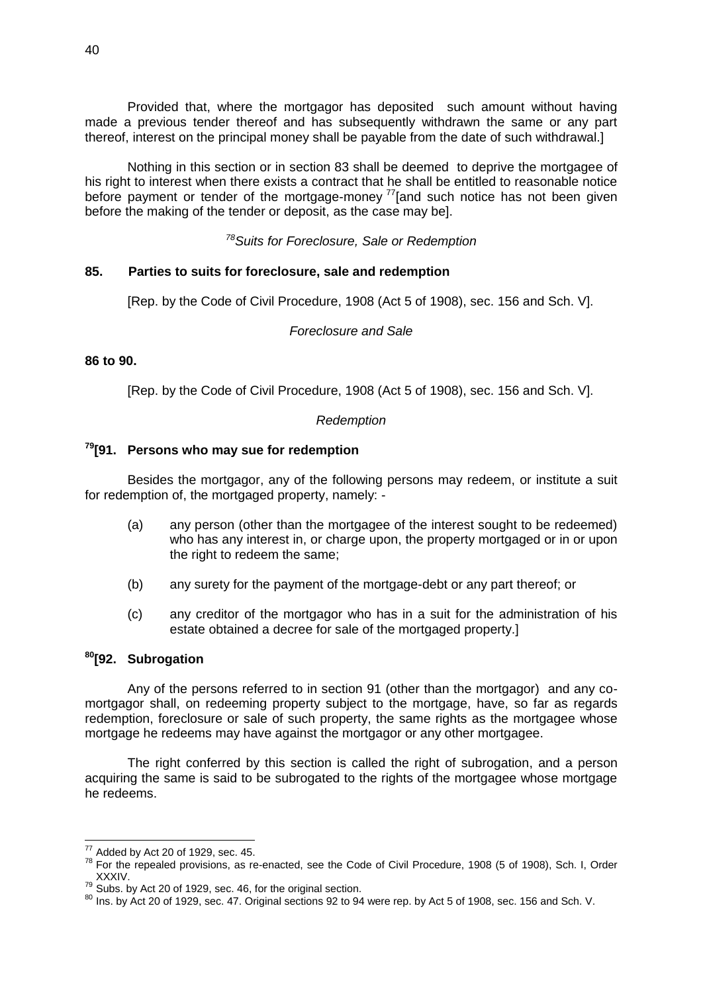Provided that, where the mortgagor has deposited such amount without having made a previous tender thereof and has subsequently withdrawn the same or any part thereof, interest on the principal money shall be payable from the date of such withdrawal.]

Nothing in this section or in section 83 shall be deemed to deprive the mortgagee of his right to interest when there exists a contract that he shall be entitled to reasonable notice before payment or tender of the mortgage-money  $77$  [and such notice has not been given before the making of the tender or deposit, as the case may be].

*<sup>78</sup>Suits for Foreclosure, Sale or Redemption*

# **85. Parties to suits for foreclosure, sale and redemption**

[Rep. by the Code of Civil Procedure, 1908 (Act 5 of 1908), sec. 156 and Sch. V].

## *Foreclosure and Sale*

## **86 to 90.**

40

[Rep. by the Code of Civil Procedure, 1908 (Act 5 of 1908), sec. 156 and Sch. V].

## *Redemption*

# **<sup>79</sup>[91. Persons who may sue for redemption**

Besides the mortgagor, any of the following persons may redeem, or institute a suit for redemption of, the mortgaged property, namely: -

- (a) any person (other than the mortgagee of the interest sought to be redeemed) who has any interest in, or charge upon, the property mortgaged or in or upon the right to redeem the same;
- (b) any surety for the payment of the mortgage-debt or any part thereof; or
- (c) any creditor of the mortgagor who has in a suit for the administration of his estate obtained a decree for sale of the mortgaged property.]

# **<sup>80</sup>[92. Subrogation**

Any of the persons referred to in section 91 (other than the mortgagor) and any comortgagor shall, on redeeming property subject to the mortgage, have, so far as regards redemption, foreclosure or sale of such property, the same rights as the mortgagee whose mortgage he redeems may have against the mortgagor or any other mortgagee.

The right conferred by this section is called the right of subrogation, and a person acquiring the same is said to be subrogated to the rights of the mortgagee whose mortgage he redeems.

<sup>-</sup> $77$  Added by Act 20 of 1929, sec. 45.

<sup>78</sup> For the repealed provisions, as re-enacted, see the Code of Civil Procedure, 1908 (5 of 1908), Sch. I, Order XXXIV.

<sup>79</sup> Subs. by Act 20 of 1929, sec. 46, for the original section.

<sup>80</sup> Ins. by Act 20 of 1929, sec. 47. Original sections 92 to 94 were rep. by Act 5 of 1908, sec. 156 and Sch. V.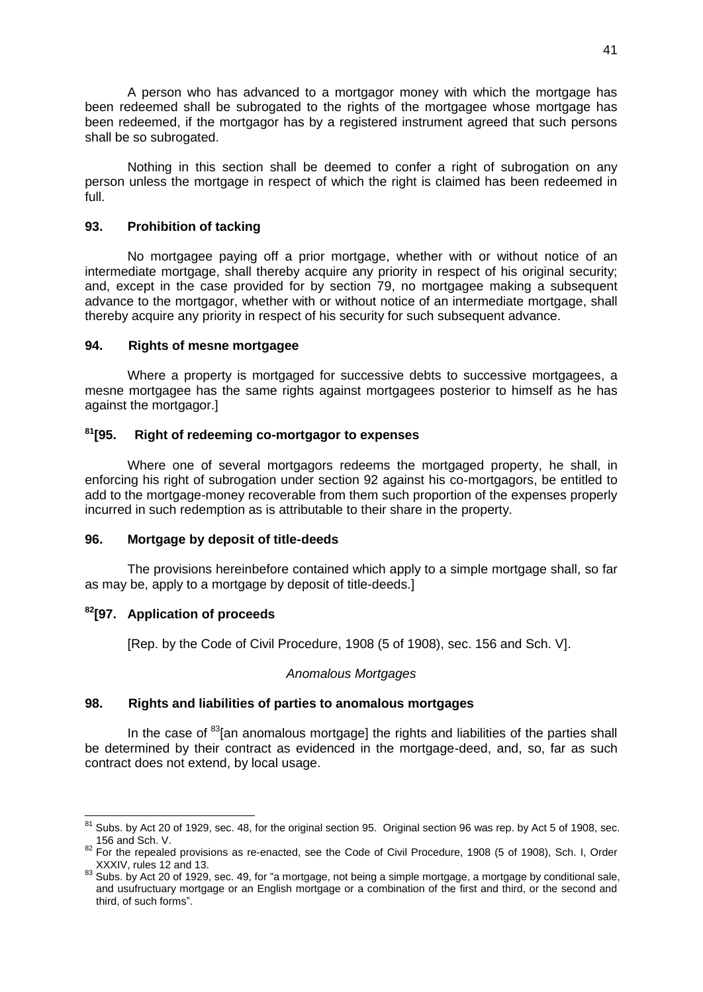A person who has advanced to a mortgagor money with which the mortgage has been redeemed shall be subrogated to the rights of the mortgagee whose mortgage has been redeemed, if the mortgagor has by a registered instrument agreed that such persons shall be so subrogated.

Nothing in this section shall be deemed to confer a right of subrogation on any person unless the mortgage in respect of which the right is claimed has been redeemed in full.

## **93. Prohibition of tacking**

No mortgagee paying off a prior mortgage, whether with or without notice of an intermediate mortgage, shall thereby acquire any priority in respect of his original security; and, except in the case provided for by section 79, no mortgagee making a subsequent advance to the mortgagor, whether with or without notice of an intermediate mortgage, shall thereby acquire any priority in respect of his security for such subsequent advance.

## **94. Rights of mesne mortgagee**

Where a property is mortgaged for successive debts to successive mortgagees, a mesne mortgagee has the same rights against mortgagees posterior to himself as he has against the mortgagor.]

# **<sup>81</sup>[95. Right of redeeming co-mortgagor to expenses**

Where one of several mortgagors redeems the mortgaged property, he shall, in enforcing his right of subrogation under section 92 against his co-mortgagors, be entitled to add to the mortgage-money recoverable from them such proportion of the expenses properly incurred in such redemption as is attributable to their share in the property.

#### **96. Mortgage by deposit of title-deeds**

The provisions hereinbefore contained which apply to a simple mortgage shall, so far as may be, apply to a mortgage by deposit of title-deeds.]

## **<sup>82</sup>[97. Application of proceeds**

 $\overline{a}$ 

[Rep. by the Code of Civil Procedure, 1908 (5 of 1908), sec. 156 and Sch. V].

#### *Anomalous Mortgages*

#### **98. Rights and liabilities of parties to anomalous mortgages**

In the case of <sup>83</sup>[an anomalous mortgage] the rights and liabilities of the parties shall be determined by their contract as evidenced in the mortgage-deed, and, so, far as such contract does not extend, by local usage.

 $81$  Subs. by Act 20 of 1929, sec. 48, for the original section 95. Original section 96 was rep. by Act 5 of 1908, sec. 156 and Sch. V.

<sup>82</sup> For the repealed provisions as re-enacted, see the Code of Civil Procedure, 1908 (5 of 1908), Sch. I, Order XXXIV, rules 12 and 13.

<sup>83</sup> Subs. by Act 20 of 1929, sec. 49, for "a mortgage, not being a simple mortgage, a mortgage by conditional sale, and usufructuary mortgage or an English mortgage or a combination of the first and third, or the second and third, of such forms".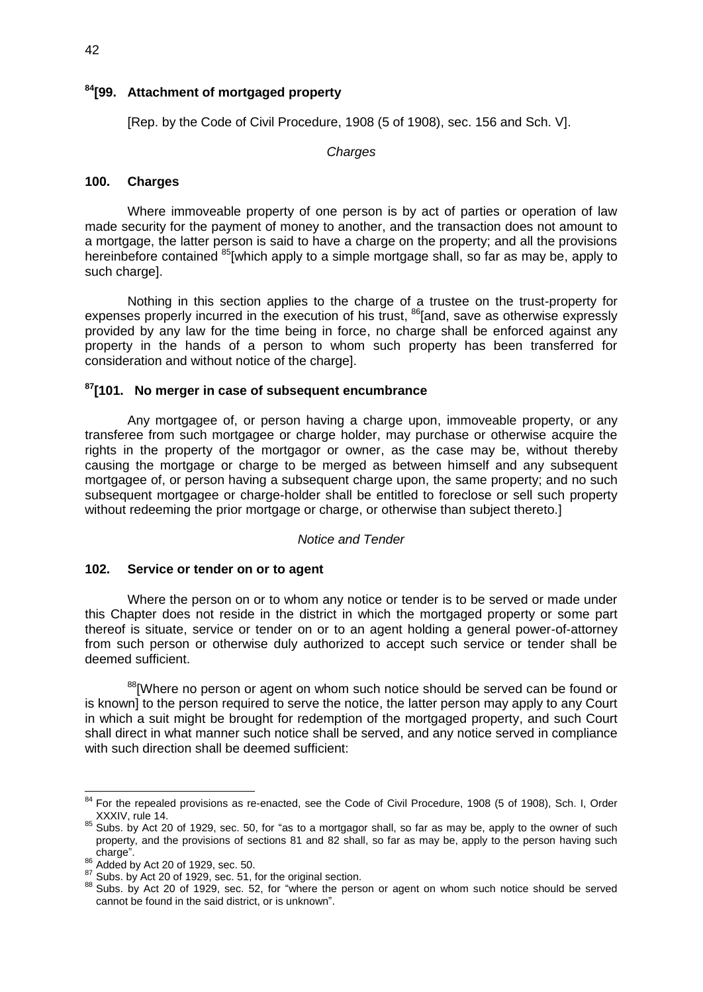## **<sup>84</sup>[99. Attachment of mortgaged property**

[Rep. by the Code of Civil Procedure, 1908 (5 of 1908), sec. 156 and Sch. V].

*Charges*

#### **100. Charges**

Where immoveable property of one person is by act of parties or operation of law made security for the payment of money to another, and the transaction does not amount to a mortgage, the latter person is said to have a charge on the property; and all the provisions hereinbefore contained <sup>85</sup>[which apply to a simple mortgage shall, so far as may be, apply to such chargel.

Nothing in this section applies to the charge of a trustee on the trust-property for expenses properly incurred in the execution of his trust, <sup>86</sup>[and, save as otherwise expressly provided by any law for the time being in force, no charge shall be enforced against any property in the hands of a person to whom such property has been transferred for consideration and without notice of the charge].

## **<sup>87</sup>[101. No merger in case of subsequent encumbrance**

Any mortgagee of, or person having a charge upon, immoveable property, or any transferee from such mortgagee or charge holder, may purchase or otherwise acquire the rights in the property of the mortgagor or owner, as the case may be, without thereby causing the mortgage or charge to be merged as between himself and any subsequent mortgagee of, or person having a subsequent charge upon, the same property; and no such subsequent mortgagee or charge-holder shall be entitled to foreclose or sell such property without redeeming the prior mortgage or charge, or otherwise than subject thereto.

#### *Notice and Tender*

#### **102. Service or tender on or to agent**

Where the person on or to whom any notice or tender is to be served or made under this Chapter does not reside in the district in which the mortgaged property or some part thereof is situate, service or tender on or to an agent holding a general power-of-attorney from such person or otherwise duly authorized to accept such service or tender shall be deemed sufficient.

<sup>88</sup>[Where no person or agent on whom such notice should be served can be found or is known] to the person required to serve the notice, the latter person may apply to any Court in which a suit might be brought for redemption of the mortgaged property, and such Court shall direct in what manner such notice shall be served, and any notice served in compliance with such direction shall be deemed sufficient:

<sup>&</sup>lt;sup>84</sup> For the repealed provisions as re-enacted, see the Code of Civil Procedure, 1908 (5 of 1908), Sch. I, Order XXXIV, rule 14.

<sup>85</sup> Subs. by Act 20 of 1929, sec. 50, for "as to a mortgagor shall, so far as may be, apply to the owner of such property, and the provisions of sections 81 and 82 shall, so far as may be, apply to the person having such charge".

<sup>86</sup> Added by Act 20 of 1929, sec. 50.

<sup>87</sup> Subs. by Act 20 of 1929, sec. 51, for the original section.

<sup>88</sup> Subs. by Act 20 of 1929, sec. 52, for "where the person or agent on whom such notice should be served cannot be found in the said district, or is unknown".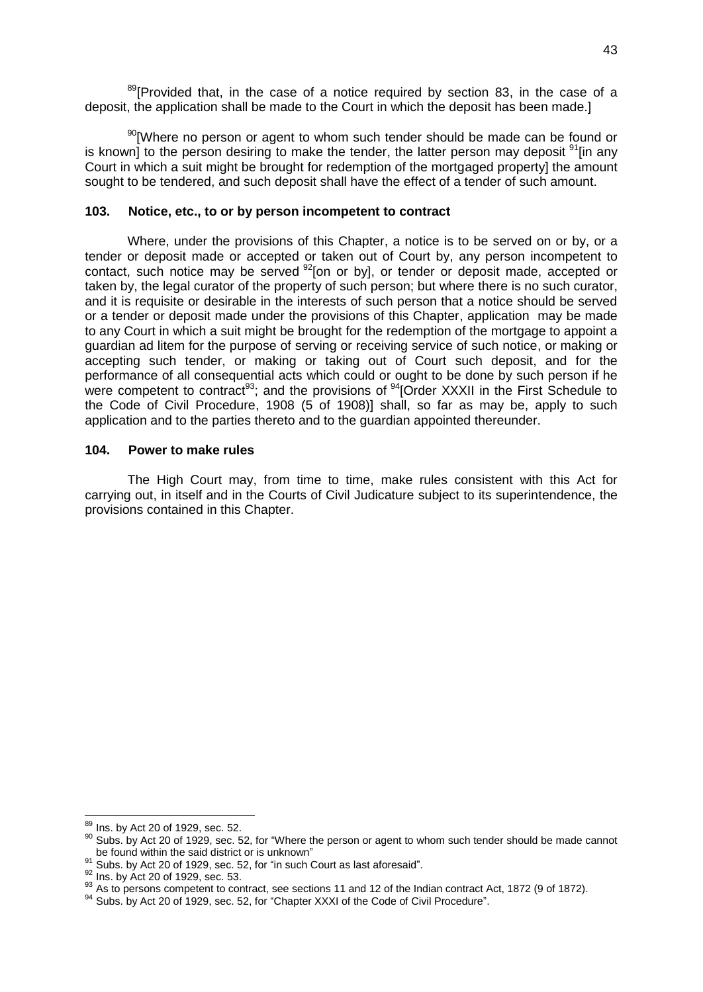89[Provided that, in the case of a notice required by section 83, in the case of a deposit, the application shall be made to the Court in which the deposit has been made.]

 $90$ [Where no person or agent to whom such tender should be made can be found or is known] to the person desiring to make the tender, the latter person may deposit  $91$ [in any Court in which a suit might be brought for redemption of the mortgaged property] the amount sought to be tendered, and such deposit shall have the effect of a tender of such amount.

#### **103. Notice, etc., to or by person incompetent to contract**

Where, under the provisions of this Chapter, a notice is to be served on or by, or a tender or deposit made or accepted or taken out of Court by, any person incompetent to contact, such notice may be served <sup>92</sup>[on or by], or tender or deposit made, accepted or taken by, the legal curator of the property of such person; but where there is no such curator, and it is requisite or desirable in the interests of such person that a notice should be served or a tender or deposit made under the provisions of this Chapter, application may be made to any Court in which a suit might be brought for the redemption of the mortgage to appoint a guardian ad litem for the purpose of serving or receiving service of such notice, or making or accepting such tender, or making or taking out of Court such deposit, and for the performance of all consequential acts which could or ought to be done by such person if he were competent to contract<sup>93</sup>; and the provisions of  $94$ [Order XXXII in the First Schedule to the Code of Civil Procedure, 1908 (5 of 1908)] shall, so far as may be, apply to such application and to the parties thereto and to the guardian appointed thereunder.

#### **104. Power to make rules**

The High Court may, from time to time, make rules consistent with this Act for carrying out, in itself and in the Courts of Civil Judicature subject to its superintendence, the provisions contained in this Chapter.

 $\overline{a}$ 

 $^{89}$  Ins. by Act 20 of 1929, sec. 52.

<sup>90</sup> Subs. by Act 20 of 1929, sec. 52, for "Where the person or agent to whom such tender should be made cannot be found within the said district or is unknown"

<sup>91</sup> Subs. by Act 20 of 1929, sec. 52, for "in such Court as last aforesaid".

<sup>92</sup> Ins. by Act 20 of 1929, sec. 53.

<sup>93</sup> As to persons competent to contract, see sections 11 and 12 of the Indian contract Act, 1872 (9 of 1872).

<sup>94</sup> Subs. by Act 20 of 1929, sec. 52, for "Chapter XXXI of the Code of Civil Procedure".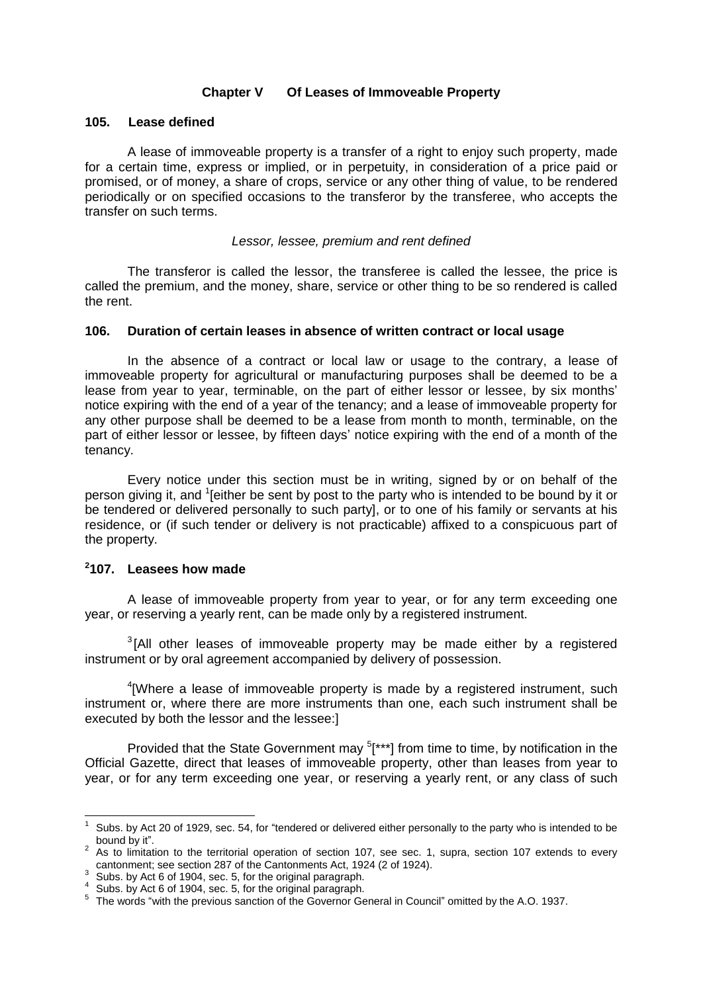## **Chapter V Of Leases of Immoveable Property**

#### **105. Lease defined**

A lease of immoveable property is a transfer of a right to enjoy such property, made for a certain time, express or implied, or in perpetuity, in consideration of a price paid or promised, or of money, a share of crops, service or any other thing of value, to be rendered periodically or on specified occasions to the transferor by the transferee, who accepts the transfer on such terms.

#### *Lessor, lessee, premium and rent defined*

The transferor is called the lessor, the transferee is called the lessee, the price is called the premium, and the money, share, service or other thing to be so rendered is called the rent.

#### **106. Duration of certain leases in absence of written contract or local usage**

In the absence of a contract or local law or usage to the contrary, a lease of immoveable property for agricultural or manufacturing purposes shall be deemed to be a lease from year to year, terminable, on the part of either lessor or lessee, by six months' notice expiring with the end of a year of the tenancy; and a lease of immoveable property for any other purpose shall be deemed to be a lease from month to month, terminable, on the part of either lessor or lessee, by fifteen days' notice expiring with the end of a month of the tenancy.

Every notice under this section must be in writing, signed by or on behalf of the person giving it, and <sup>1</sup>[either be sent by post to the party who is intended to be bound by it or be tendered or delivered personally to such party], or to one of his family or servants at his residence, or (if such tender or delivery is not practicable) affixed to a conspicuous part of the property.

## **2 107. Leasees how made**

 $\overline{a}$ 

A lease of immoveable property from year to year, or for any term exceeding one year, or reserving a yearly rent, can be made only by a registered instrument.

 $3$ [All other leases of immoveable property may be made either by a registered instrument or by oral agreement accompanied by delivery of possession.

<sup>4</sup>[Where a lease of immoveable property is made by a registered instrument, such instrument or, where there are more instruments than one, each such instrument shall be executed by both the lessor and the lessee:]

Provided that the State Government may  $5$ [\*\*\*] from time to time, by notification in the Official Gazette, direct that leases of immoveable property, other than leases from year to year, or for any term exceeding one year, or reserving a yearly rent, or any class of such

Subs. by Act 20 of 1929, sec. 54, for "tendered or delivered either personally to the party who is intended to be bound by it".

<sup>2</sup> As to limitation to the territorial operation of section 107, see sec. 1, supra, section 107 extends to every cantonment; see section 287 of the Cantonments Act, 1924 (2 of 1924).

<sup>&</sup>lt;sup>3</sup> Subs. by Act 6 of 1904, sec. 5, for the original paragraph.

<sup>4</sup> Subs. by Act 6 of 1904, sec. 5, for the original paragraph.

<sup>&</sup>lt;sup>5</sup> The words "with the previous sanction of the Governor General in Council" omitted by the A.O. 1937.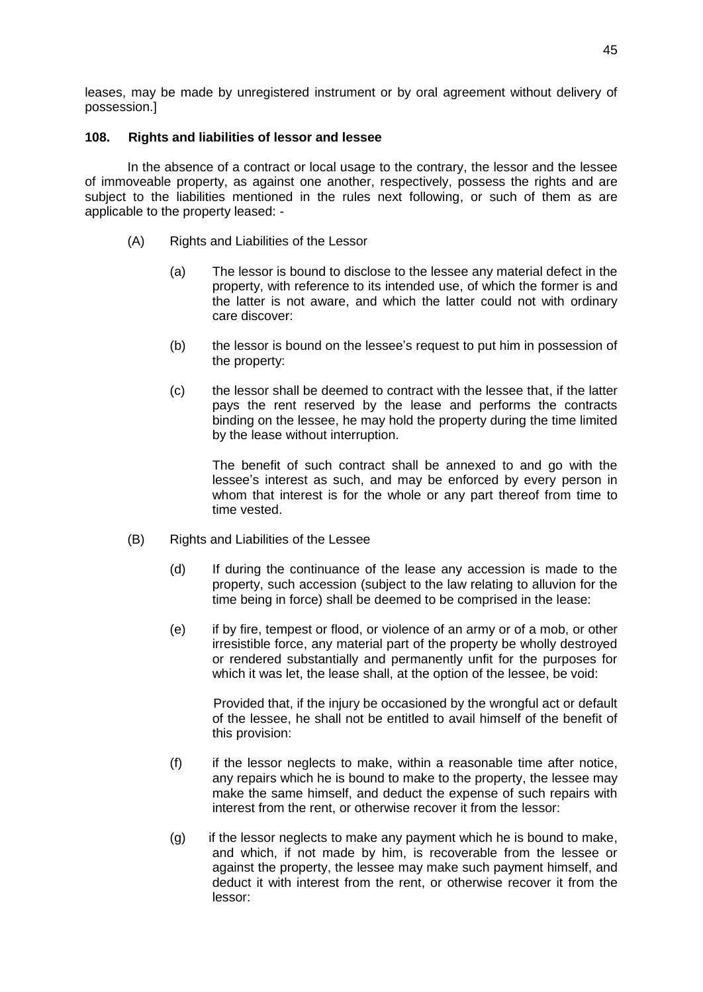leases, may be made by unregistered instrument or by oral agreement without delivery of possession.]

#### **108. Rights and liabilities of lessor and lessee**

In the absence of a contract or local usage to the contrary, the lessor and the lessee of immoveable property, as against one another, respectively, possess the rights and are subject to the liabilities mentioned in the rules next following, or such of them as are applicable to the property leased: -

- (A) Rights and Liabilities of the Lessor
	- (a) The lessor is bound to disclose to the lessee any material defect in the property, with reference to its intended use, of which the former is and the latter is not aware, and which the latter could not with ordinary care discover:
	- (b) the lessor is bound on the lessee's request to put him in possession of the property:
	- (c) the lessor shall be deemed to contract with the lessee that, if the latter pays the rent reserved by the lease and performs the contracts binding on the lessee, he may hold the property during the time limited by the lease without interruption.

The benefit of such contract shall be annexed to and go with the lessee's interest as such, and may be enforced by every person in whom that interest is for the whole or any part thereof from time to time vested.

- (B) Rights and Liabilities of the Lessee
	- (d) If during the continuance of the lease any accession is made to the property, such accession (subject to the law relating to alluvion for the time being in force) shall be deemed to be comprised in the lease:
	- (e) if by fire, tempest or flood, or violence of an army or of a mob, or other irresistible force, any material part of the property be wholly destroyed or rendered substantially and permanently unfit for the purposes for which it was let, the lease shall, at the option of the lessee, be void:

 Provided that, if the injury be occasioned by the wrongful act or default of the lessee, he shall not be entitled to avail himself of the benefit of this provision:

- (f) if the lessor neglects to make, within a reasonable time after notice, any repairs which he is bound to make to the property, the lessee may make the same himself, and deduct the expense of such repairs with interest from the rent, or otherwise recover it from the lessor:
- (g) if the lessor neglects to make any payment which he is bound to make, and which, if not made by him, is recoverable from the lessee or against the property, the lessee may make such payment himself, and deduct it with interest from the rent, or otherwise recover it from the lessor: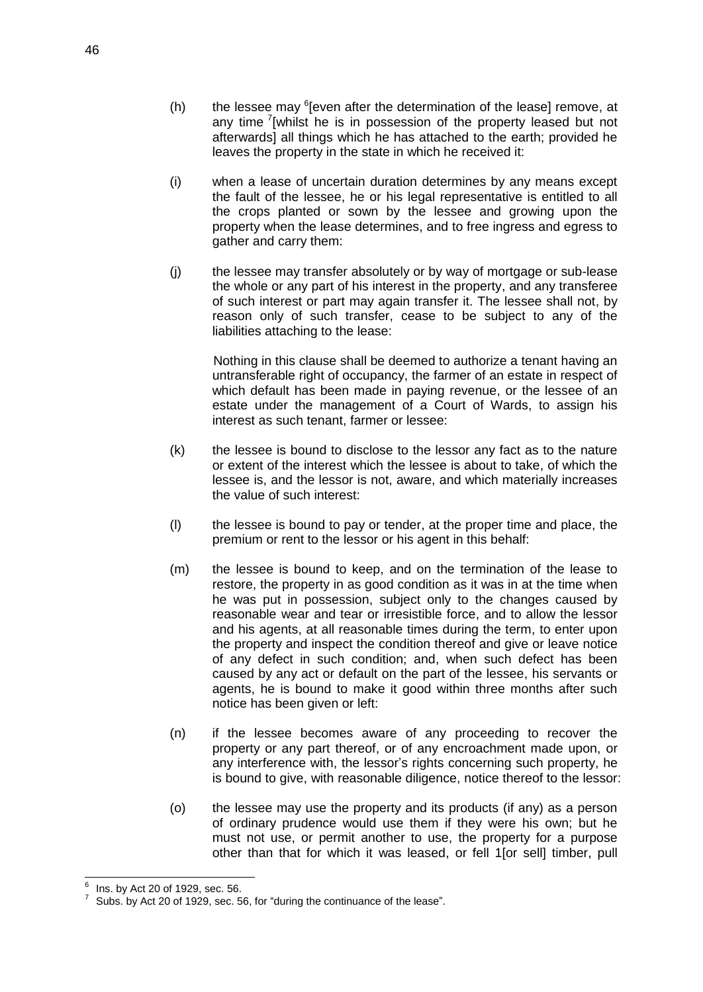- (h) the lessee may  $6$  [even after the determination of the lease] remove, at any time  $\frac{7}{1}$  whilst he is in possession of the property leased but not afterwards] all things which he has attached to the earth; provided he leaves the property in the state in which he received it:
- (i) when a lease of uncertain duration determines by any means except the fault of the lessee, he or his legal representative is entitled to all the crops planted or sown by the lessee and growing upon the property when the lease determines, and to free ingress and egress to gather and carry them:
- (j) the lessee may transfer absolutely or by way of mortgage or sub-lease the whole or any part of his interest in the property, and any transferee of such interest or part may again transfer it. The lessee shall not, by reason only of such transfer, cease to be subject to any of the liabilities attaching to the lease:

 Nothing in this clause shall be deemed to authorize a tenant having an untransferable right of occupancy, the farmer of an estate in respect of which default has been made in paying revenue, or the lessee of an estate under the management of a Court of Wards, to assign his interest as such tenant, farmer or lessee:

- (k) the lessee is bound to disclose to the lessor any fact as to the nature or extent of the interest which the lessee is about to take, of which the lessee is, and the lessor is not, aware, and which materially increases the value of such interest:
- (l) the lessee is bound to pay or tender, at the proper time and place, the premium or rent to the lessor or his agent in this behalf:
- (m) the lessee is bound to keep, and on the termination of the lease to restore, the property in as good condition as it was in at the time when he was put in possession, subject only to the changes caused by reasonable wear and tear or irresistible force, and to allow the lessor and his agents, at all reasonable times during the term, to enter upon the property and inspect the condition thereof and give or leave notice of any defect in such condition; and, when such defect has been caused by any act or default on the part of the lessee, his servants or agents, he is bound to make it good within three months after such notice has been given or left:
- (n) if the lessee becomes aware of any proceeding to recover the property or any part thereof, or of any encroachment made upon, or any interference with, the lessor's rights concerning such property, he is bound to give, with reasonable diligence, notice thereof to the lessor:
- (o) the lessee may use the property and its products (if any) as a person of ordinary prudence would use them if they were his own; but he must not use, or permit another to use, the property for a purpose other than that for which it was leased, or fell 1[or sell] timber, pull

 $6$  Ins. by Act 20 of 1929, sec. 56.

Subs. by Act 20 of 1929, sec. 56, for "during the continuance of the lease".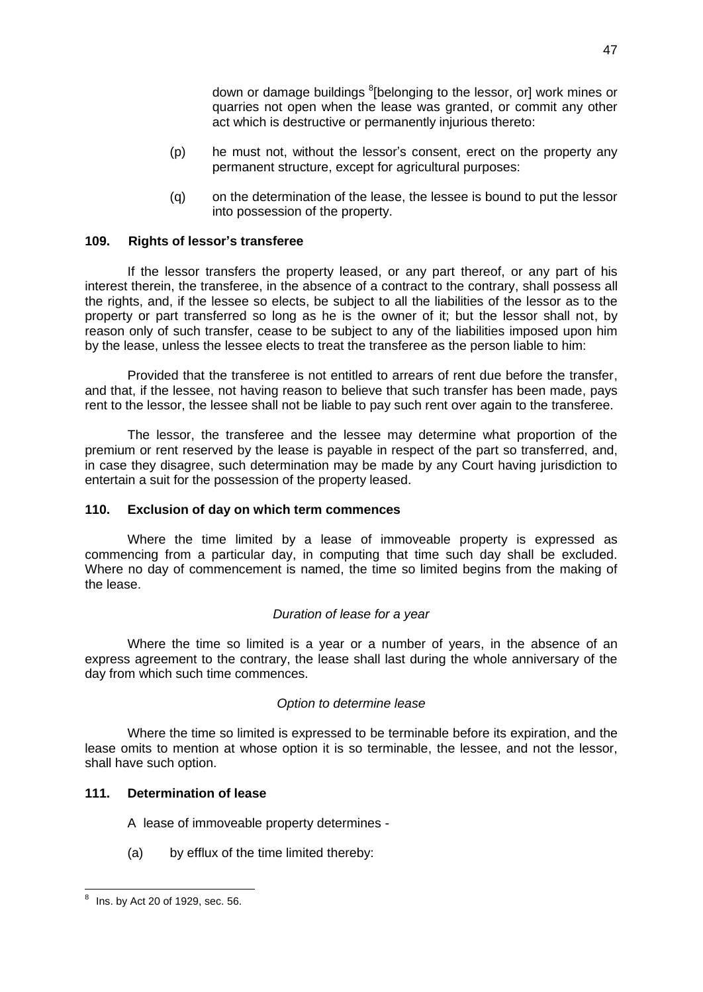down or damage buildings <sup>8</sup>[belonging to the lessor, or] work mines or quarries not open when the lease was granted, or commit any other act which is destructive or permanently injurious thereto:

- (p) he must not, without the lessor's consent, erect on the property any permanent structure, except for agricultural purposes:
- (q) on the determination of the lease, the lessee is bound to put the lessor into possession of the property.

#### **109. Rights of lessor's transferee**

If the lessor transfers the property leased, or any part thereof, or any part of his interest therein, the transferee, in the absence of a contract to the contrary, shall possess all the rights, and, if the lessee so elects, be subject to all the liabilities of the lessor as to the property or part transferred so long as he is the owner of it; but the lessor shall not, by reason only of such transfer, cease to be subject to any of the liabilities imposed upon him by the lease, unless the lessee elects to treat the transferee as the person liable to him:

Provided that the transferee is not entitled to arrears of rent due before the transfer, and that, if the lessee, not having reason to believe that such transfer has been made, pays rent to the lessor, the lessee shall not be liable to pay such rent over again to the transferee.

The lessor, the transferee and the lessee may determine what proportion of the premium or rent reserved by the lease is payable in respect of the part so transferred, and, in case they disagree, such determination may be made by any Court having jurisdiction to entertain a suit for the possession of the property leased.

#### **110. Exclusion of day on which term commences**

Where the time limited by a lease of immoveable property is expressed as commencing from a particular day, in computing that time such day shall be excluded. Where no day of commencement is named, the time so limited begins from the making of the lease.

#### *Duration of lease for a year*

Where the time so limited is a year or a number of years, in the absence of an express agreement to the contrary, the lease shall last during the whole anniversary of the day from which such time commences.

#### *Option to determine lease*

Where the time so limited is expressed to be terminable before its expiration, and the lease omits to mention at whose option it is so terminable, the lessee, and not the lessor, shall have such option.

## **111. Determination of lease**

A lease of immoveable property determines -

(a) by efflux of the time limited thereby:

 8 Ins. by Act 20 of 1929, sec. 56.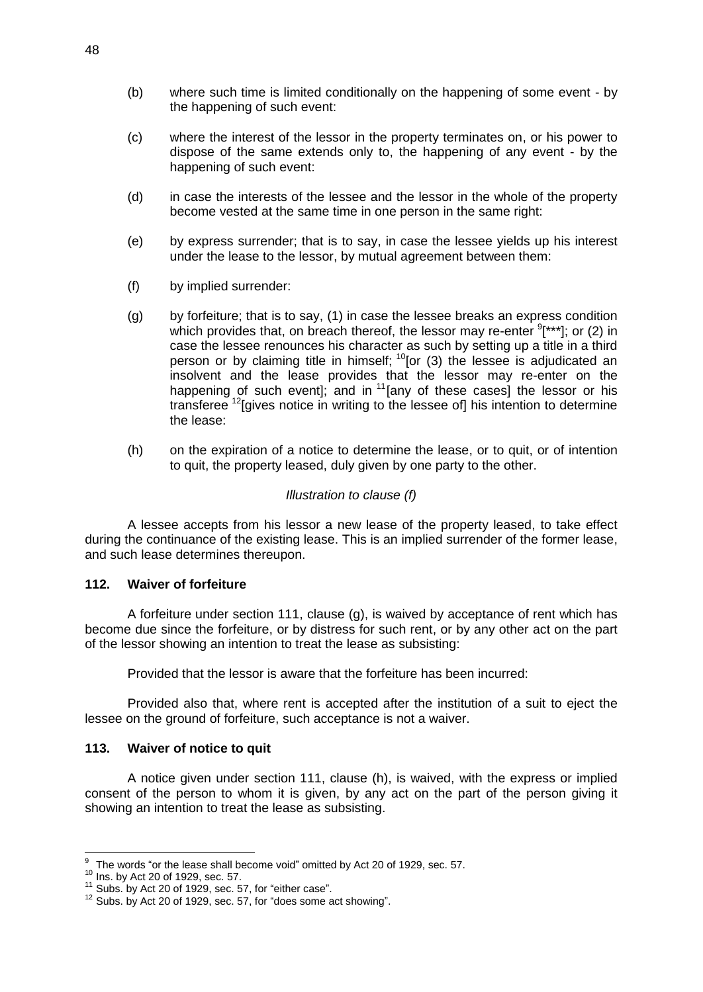- (b) where such time is limited conditionally on the happening of some event by the happening of such event:
- (c) where the interest of the lessor in the property terminates on, or his power to dispose of the same extends only to, the happening of any event - by the happening of such event:
- (d) in case the interests of the lessee and the lessor in the whole of the property become vested at the same time in one person in the same right:
- (e) by express surrender; that is to say, in case the lessee yields up his interest under the lease to the lessor, by mutual agreement between them:
- (f) by implied surrender:
- (g) by forfeiture; that is to say, (1) in case the lessee breaks an express condition which provides that, on breach thereof, the lessor may re-enter  $9$ [\*\*\*]; or (2) in case the lessee renounces his character as such by setting up a title in a third person or by claiming title in himself;  $^{10}$ [or (3) the lessee is adjudicated an insolvent and the lease provides that the lessor may re-enter on the happening of such event]; and in  $11$ [any of these cases] the lessor or his transferee <sup>12</sup> [gives notice in writing to the lessee of] his intention to determine the lease:
- (h) on the expiration of a notice to determine the lease, or to quit, or of intention to quit, the property leased, duly given by one party to the other.

#### *Illustration to clause (f)*

A lessee accepts from his lessor a new lease of the property leased, to take effect during the continuance of the existing lease. This is an implied surrender of the former lease, and such lease determines thereupon.

#### **112. Waiver of forfeiture**

A forfeiture under section 111, clause (g), is waived by acceptance of rent which has become due since the forfeiture, or by distress for such rent, or by any other act on the part of the lessor showing an intention to treat the lease as subsisting:

Provided that the lessor is aware that the forfeiture has been incurred:

Provided also that, where rent is accepted after the institution of a suit to eject the lessee on the ground of forfeiture, such acceptance is not a waiver.

#### **113. Waiver of notice to quit**

A notice given under section 111, clause (h), is waived, with the express or implied consent of the person to whom it is given, by any act on the part of the person giving it showing an intention to treat the lease as subsisting.

 9 The words "or the lease shall become void" omitted by Act 20 of 1929, sec. 57.

 $10$  Ins. by Act 20 of 1929, sec. 57.

 $11$  Subs. by Act 20 of 1929, sec. 57, for "either case".

<sup>12</sup> Subs. by Act 20 of 1929, sec. 57, for "does some act showing".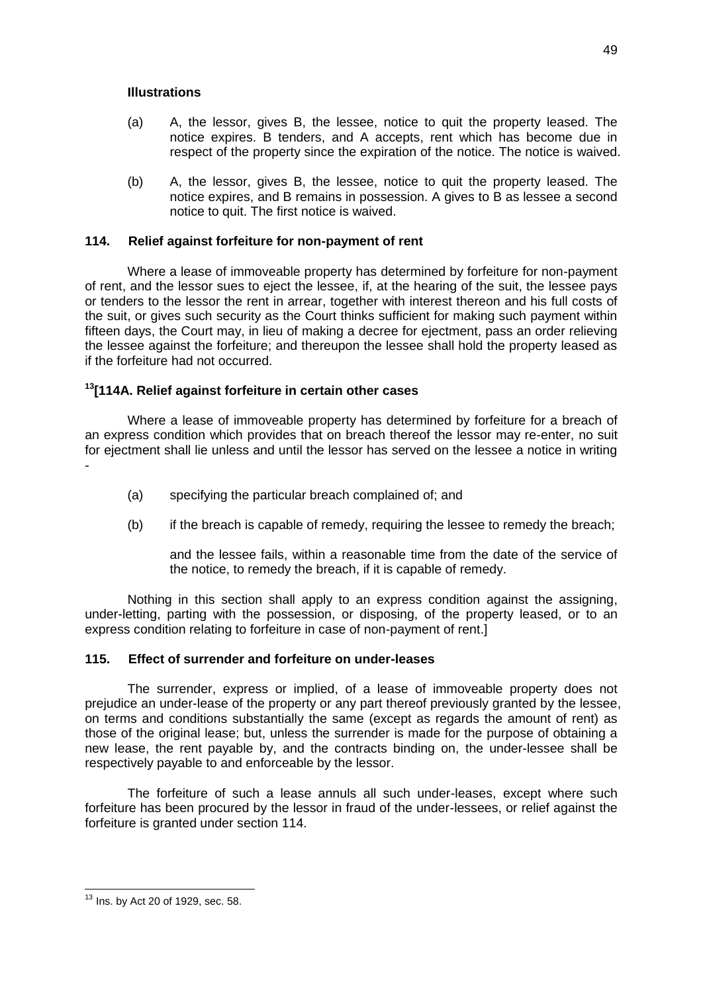## **Illustrations**

- (a) A, the lessor, gives B, the lessee, notice to quit the property leased. The notice expires. B tenders, and A accepts, rent which has become due in respect of the property since the expiration of the notice. The notice is waived.
- (b) A, the lessor, gives B, the lessee, notice to quit the property leased. The notice expires, and B remains in possession. A gives to B as lessee a second notice to quit. The first notice is waived.

## **114. Relief against forfeiture for non-payment of rent**

Where a lease of immoveable property has determined by forfeiture for non-payment of rent, and the lessor sues to eject the lessee, if, at the hearing of the suit, the lessee pays or tenders to the lessor the rent in arrear, together with interest thereon and his full costs of the suit, or gives such security as the Court thinks sufficient for making such payment within fifteen days, the Court may, in lieu of making a decree for ejectment, pass an order relieving the lessee against the forfeiture; and thereupon the lessee shall hold the property leased as if the forfeiture had not occurred.

## **<sup>13</sup>[114A. Relief against forfeiture in certain other cases**

Where a lease of immoveable property has determined by forfeiture for a breach of an express condition which provides that on breach thereof the lessor may re-enter, no suit for ejectment shall lie unless and until the lessor has served on the lessee a notice in writing -

- (a) specifying the particular breach complained of; and
- (b) if the breach is capable of remedy, requiring the lessee to remedy the breach;

and the lessee fails, within a reasonable time from the date of the service of the notice, to remedy the breach, if it is capable of remedy.

Nothing in this section shall apply to an express condition against the assigning, under-letting, parting with the possession, or disposing, of the property leased, or to an express condition relating to forfeiture in case of non-payment of rent.]

## **115. Effect of surrender and forfeiture on under-leases**

The surrender, express or implied, of a lease of immoveable property does not prejudice an under-lease of the property or any part thereof previously granted by the lessee, on terms and conditions substantially the same (except as regards the amount of rent) as those of the original lease; but, unless the surrender is made for the purpose of obtaining a new lease, the rent payable by, and the contracts binding on, the under-lessee shall be respectively payable to and enforceable by the lessor.

The forfeiture of such a lease annuls all such under-leases, except where such forfeiture has been procured by the lessor in fraud of the under-lessees, or relief against the forfeiture is granted under section 114.

<sup>1</sup>  $13$  Ins. by Act 20 of 1929, sec. 58.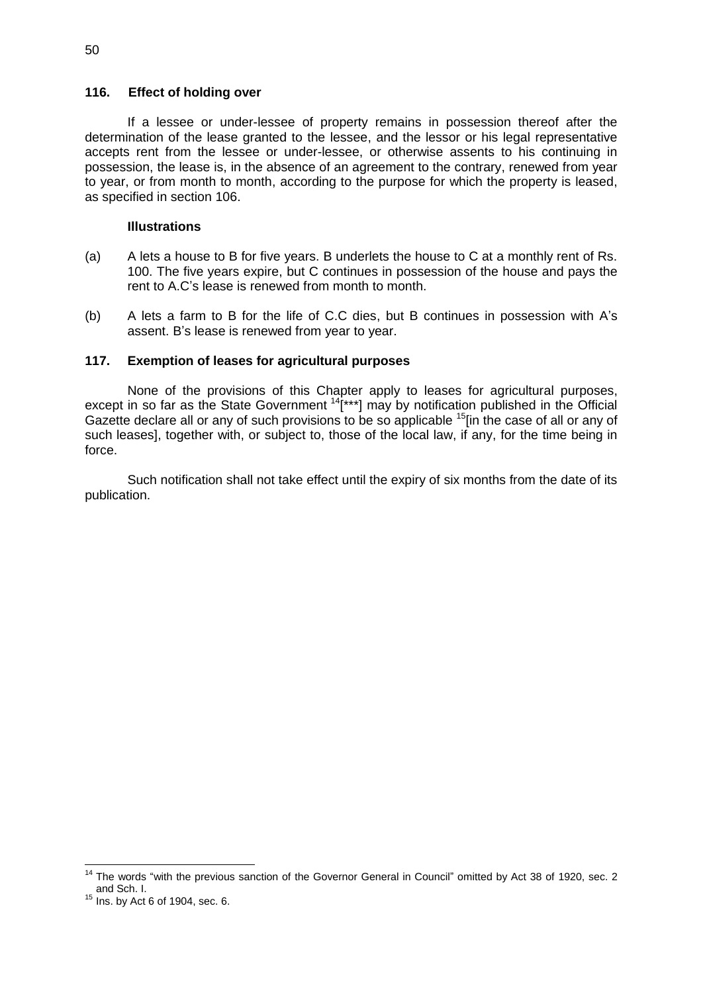#### **116. Effect of holding over**

If a lessee or under-lessee of property remains in possession thereof after the determination of the lease granted to the lessee, and the lessor or his legal representative accepts rent from the lessee or under-lessee, or otherwise assents to his continuing in possession, the lease is, in the absence of an agreement to the contrary, renewed from year to year, or from month to month, according to the purpose for which the property is leased, as specified in section 106.

## **Illustrations**

- (a) A lets a house to B for five years. B underlets the house to C at a monthly rent of Rs. 100. The five years expire, but C continues in possession of the house and pays the rent to A.C's lease is renewed from month to month.
- (b) A lets a farm to B for the life of C.C dies, but B continues in possession with A's assent. B's lease is renewed from year to year.

#### **117. Exemption of leases for agricultural purposes**

None of the provisions of this Chapter apply to leases for agricultural purposes, except in so far as the State Government  $14$ <sup>\*\*\*</sup>] may by notification published in the Official Gazette declare all or any of such provisions to be so applicable <sup>15</sup>[in the case of all or any of such leases], together with, or subject to, those of the local law, if any, for the time being in force.

Such notification shall not take effect until the expiry of six months from the date of its publication.

<sup>&</sup>lt;sup>14</sup> The words "with the previous sanction of the Governor General in Council" omitted by Act 38 of 1920, sec. 2 and Sch. I.

 $15$  Ins. by Act 6 of 1904, sec. 6.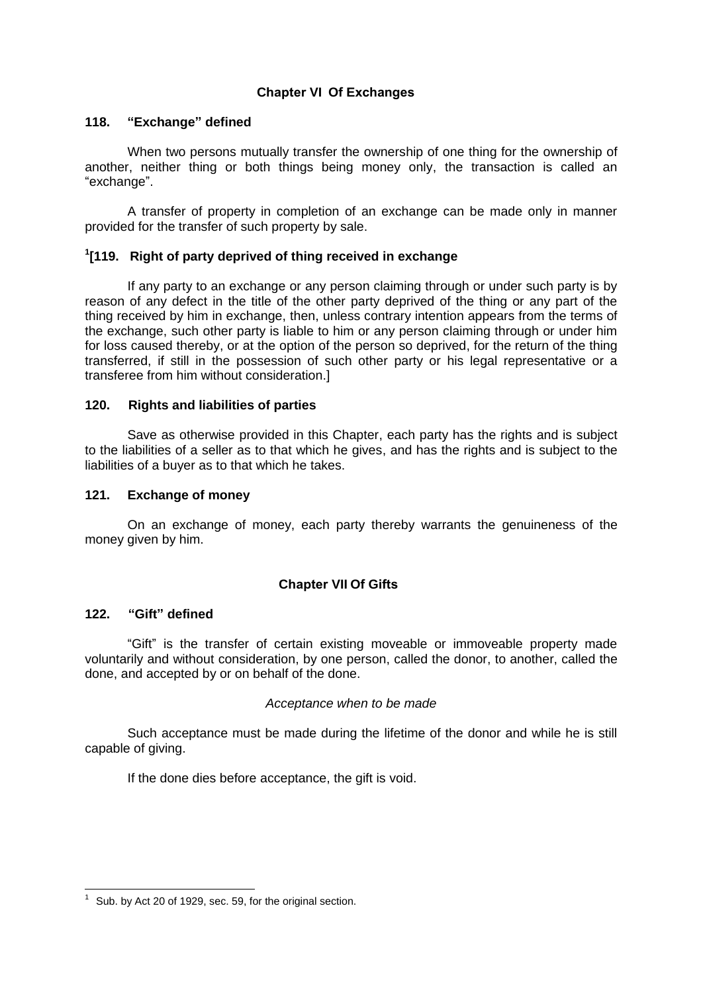## **Chapter VI Of Exchanges**

#### **118. "Exchange" defined**

When two persons mutually transfer the ownership of one thing for the ownership of another, neither thing or both things being money only, the transaction is called an "exchange".

A transfer of property in completion of an exchange can be made only in manner provided for the transfer of such property by sale.

## **1 [119. Right of party deprived of thing received in exchange**

If any party to an exchange or any person claiming through or under such party is by reason of any defect in the title of the other party deprived of the thing or any part of the thing received by him in exchange, then, unless contrary intention appears from the terms of the exchange, such other party is liable to him or any person claiming through or under him for loss caused thereby, or at the option of the person so deprived, for the return of the thing transferred, if still in the possession of such other party or his legal representative or a transferee from him without consideration.]

## **120. Rights and liabilities of parties**

Save as otherwise provided in this Chapter, each party has the rights and is subject to the liabilities of a seller as to that which he gives, and has the rights and is subject to the liabilities of a buyer as to that which he takes.

## **121. Exchange of money**

On an exchange of money, each party thereby warrants the genuineness of the money given by him.

## **Chapter VII Of Gifts**

## **122. "Gift" defined**

1

"Gift" is the transfer of certain existing moveable or immoveable property made voluntarily and without consideration, by one person, called the donor, to another, called the done, and accepted by or on behalf of the done.

#### *Acceptance when to be made*

Such acceptance must be made during the lifetime of the donor and while he is still capable of giving.

If the done dies before acceptance, the gift is void.

 $1$  Sub. by Act 20 of 1929, sec. 59, for the original section.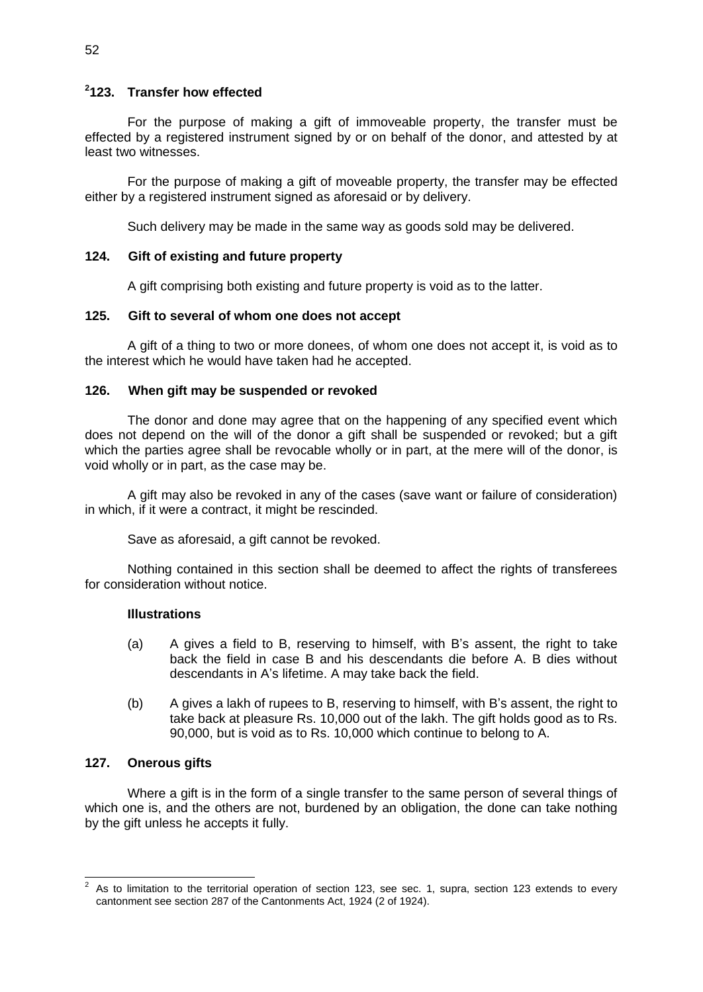## **2 123. Transfer how effected**

For the purpose of making a gift of immoveable property, the transfer must be effected by a registered instrument signed by or on behalf of the donor, and attested by at least two witnesses.

For the purpose of making a gift of moveable property, the transfer may be effected either by a registered instrument signed as aforesaid or by delivery.

Such delivery may be made in the same way as goods sold may be delivered.

## **124. Gift of existing and future property**

A gift comprising both existing and future property is void as to the latter.

## **125. Gift to several of whom one does not accept**

A gift of a thing to two or more donees, of whom one does not accept it, is void as to the interest which he would have taken had he accepted.

## **126. When gift may be suspended or revoked**

The donor and done may agree that on the happening of any specified event which does not depend on the will of the donor a gift shall be suspended or revoked; but a gift which the parties agree shall be revocable wholly or in part, at the mere will of the donor, is void wholly or in part, as the case may be.

A gift may also be revoked in any of the cases (save want or failure of consideration) in which, if it were a contract, it might be rescinded.

Save as aforesaid, a gift cannot be revoked.

Nothing contained in this section shall be deemed to affect the rights of transferees for consideration without notice.

#### **Illustrations**

- (a) A gives a field to B, reserving to himself, with B's assent, the right to take back the field in case B and his descendants die before A. B dies without descendants in A's lifetime. A may take back the field.
- (b) A gives a lakh of rupees to B, reserving to himself, with B's assent, the right to take back at pleasure Rs. 10,000 out of the lakh. The gift holds good as to Rs. 90,000, but is void as to Rs. 10,000 which continue to belong to A.

## **127. Onerous gifts**

 $\overline{a}$ 

Where a gift is in the form of a single transfer to the same person of several things of which one is, and the others are not, burdened by an obligation, the done can take nothing by the gift unless he accepts it fully.

<sup>2</sup> As to limitation to the territorial operation of section 123, see sec. 1, supra, section 123 extends to every cantonment see section 287 of the Cantonments Act, 1924 (2 of 1924).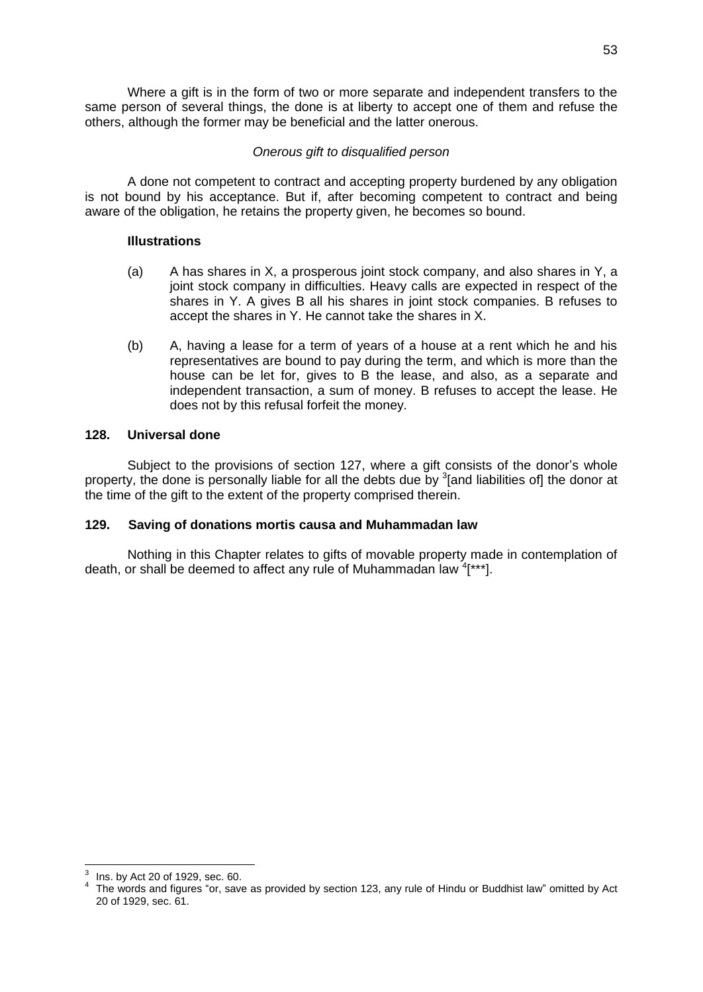Where a gift is in the form of two or more separate and independent transfers to the same person of several things, the done is at liberty to accept one of them and refuse the others, although the former may be beneficial and the latter onerous.

## *Onerous gift to disqualified person*

A done not competent to contract and accepting property burdened by any obligation is not bound by his acceptance. But if, after becoming competent to contract and being aware of the obligation, he retains the property given, he becomes so bound.

## **Illustrations**

- (a) A has shares in X, a prosperous joint stock company, and also shares in Y, a joint stock company in difficulties. Heavy calls are expected in respect of the shares in Y. A gives B all his shares in joint stock companies. B refuses to accept the shares in Y. He cannot take the shares in X.
- (b) A, having a lease for a term of years of a house at a rent which he and his representatives are bound to pay during the term, and which is more than the house can be let for, gives to B the lease, and also, as a separate and independent transaction, a sum of money. B refuses to accept the lease. He does not by this refusal forfeit the money.

## **128. Universal done**

Subject to the provisions of section 127, where a gift consists of the donor's whole property, the done is personally liable for all the debts due by <sup>3</sup> [and liabilities of] the donor at the time of the gift to the extent of the property comprised therein.

## **129. Saving of donations mortis causa and Muhammadan law**

Nothing in this Chapter relates to gifts of movable property made in contemplation of death, or shall be deemed to affect any rule of Muhammadan law  $4$ <sup>\*</sup>  $*$ \*\*\*].

<sup>&</sup>lt;u>3</u><br><sup>3</sup> Ins. by Act 20 of 1929, sec. 60.<br><sup>4</sup> The words and figures "er. 90.

The words and figures "or, save as provided by section 123, any rule of Hindu or Buddhist law" omitted by Act 20 of 1929, sec. 61.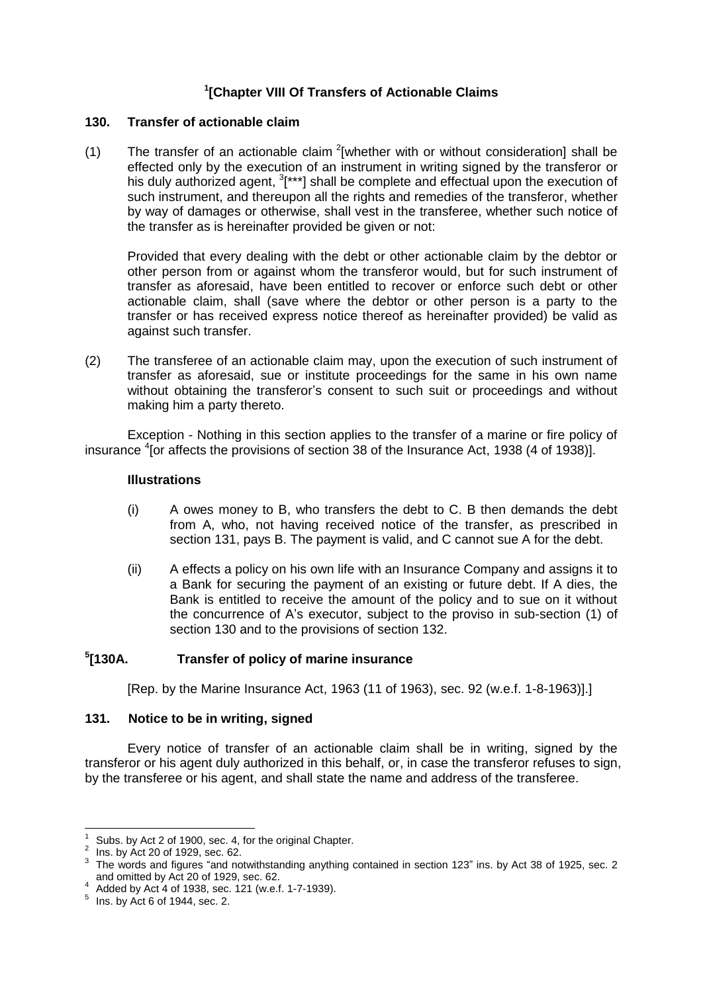## **1 [Chapter VIII Of Transfers of Actionable Claims**

#### **130. Transfer of actionable claim**

(1) The transfer of an actionable claim  $2$ [whether with or without consideration] shall be effected only by the execution of an instrument in writing signed by the transferor or his duly authorized agent,  $3$ <sup>\*\*\*</sup>] shall be complete and effectual upon the execution of such instrument, and thereupon all the rights and remedies of the transferor, whether by way of damages or otherwise, shall vest in the transferee, whether such notice of the transfer as is hereinafter provided be given or not:

Provided that every dealing with the debt or other actionable claim by the debtor or other person from or against whom the transferor would, but for such instrument of transfer as aforesaid, have been entitled to recover or enforce such debt or other actionable claim, shall (save where the debtor or other person is a party to the transfer or has received express notice thereof as hereinafter provided) be valid as against such transfer.

(2) The transferee of an actionable claim may, upon the execution of such instrument of transfer as aforesaid, sue or institute proceedings for the same in his own name without obtaining the transferor's consent to such suit or proceedings and without making him a party thereto.

Exception - Nothing in this section applies to the transfer of a marine or fire policy of insurance <sup>4</sup> [or affects the provisions of section 38 of the Insurance Act, 1938 (4 of 1938)].

## **Illustrations**

- (i) A owes money to B, who transfers the debt to C. B then demands the debt from A, who, not having received notice of the transfer, as prescribed in section 131, pays B. The payment is valid, and C cannot sue A for the debt.
- (ii) A effects a policy on his own life with an Insurance Company and assigns it to a Bank for securing the payment of an existing or future debt. If A dies, the Bank is entitled to receive the amount of the policy and to sue on it without the concurrence of A's executor, subject to the proviso in sub-section (1) of section 130 and to the provisions of section 132.

#### **5 [130A. Transfer of policy of marine insurance**

[Rep. by the Marine Insurance Act, 1963 (11 of 1963), sec. 92 (w.e.f. 1-8-1963)].]

## **131. Notice to be in writing, signed**

Every notice of transfer of an actionable claim shall be in writing, signed by the transferor or his agent duly authorized in this behalf, or, in case the transferor refuses to sign, by the transferee or his agent, and shall state the name and address of the transferee.

 1 Subs. by Act 2 of 1900, sec. 4, for the original Chapter.

 $2^{2}$  Ins. by Act 20 of 1929, sec. 62.

 $3$  The words and figures "and notwithstanding anything contained in section 123" ins. by Act 38 of 1925, sec. 2 and omitted by Act 20 of 1929, sec. 62.

<sup>&</sup>lt;sup>4</sup> Added by Act 4 of 1938, sec. 121 (w.e.f. 1-7-1939).

Ins. by Act 6 of 1944, sec. 2.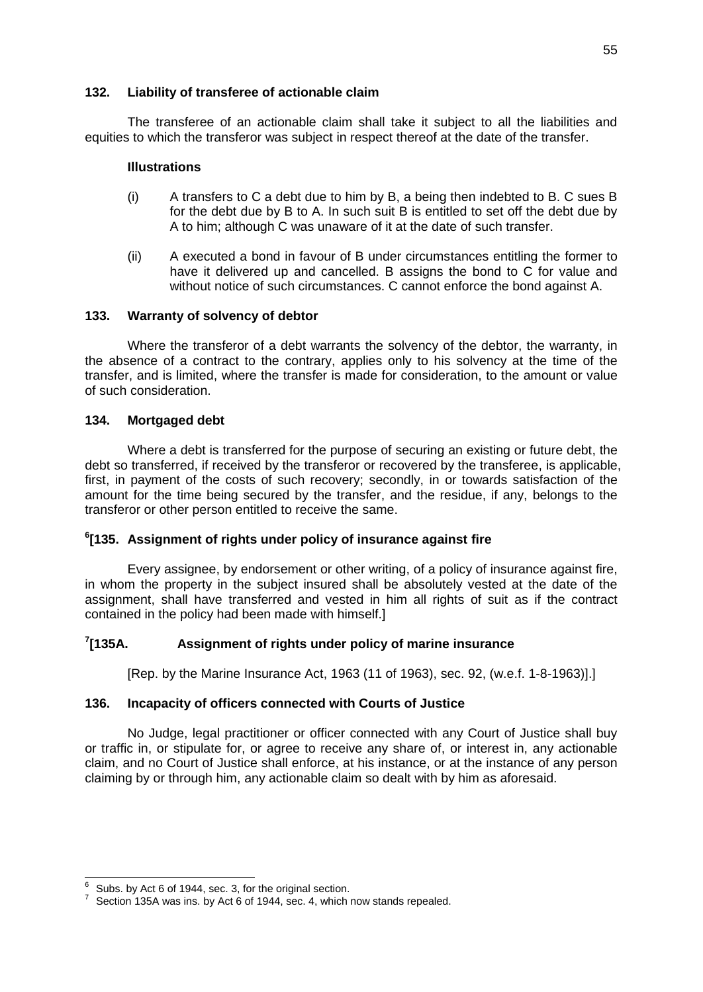## **132. Liability of transferee of actionable claim**

The transferee of an actionable claim shall take it subject to all the liabilities and equities to which the transferor was subject in respect thereof at the date of the transfer.

## **Illustrations**

- (i) A transfers to C a debt due to him by B, a being then indebted to B. C sues B for the debt due by B to A. In such suit B is entitled to set off the debt due by A to him; although C was unaware of it at the date of such transfer.
- (ii) A executed a bond in favour of B under circumstances entitling the former to have it delivered up and cancelled. B assigns the bond to C for value and without notice of such circumstances. C cannot enforce the bond against A.

## **133. Warranty of solvency of debtor**

Where the transferor of a debt warrants the solvency of the debtor, the warranty, in the absence of a contract to the contrary, applies only to his solvency at the time of the transfer, and is limited, where the transfer is made for consideration, to the amount or value of such consideration.

## **134. Mortgaged debt**

Where a debt is transferred for the purpose of securing an existing or future debt, the debt so transferred, if received by the transferor or recovered by the transferee, is applicable, first, in payment of the costs of such recovery; secondly, in or towards satisfaction of the amount for the time being secured by the transfer, and the residue, if any, belongs to the transferor or other person entitled to receive the same.

## **6 [135. Assignment of rights under policy of insurance against fire**

Every assignee, by endorsement or other writing, of a policy of insurance against fire, in whom the property in the subject insured shall be absolutely vested at the date of the assignment, shall have transferred and vested in him all rights of suit as if the contract contained in the policy had been made with himself.]

#### $7$ [135A. **[135A. Assignment of rights under policy of marine insurance**

[Rep. by the Marine Insurance Act, 1963 (11 of 1963), sec. 92, (w.e.f. 1-8-1963)].]

## **136. Incapacity of officers connected with Courts of Justice**

No Judge, legal practitioner or officer connected with any Court of Justice shall buy or traffic in, or stipulate for, or agree to receive any share of, or interest in, any actionable claim, and no Court of Justice shall enforce, at his instance, or at the instance of any person claiming by or through him, any actionable claim so dealt with by him as aforesaid.

 $6$  Subs. by Act 6 of 1944, sec. 3, for the original section.

Section 135A was ins. by Act 6 of 1944, sec. 4, which now stands repealed.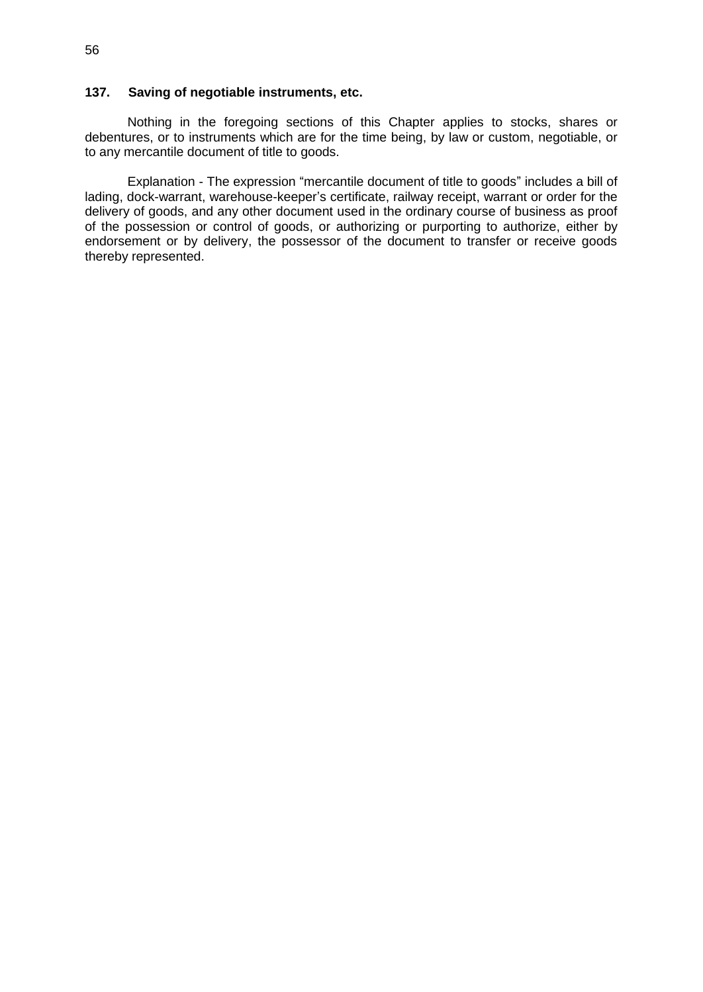## **137. Saving of negotiable instruments, etc.**

Nothing in the foregoing sections of this Chapter applies to stocks, shares or debentures, or to instruments which are for the time being, by law or custom, negotiable, or to any mercantile document of title to goods.

Explanation - The expression "mercantile document of title to goods" includes a bill of lading, dock-warrant, warehouse-keeper's certificate, railway receipt, warrant or order for the delivery of goods, and any other document used in the ordinary course of business as proof of the possession or control of goods, or authorizing or purporting to authorize, either by endorsement or by delivery, the possessor of the document to transfer or receive goods thereby represented.